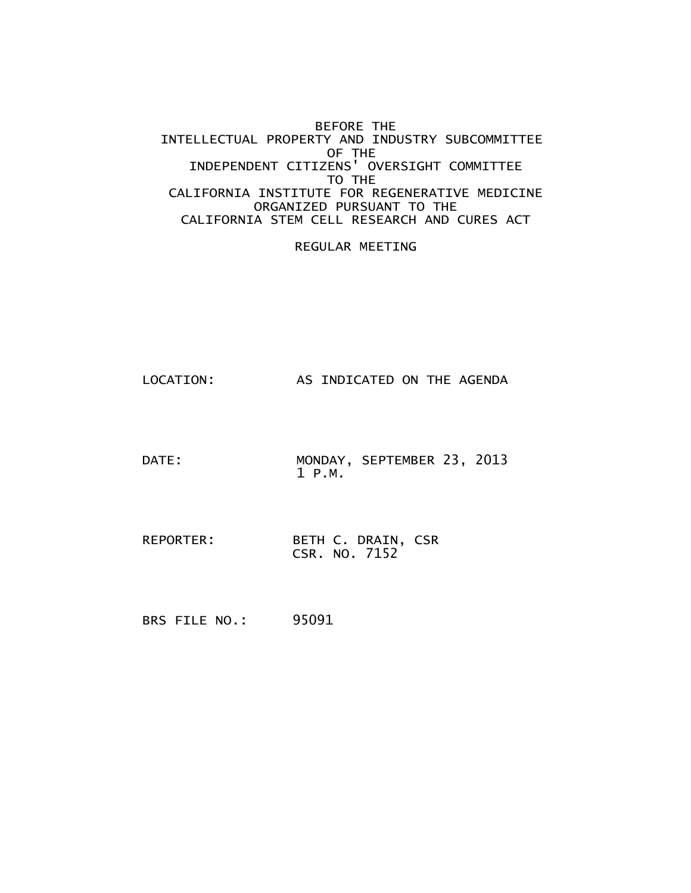#### BEFORE THE INTELLECTUAL PROPERTY AND INDUSTRY SUBCOMMITTEE OF THE INDEPENDENT CITIZENS' OVERSIGHT COMMITTEE TO THE CALIFORNIA INSTITUTE FOR REGENERATIVE MEDICINE ORGANIZED PURSUANT TO THE CALIFORNIA STEM CELL RESEARCH AND CURES ACT

#### REGULAR MEETING

- LOCATION: AS INDICATED ON THE AGENDA
- DATE: MONDAY, SEPTEMBER 23, 2013 1 P.M.
- REPORTER: BETH C. DRAIN, CSR CSR. NO. 7152
- BRS FILE NO.: 95091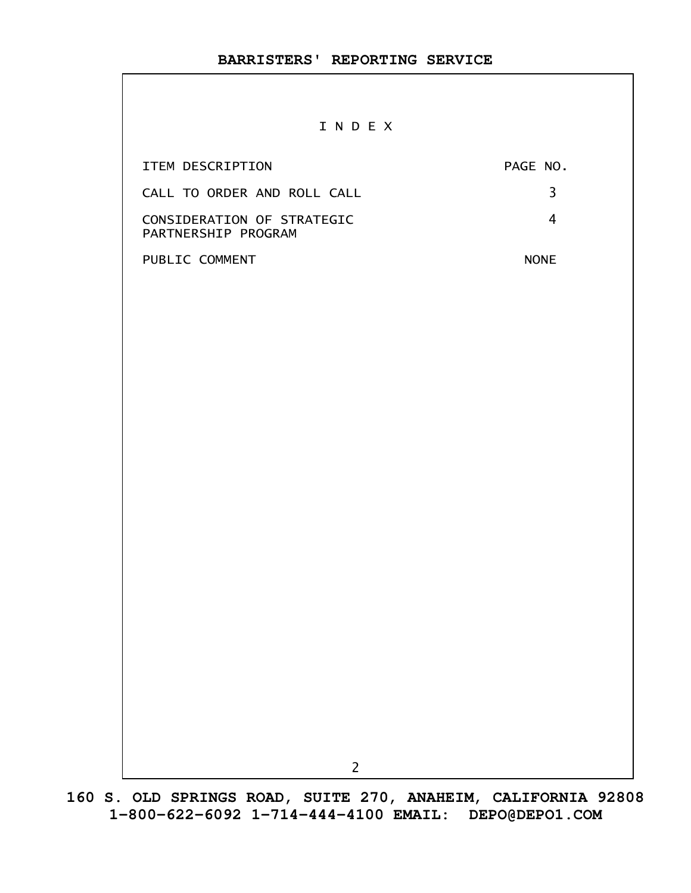#### I N D E X

| ITEM DESCRIPTION                                  | PAGE NO.    |
|---------------------------------------------------|-------------|
| CALL TO ORDER AND ROLL CALL                       |             |
| CONSIDERATION OF STRATEGIC<br>PARTNERSHIP PROGRAM |             |
| PUBLIC COMMENT                                    | <b>NONE</b> |

2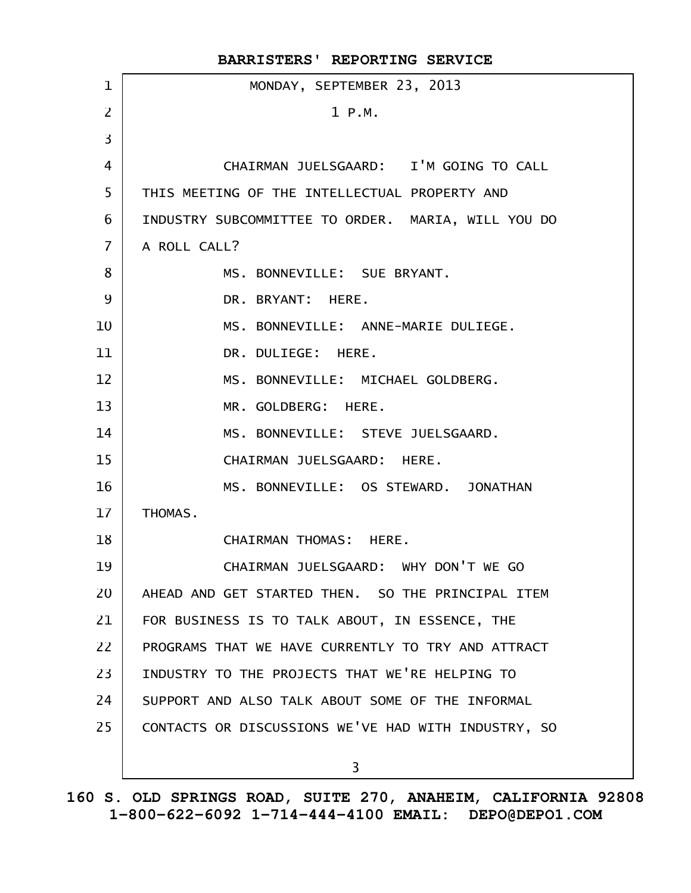|                | BARRISTERS' REPORTING SERVICE                       |
|----------------|-----------------------------------------------------|
| $\mathbf 1$    | MONDAY, SEPTEMBER 23, 2013                          |
| $\overline{2}$ | 1 P.M.                                              |
| 3              |                                                     |
| 4              | CHAIRMAN JUELSGAARD: I'M GOING TO CALL              |
| 5              | THIS MEETING OF THE INTELLECTUAL PROPERTY AND       |
| 6              | INDUSTRY SUBCOMMITTEE TO ORDER. MARIA, WILL YOU DO  |
| $\overline{7}$ | A ROLL CALL?                                        |
| 8              | MS. BONNEVILLE: SUE BRYANT.                         |
| 9              | DR. BRYANT: HERE.                                   |
| 10             | MS. BONNEVILLE: ANNE-MARIE DULIEGE.                 |
| 11             | DR. DULIEGE: HERE.                                  |
| 12             | MS. BONNEVILLE: MICHAEL GOLDBERG.                   |
| 13             | MR. GOLDBERG: HERE.                                 |
| 14             | MS. BONNEVILLE: STEVE JUELSGAARD.                   |
| 15             | CHAIRMAN JUELSGAARD: HERE.                          |
| 16             | MS. BONNEVILLE: OS STEWARD. JONATHAN                |
| 17             | THOMAS.                                             |
| 18             | CHAIRMAN THOMAS: HERE.                              |
| 19             | CHAIRMAN JUELSGAARD: WHY DON'T WE GO                |
| 20             | AHEAD AND GET STARTED THEN. SO THE PRINCIPAL ITEM   |
| 21             | FOR BUSINESS IS TO TALK ABOUT, IN ESSENCE, THE      |
| 22             | PROGRAMS THAT WE HAVE CURRENTLY TO TRY AND ATTRACT  |
| 23             | INDUSTRY TO THE PROJECTS THAT WE'RE HELPING TO      |
| 24             | SUPPORT AND ALSO TALK ABOUT SOME OF THE INFORMAL    |
| 25             | CONTACTS OR DISCUSSIONS WE'VE HAD WITH INDUSTRY, SO |
|                | 3                                                   |
|                |                                                     |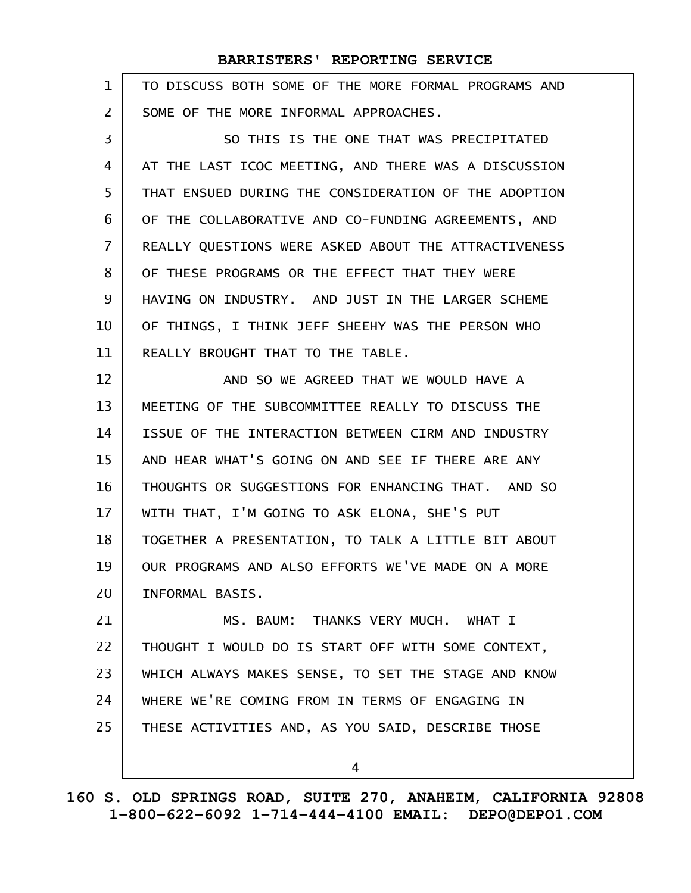| $\mathbf{1}$      | TO DISCUSS BOTH SOME OF THE MORE FORMAL PROGRAMS AND |
|-------------------|------------------------------------------------------|
| $\overline{2}$    | SOME OF THE MORE INFORMAL APPROACHES.                |
| 3                 | SO THIS IS THE ONE THAT WAS PRECIPITATED             |
| 4                 | AT THE LAST ICOC MEETING, AND THERE WAS A DISCUSSION |
| 5                 | THAT ENSUED DURING THE CONSIDERATION OF THE ADOPTION |
| 6                 | OF THE COLLABORATIVE AND CO-FUNDING AGREEMENTS, AND  |
| $\overline{7}$    | REALLY QUESTIONS WERE ASKED ABOUT THE ATTRACTIVENESS |
| 8                 | OF THESE PROGRAMS OR THE EFFECT THAT THEY WERE       |
| 9                 | HAVING ON INDUSTRY. AND JUST IN THE LARGER SCHEME    |
| 10                | OF THINGS, I THINK JEFF SHEEHY WAS THE PERSON WHO    |
| 11                | REALLY BROUGHT THAT TO THE TABLE.                    |
| $12 \overline{ }$ | AND SO WE AGREED THAT WE WOULD HAVE A                |
| 13                | MEETING OF THE SUBCOMMITTEE REALLY TO DISCUSS THE    |
| 14                | ISSUE OF THE INTERACTION BETWEEN CIRM AND INDUSTRY   |
| 15                | AND HEAR WHAT'S GOING ON AND SEE IF THERE ARE ANY    |
| 16                | THOUGHTS OR SUGGESTIONS FOR ENHANCING THAT. AND SO   |
| 17                | WITH THAT, I'M GOING TO ASK ELONA, SHE'S PUT         |
| 18                | TOGETHER A PRESENTATION, TO TALK A LITTLE BIT ABOUT  |
| 19                | OUR PROGRAMS AND ALSO EFFORTS WE'VE MADE ON A MORE   |
| 20                | INFORMAL BASIS.                                      |
| 21                | MS. BAUM: THANKS VERY MUCH. WHAT I                   |
| 22                | THOUGHT I WOULD DO IS START OFF WITH SOME CONTEXT,   |
| 23                | WHICH ALWAYS MAKES SENSE, TO SET THE STAGE AND KNOW  |
| 24                | WHERE WE'RE COMING FROM IN TERMS OF ENGAGING IN      |
| 25                | THESE ACTIVITIES AND, AS YOU SAID, DESCRIBE THOSE    |
|                   | 4                                                    |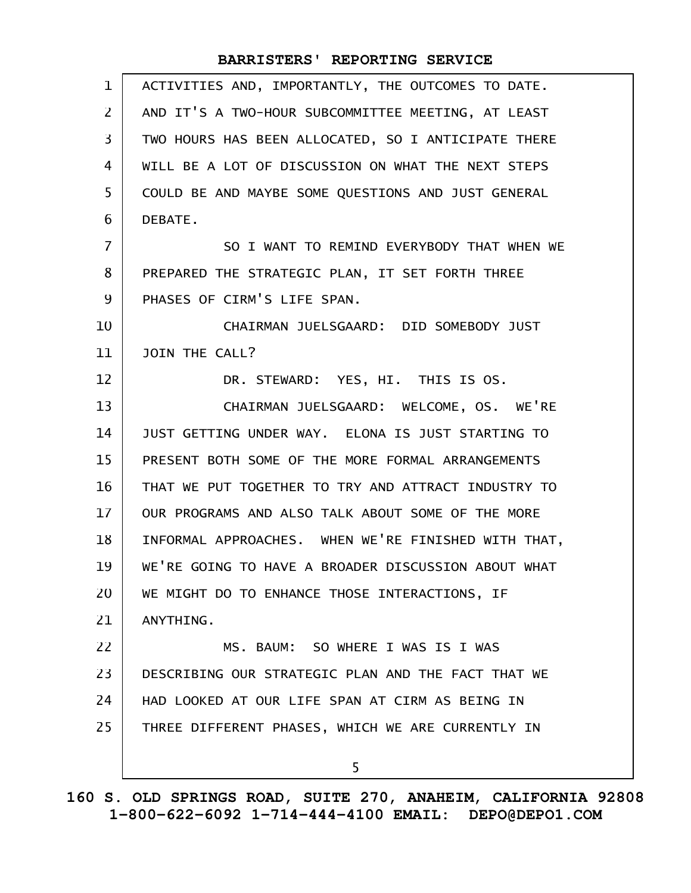| ACTIVITIES AND, IMPORTANTLY, THE OUTCOMES TO DATE.  |
|-----------------------------------------------------|
| AND IT'S A TWO-HOUR SUBCOMMITTEE MEETING, AT LEAST  |
| TWO HOURS HAS BEEN ALLOCATED, SO I ANTICIPATE THERE |
| WILL BE A LOT OF DISCUSSION ON WHAT THE NEXT STEPS  |
| COULD BE AND MAYBE SOME QUESTIONS AND JUST GENERAL  |
| DEBATE.                                             |
| SO I WANT TO REMIND EVERYBODY THAT WHEN WE          |
| PREPARED THE STRATEGIC PLAN, IT SET FORTH THREE     |
| PHASES OF CIRM'S LIFE SPAN.                         |
| CHAIRMAN JUELSGAARD: DID SOMEBODY JUST              |
| JOIN THE CALL?                                      |
| DR. STEWARD: YES, HI. THIS IS OS.                   |
| CHAIRMAN JUELSGAARD: WELCOME, OS. WE'RE             |
| JUST GETTING UNDER WAY. ELONA IS JUST STARTING TO   |
| PRESENT BOTH SOME OF THE MORE FORMAL ARRANGEMENTS   |
| THAT WE PUT TOGETHER TO TRY AND ATTRACT INDUSTRY TO |
| OUR PROGRAMS AND ALSO TALK ABOUT SOME OF THE MORE   |
| INFORMAL APPROACHES. WHEN WE'RE FINISHED WITH THAT, |
| WE'RE GOING TO HAVE A BROADER DISCUSSION ABOUT WHAT |
| WE MIGHT DO TO ENHANCE THOSE INTERACTIONS, IF       |
| ANYTHING.                                           |
| MS. BAUM: SO WHERE I WAS IS I WAS                   |
| DESCRIBING OUR STRATEGIC PLAN AND THE FACT THAT WE  |
| HAD LOOKED AT OUR LIFE SPAN AT CIRM AS BEING IN     |
| THREE DIFFERENT PHASES, WHICH WE ARE CURRENTLY IN   |
| 5.                                                  |
|                                                     |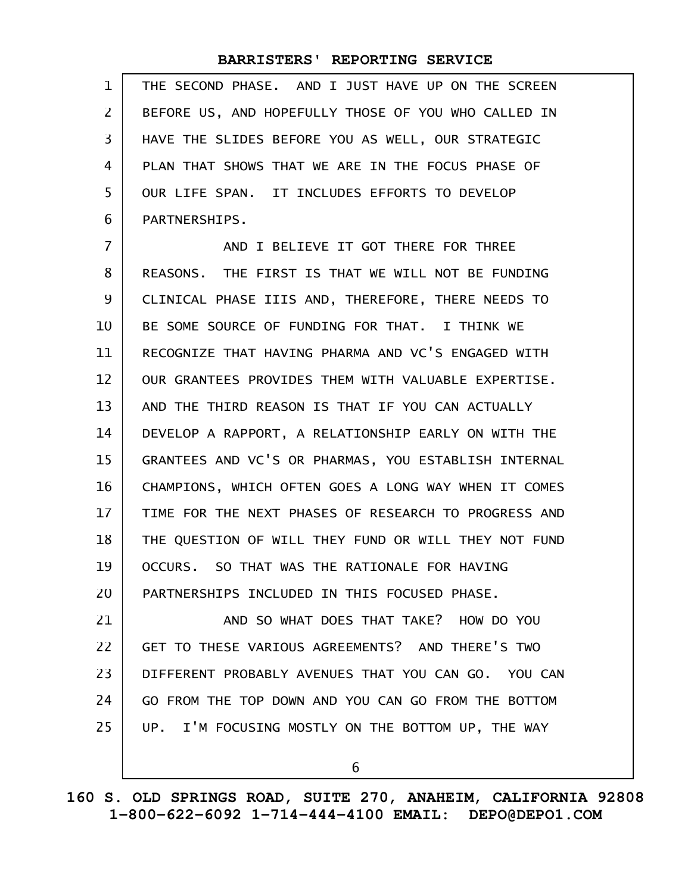THE SECOND PHASE. AND I JUST HAVE UP ON THE SCREEN BEFORE US, AND HOPEFULLY THOSE OF YOU WHO CALLED IN HAVE THE SLIDES BEFORE YOU AS WELL, OUR STRATEGIC PLAN THAT SHOWS THAT WE ARE IN THE FOCUS PHASE OF OUR LIFE SPAN. IT INCLUDES EFFORTS TO DEVELOP PARTNERSHIPS. 1 2 3 4 5 6

AND I BELIEVE IT GOT THERE FOR THREE REASONS. THE FIRST IS THAT WE WILL NOT BE FUNDING CLINICAL PHASE IIIS AND, THEREFORE, THERE NEEDS TO BE SOME SOURCE OF FUNDING FOR THAT. I THINK WE RECOGNIZE THAT HAVING PHARMA AND VC'S ENGAGED WITH OUR GRANTEES PROVIDES THEM WITH VALUABLE EXPERTISE. AND THE THIRD REASON IS THAT IF YOU CAN ACTUALLY DEVELOP A RAPPORT, A RELATIONSHIP EARLY ON WITH THE GRANTEES AND VC'S OR PHARMAS, YOU ESTABLISH INTERNAL CHAMPIONS, WHICH OFTEN GOES A LONG WAY WHEN IT COMES TIME FOR THE NEXT PHASES OF RESEARCH TO PROGRESS AND THE QUESTION OF WILL THEY FUND OR WILL THEY NOT FUND OCCURS. SO THAT WAS THE RATIONALE FOR HAVING PARTNERSHIPS INCLUDED IN THIS FOCUSED PHASE. AND SO WHAT DOES THAT TAKE? HOW DO YOU GET TO THESE VARIOUS AGREEMENTS? AND THERE'S TWO DIFFERENT PROBABLY AVENUES THAT YOU CAN GO. YOU CAN 7 8 9 10 11 12 13 14 15 16 17 18 19 20 21 22 23

GO FROM THE TOP DOWN AND YOU CAN GO FROM THE BOTTOM 24

UP. I'M FOCUSING MOSTLY ON THE BOTTOM UP, THE WAY 25

6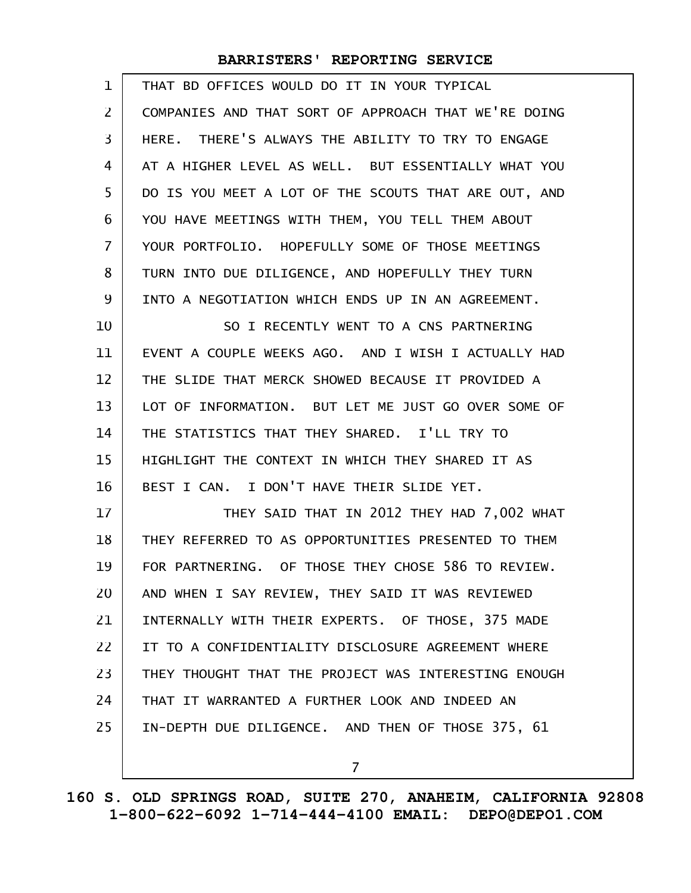| 1              | THAT BD OFFICES WOULD DO IT IN YOUR TYPICAL          |
|----------------|------------------------------------------------------|
| $\overline{2}$ | COMPANIES AND THAT SORT OF APPROACH THAT WE'RE DOING |
| 3              | HERE. THERE'S ALWAYS THE ABILITY TO TRY TO ENGAGE    |
| 4              | AT A HIGHER LEVEL AS WELL. BUT ESSENTIALLY WHAT YOU  |
| 5              | DO IS YOU MEET A LOT OF THE SCOUTS THAT ARE OUT, AND |
| 6              | YOU HAVE MEETINGS WITH THEM, YOU TELL THEM ABOUT     |
| $\overline{7}$ | YOUR PORTFOLIO. HOPEFULLY SOME OF THOSE MEETINGS     |
| 8              | TURN INTO DUE DILIGENCE, AND HOPEFULLY THEY TURN     |
| 9              | INTO A NEGOTIATION WHICH ENDS UP IN AN AGREEMENT.    |
| 10             | SO I RECENTLY WENT TO A CNS PARTNERING               |
| 11             | EVENT A COUPLE WEEKS AGO. AND I WISH I ACTUALLY HAD  |
| 12             | THE SLIDE THAT MERCK SHOWED BECAUSE IT PROVIDED A    |
| 13             | LOT OF INFORMATION. BUT LET ME JUST GO OVER SOME OF  |
| 14             | THE STATISTICS THAT THEY SHARED. I'LL TRY TO         |
| 15             | HIGHLIGHT THE CONTEXT IN WHICH THEY SHARED IT AS     |
| 16             | BEST I CAN. I DON'T HAVE THEIR SLIDE YET.            |
| 17             | THEY SAID THAT IN 2012 THEY HAD 7,002 WHAT           |
| 18             | THEY REFERRED TO AS OPPORTUNITIES PRESENTED TO THEM  |
| 19             | FOR PARTNERING. OF THOSE THEY CHOSE 586 TO REVIEW.   |
| 20             | AND WHEN I SAY REVIEW, THEY SAID IT WAS REVIEWED     |
| 21             | INTERNALLY WITH THEIR EXPERTS. OF THOSE, 375 MADE    |
| 22             | IT TO A CONFIDENTIALITY DISCLOSURE AGREEMENT WHERE   |
| 23             | THEY THOUGHT THAT THE PROJECT WAS INTERESTING ENOUGH |
| 24             | THAT IT WARRANTED A FURTHER LOOK AND INDEED AN       |
| 25             | IN-DEPTH DUE DILIGENCE. AND THEN OF THOSE 375, 61    |
|                | $\overline{7}$                                       |
|                |                                                      |

**160 S. OLD SPRINGS ROAD, SUITE 270, ANAHEIM, CALIFORNIA 92808 1-800-622-6092 1-714-444-4100 EMAIL: DEPO@DEPO1.COM**

 $\mathbf{I}$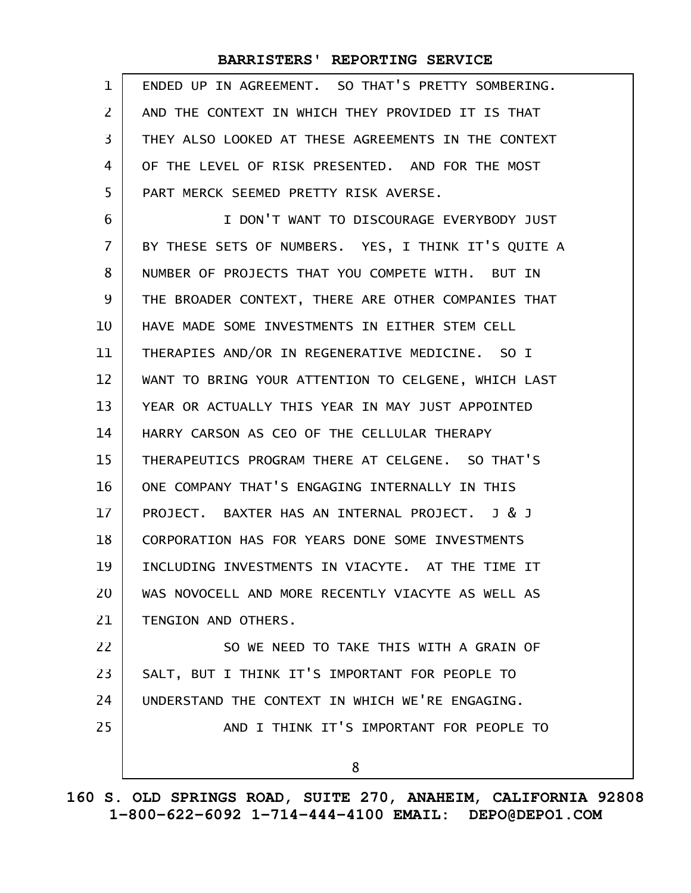| 1              | ENDED UP IN AGREEMENT. SO THAT'S PRETTY SOMBERING.  |
|----------------|-----------------------------------------------------|
| $\overline{2}$ | AND THE CONTEXT IN WHICH THEY PROVIDED IT IS THAT   |
| 3              | THEY ALSO LOOKED AT THESE AGREEMENTS IN THE CONTEXT |
| 4              | OF THE LEVEL OF RISK PRESENTED. AND FOR THE MOST    |
| 5              | PART MERCK SEEMED PRETTY RISK AVERSE.               |
| 6              | I DON'T WANT TO DISCOURAGE EVERYBODY JUST           |
| $\overline{7}$ | BY THESE SETS OF NUMBERS. YES, I THINK IT'S QUITE A |
| 8              | NUMBER OF PROJECTS THAT YOU COMPETE WITH. BUT IN    |
| 9              | THE BROADER CONTEXT, THERE ARE OTHER COMPANIES THAT |
| 10             | HAVE MADE SOME INVESTMENTS IN EITHER STEM CELL      |
| 11             | THERAPIES AND/OR IN REGENERATIVE MEDICINE. SO I     |
| 12             | WANT TO BRING YOUR ATTENTION TO CELGENE, WHICH LAST |
| 13             | YEAR OR ACTUALLY THIS YEAR IN MAY JUST APPOINTED    |
| 14             | HARRY CARSON AS CEO OF THE CELLULAR THERAPY         |
| 15             | THERAPEUTICS PROGRAM THERE AT CELGENE. SO THAT'S    |
| 16             | ONE COMPANY THAT'S ENGAGING INTERNALLY IN THIS      |
| 17             | PROJECT. BAXTER HAS AN INTERNAL PROJECT. J & J      |
| 18             | CORPORATION HAS FOR YEARS DONE SOME INVESTMENTS     |
| 19             | INCLUDING INVESTMENTS IN VIACYTE. AT THE TIME IT    |
| 20             | WAS NOVOCELL AND MORE RECENTLY VIACYTE AS WELL AS   |
| 21             | TENGION AND OTHERS.                                 |
| 22             | SO WE NEED TO TAKE THIS WITH A GRAIN OF             |
| 23             | SALT, BUT I THINK IT'S IMPORTANT FOR PEOPLE TO      |
| 24             | UNDERSTAND THE CONTEXT IN WHICH WE'RE ENGAGING.     |
| 25             | AND I THINK IT'S IMPORTANT FOR PEOPLE TO            |
|                | 8                                                   |
|                |                                                     |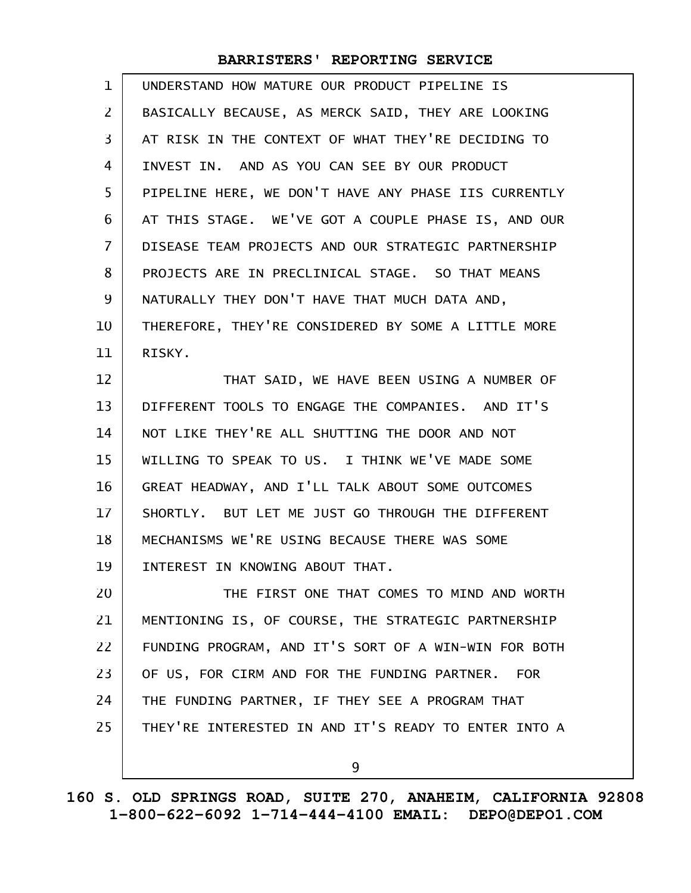| $\mathbf 1$       | UNDERSTAND HOW MATURE OUR PRODUCT PIPELINE IS        |
|-------------------|------------------------------------------------------|
| $\mathbf{Z}$      | BASICALLY BECAUSE, AS MERCK SAID, THEY ARE LOOKING   |
| 3                 | AT RISK IN THE CONTEXT OF WHAT THEY'RE DECIDING TO   |
| 4                 | INVEST IN. AND AS YOU CAN SEE BY OUR PRODUCT         |
| 5                 | PIPELINE HERE, WE DON'T HAVE ANY PHASE IIS CURRENTLY |
| 6                 | AT THIS STAGE. WE'VE GOT A COUPLE PHASE IS, AND OUR  |
| $\overline{7}$    | DISEASE TEAM PROJECTS AND OUR STRATEGIC PARTNERSHIP  |
| 8                 | PROJECTS ARE IN PRECLINICAL STAGE. SO THAT MEANS     |
| 9                 | NATURALLY THEY DON'T HAVE THAT MUCH DATA AND,        |
| 10                | THEREFORE, THEY'RE CONSIDERED BY SOME A LITTLE MORE  |
| 11                | RISKY.                                               |
| $12 \overline{ }$ | THAT SAID, WE HAVE BEEN USING A NUMBER OF            |
| 13                | DIFFERENT TOOLS TO ENGAGE THE COMPANIES. AND IT'S    |
| 14                | NOT LIKE THEY'RE ALL SHUTTING THE DOOR AND NOT       |
| 15                | WILLING TO SPEAK TO US. I THINK WE'VE MADE SOME      |
| 16                | GREAT HEADWAY, AND I'LL TALK ABOUT SOME OUTCOMES     |
| 17                | SHORTLY. BUT LET ME JUST GO THROUGH THE DIFFERENT    |
| 18                | MECHANISMS WE'RE USING BECAUSE THERE WAS SOME        |
| 19                | INTEREST IN KNOWING ABOUT THAT.                      |
| 20                | THE FIRST ONE THAT COMES TO MIND AND WORTH           |
| 21                | MENTIONING IS, OF COURSE, THE STRATEGIC PARTNERSHIP  |
| 22                | FUNDING PROGRAM, AND IT'S SORT OF A WIN-WIN FOR BOTH |
| 23                | OF US, FOR CIRM AND FOR THE FUNDING PARTNER. FOR     |
| 24                | THE FUNDING PARTNER, IF THEY SEE A PROGRAM THAT      |
| 25                | THEY'RE INTERESTED IN AND IT'S READY TO ENTER INTO A |
|                   | 9                                                    |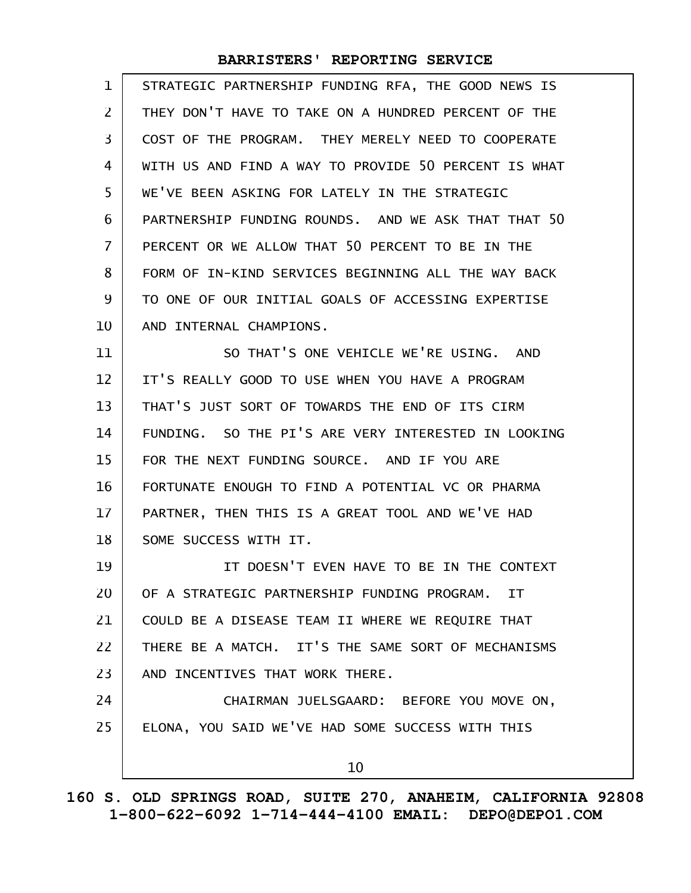| $\mathbf 1$       | STRATEGIC PARTNERSHIP FUNDING RFA, THE GOOD NEWS IS  |
|-------------------|------------------------------------------------------|
| $\overline{2}$    | THEY DON'T HAVE TO TAKE ON A HUNDRED PERCENT OF THE  |
| 3                 | COST OF THE PROGRAM. THEY MERELY NEED TO COOPERATE   |
| 4                 | WITH US AND FIND A WAY TO PROVIDE 50 PERCENT IS WHAT |
| 5                 | WE'VE BEEN ASKING FOR LATELY IN THE STRATEGIC        |
| 6                 | PARTNERSHIP FUNDING ROUNDS. AND WE ASK THAT THAT 50  |
| $\overline{7}$    | PERCENT OR WE ALLOW THAT 50 PERCENT TO BE IN THE     |
| 8                 | FORM OF IN-KIND SERVICES BEGINNING ALL THE WAY BACK  |
| 9                 | TO ONE OF OUR INITIAL GOALS OF ACCESSING EXPERTISE   |
| 10                | AND INTERNAL CHAMPIONS.                              |
| 11                | SO THAT'S ONE VEHICLE WE'RE USING. AND               |
| $12 \overline{ }$ | IT'S REALLY GOOD TO USE WHEN YOU HAVE A PROGRAM      |
| 13                | THAT'S JUST SORT OF TOWARDS THE END OF ITS CIRM      |
| 14                | FUNDING. SO THE PI'S ARE VERY INTERESTED IN LOOKING  |
| 15                | FOR THE NEXT FUNDING SOURCE. AND IF YOU ARE          |
| 16                | FORTUNATE ENOUGH TO FIND A POTENTIAL VC OR PHARMA    |
| 17                | PARTNER, THEN THIS IS A GREAT TOOL AND WE'VE HAD     |
| 18                | SOME SUCCESS WITH IT.                                |
| 19                | IT DOESN'T EVEN HAVE TO BE IN THE CONTEXT            |
| 20                | OF A STRATEGIC PARTNERSHIP FUNDING PROGRAM. IT       |
| 21                | COULD BE A DISEASE TEAM II WHERE WE REQUIRE THAT     |
| 22                | THERE BE A MATCH. IT'S THE SAME SORT OF MECHANISMS   |
| 23                | AND INCENTIVES THAT WORK THERE.                      |
| 24                | CHAIRMAN JUELSGAARD: BEFORE YOU MOVE ON,             |
| 25                | ELONA, YOU SAID WE'VE HAD SOME SUCCESS WITH THIS     |
|                   | 10                                                   |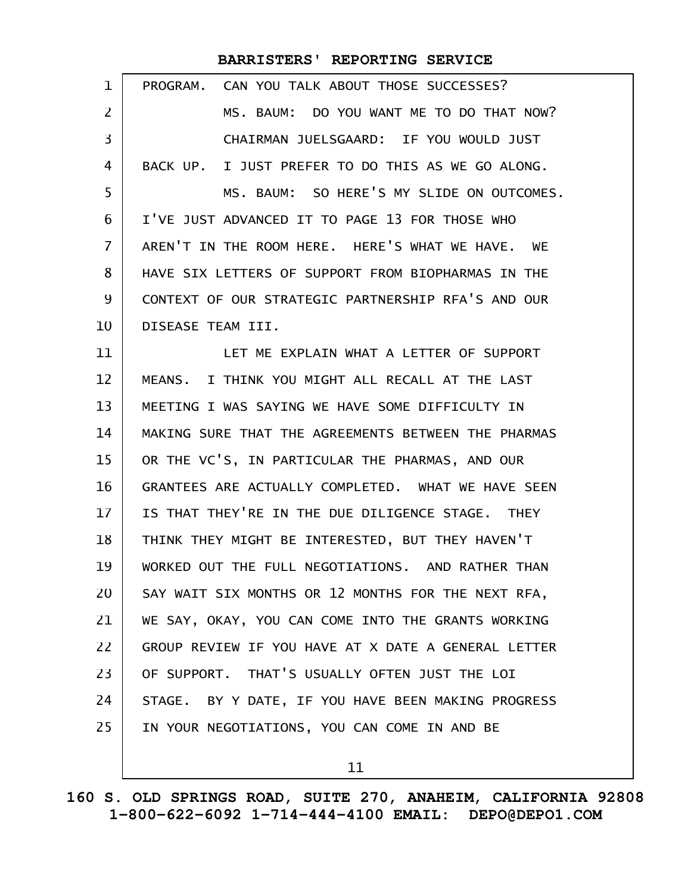| 1                 | CAN YOU TALK ABOUT THOSE SUCCESSES?<br>PROGRAM.     |
|-------------------|-----------------------------------------------------|
| 2                 | MS. BAUM: DO YOU WANT ME TO DO THAT NOW?            |
| 3                 | CHAIRMAN JUELSGAARD: IF YOU WOULD JUST              |
| 4                 | BACK UP. I JUST PREFER TO DO THIS AS WE GO ALONG.   |
| 5                 | MS. BAUM: SO HERE'S MY SLIDE ON OUTCOMES.           |
| 6                 | I'VE JUST ADVANCED IT TO PAGE 13 FOR THOSE WHO      |
| 7                 | AREN'T IN THE ROOM HERE. HERE'S WHAT WE HAVE. WE    |
| 8                 | HAVE SIX LETTERS OF SUPPORT FROM BIOPHARMAS IN THE  |
| 9                 | CONTEXT OF OUR STRATEGIC PARTNERSHIP RFA'S AND OUR  |
| 10                | DISEASE TEAM III.                                   |
| 11                | LET ME EXPLAIN WHAT A LETTER OF SUPPORT             |
| $12 \overline{ }$ | MEANS. I THINK YOU MIGHT ALL RECALL AT THE LAST     |
| 13                | MEETING I WAS SAYING WE HAVE SOME DIFFICULTY IN     |
| 14                | MAKING SURE THAT THE AGREEMENTS BETWEEN THE PHARMAS |
| 15                | OR THE VC'S, IN PARTICULAR THE PHARMAS, AND OUR     |
| 16                | GRANTEES ARE ACTUALLY COMPLETED. WHAT WE HAVE SEEN  |
| 17                | IS THAT THEY'RE IN THE DUE DILIGENCE STAGE. THEY    |
| 18                | THINK THEY MIGHT BE INTERESTED, BUT THEY HAVEN'T    |
| 19                | WORKED OUT THE FULL NEGOTIATIONS. AND RATHER THAN   |
| 20                | SAY WAIT SIX MONTHS OR 12 MONTHS FOR THE NEXT RFA,  |
| 21                | WE SAY, OKAY, YOU CAN COME INTO THE GRANTS WORKING  |
| 22                | GROUP REVIEW IF YOU HAVE AT X DATE A GENERAL LETTER |
| 23                | OF SUPPORT. THAT'S USUALLY OFTEN JUST THE LOI       |
| 24                | STAGE. BY Y DATE, IF YOU HAVE BEEN MAKING PROGRESS  |
| 25                | IN YOUR NEGOTIATIONS, YOU CAN COME IN AND BE        |
|                   |                                                     |

11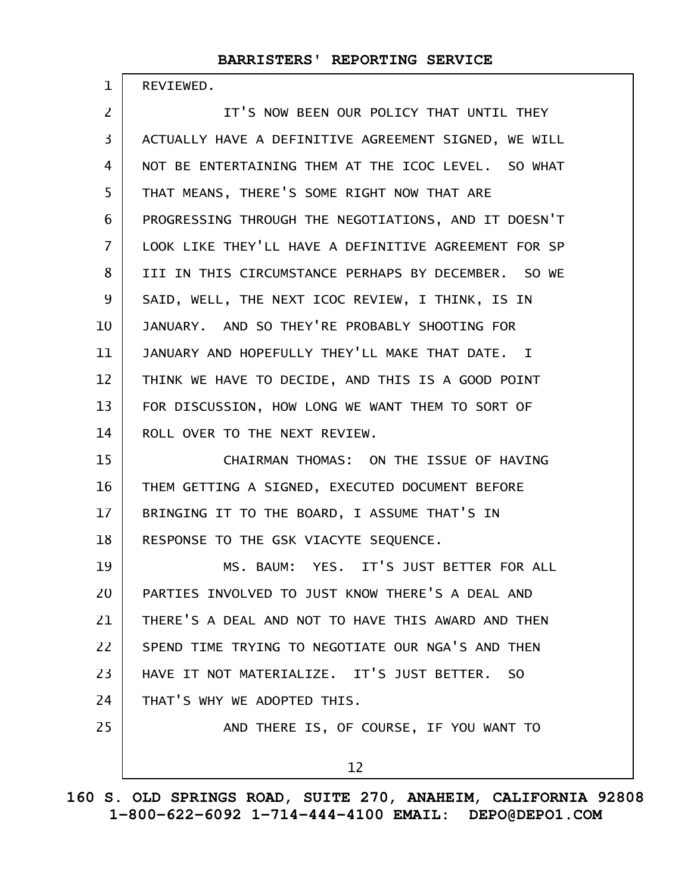REVIEWED.

1

IT'S NOW BEEN OUR POLICY THAT UNTIL THEY ACTUALLY HAVE A DEFINITIVE AGREEMENT SIGNED, WE WILL NOT BE ENTERTAINING THEM AT THE ICOC LEVEL. SO WHAT THAT MEANS, THERE'S SOME RIGHT NOW THAT ARE PROGRESSING THROUGH THE NEGOTIATIONS, AND IT DOESN'T LOOK LIKE THEY'LL HAVE A DEFINITIVE AGREEMENT FOR SP III IN THIS CIRCUMSTANCE PERHAPS BY DECEMBER. SO WE SAID, WELL, THE NEXT ICOC REVIEW, I THINK, IS IN JANUARY. AND SO THEY'RE PROBABLY SHOOTING FOR JANUARY AND HOPEFULLY THEY'LL MAKE THAT DATE. I THINK WE HAVE TO DECIDE, AND THIS IS A GOOD POINT FOR DISCUSSION, HOW LONG WE WANT THEM TO SORT OF ROLL OVER TO THE NEXT REVIEW. CHAIRMAN THOMAS: ON THE ISSUE OF HAVING THEM GETTING A SIGNED, EXECUTED DOCUMENT BEFORE BRINGING IT TO THE BOARD, I ASSUME THAT'S IN RESPONSE TO THE GSK VIACYTE SEQUENCE. MS. BAUM: YES. IT'S JUST BETTER FOR ALL PARTIES INVOLVED TO JUST KNOW THERE'S A DEAL AND THERE'S A DEAL AND NOT TO HAVE THIS AWARD AND THEN SPEND TIME TRYING TO NEGOTIATE OUR NGA'S AND THEN HAVE IT NOT MATERIALIZE. IT'S JUST BETTER. SO THAT'S WHY WE ADOPTED THIS. AND THERE IS, OF COURSE, IF YOU WANT TO 12 2 3 4 5 6 7 8 9 10 11 12 13 14 15 16 17 18 19 20 21 22 23 24 25

**160 S. OLD SPRINGS ROAD, SUITE 270, ANAHEIM, CALIFORNIA 92808 1-800-622-6092 1-714-444-4100 EMAIL: DEPO@DEPO1.COM**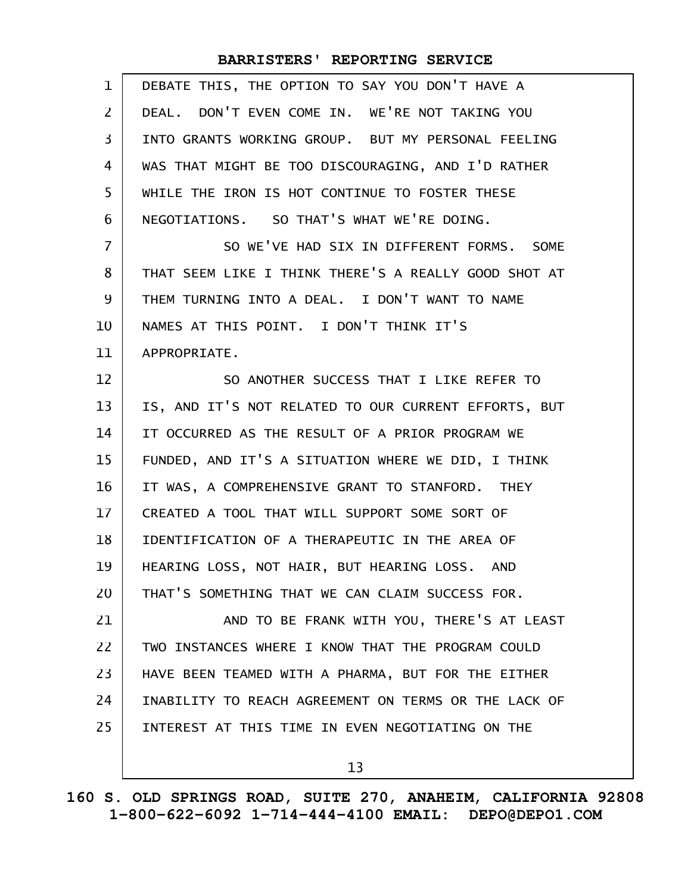| $\mathbf{1}$   | DEBATE THIS, THE OPTION TO SAY YOU DON'T HAVE A      |
|----------------|------------------------------------------------------|
| $\overline{2}$ | DEAL. DON'T EVEN COME IN. WE'RE NOT TAKING YOU       |
| 3              | INTO GRANTS WORKING GROUP. BUT MY PERSONAL FEELING   |
| 4              | WAS THAT MIGHT BE TOO DISCOURAGING, AND I'D RATHER   |
| 5              | WHILE THE IRON IS HOT CONTINUE TO FOSTER THESE       |
| 6              | NEGOTIATIONS. SO THAT'S WHAT WE'RE DOING.            |
| $\overline{7}$ | SO WE'VE HAD SIX IN DIFFERENT FORMS. SOME            |
| 8              | THAT SEEM LIKE I THINK THERE'S A REALLY GOOD SHOT AT |
| 9              | THEM TURNING INTO A DEAL. I DON'T WANT TO NAME       |
| 10             | NAMES AT THIS POINT. I DON'T THINK IT'S              |
| 11             | APPROPRIATE.                                         |
| 12             | SO ANOTHER SUCCESS THAT I LIKE REFER TO              |
| 13             | IS, AND IT'S NOT RELATED TO OUR CURRENT EFFORTS, BUT |
| 14             | IT OCCURRED AS THE RESULT OF A PRIOR PROGRAM WE      |
| 15             | FUNDED, AND IT'S A SITUATION WHERE WE DID, I THINK   |
| 16             | IT WAS, A COMPREHENSIVE GRANT TO STANFORD. THEY      |
| 17             | CREATED A TOOL THAT WILL SUPPORT SOME SORT OF        |
| 18             | IDENTIFICATION OF A THERAPEUTIC IN THE AREA OF       |
| 19             | HEARING LOSS, NOT HAIR, BUT HEARING LOSS. AND        |
| 20             | THAT'S SOMETHING THAT WE CAN CLAIM SUCCESS FOR.      |
| 21             | AND TO BE FRANK WITH YOU, THERE'S AT LEAST           |
| 22             | TWO INSTANCES WHERE I KNOW THAT THE PROGRAM COULD    |
| 23             | HAVE BEEN TEAMED WITH A PHARMA, BUT FOR THE EITHER   |
| 24             | INABILITY TO REACH AGREEMENT ON TERMS OR THE LACK OF |
| 25             | INTEREST AT THIS TIME IN EVEN NEGOTIATING ON THE     |
|                | 13                                                   |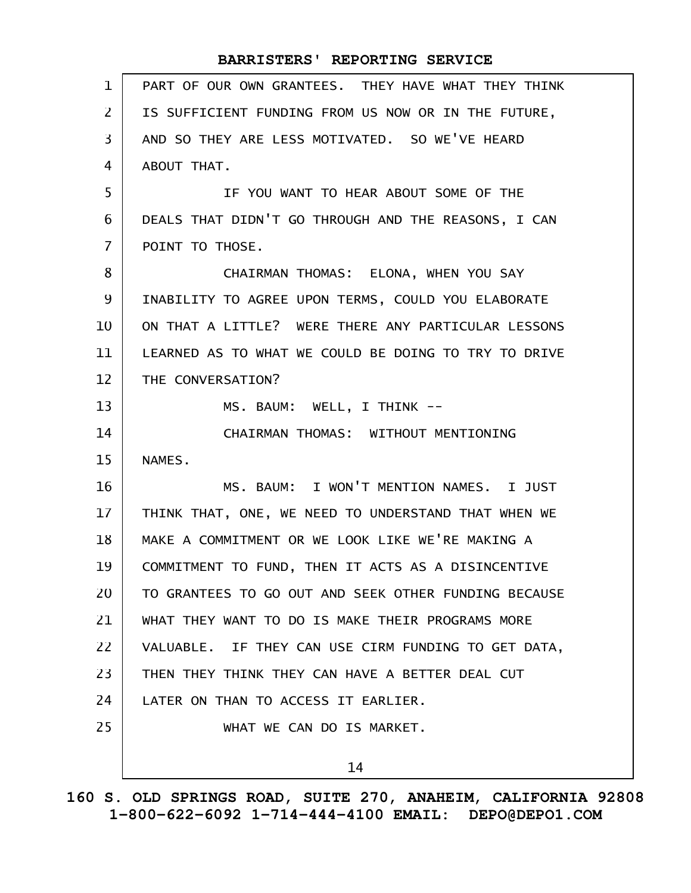| $\mathbf{1}$      | PART OF OUR OWN GRANTEES. THEY HAVE WHAT THEY THINK  |
|-------------------|------------------------------------------------------|
| $\overline{2}$    | IS SUFFICIENT FUNDING FROM US NOW OR IN THE FUTURE,  |
| $\overline{3}$    | AND SO THEY ARE LESS MOTIVATED. SO WE'VE HEARD       |
| 4                 | ABOUT THAT.                                          |
| 5                 | IF YOU WANT TO HEAR ABOUT SOME OF THE                |
| 6                 | DEALS THAT DIDN'T GO THROUGH AND THE REASONS, I CAN  |
| $\overline{7}$    | POINT TO THOSE.                                      |
| 8                 | CHAIRMAN THOMAS: ELONA, WHEN YOU SAY                 |
| 9                 | INABILITY TO AGREE UPON TERMS, COULD YOU ELABORATE   |
| 10                | ON THAT A LITTLE? WERE THERE ANY PARTICULAR LESSONS  |
| 11                | LEARNED AS TO WHAT WE COULD BE DOING TO TRY TO DRIVE |
| $12 \overline{ }$ | THE CONVERSATION?                                    |
| 13                | MS. BAUM: WELL, I THINK --                           |
| 14                | CHAIRMAN THOMAS: WITHOUT MENTIONING                  |
| 15                | NAMES.                                               |
| 16                | MS. BAUM: I WON'T MENTION NAMES. I JUST              |
| 17 <sup>2</sup>   | THINK THAT, ONE, WE NEED TO UNDERSTAND THAT WHEN WE  |
| 18                | MAKE A COMMITMENT OR WE LOOK LIKE WE'RE MAKING A     |
| 19                | COMMITMENT TO FUND, THEN IT ACTS AS A DISINCENTIVE   |
| 20                | TO GRANTEES TO GO OUT AND SEEK OTHER FUNDING BECAUSE |
| 21                | WHAT THEY WANT TO DO IS MAKE THEIR PROGRAMS MORE     |
| 22                | VALUABLE. IF THEY CAN USE CIRM FUNDING TO GET DATA,  |
| 23                | THEN THEY THINK THEY CAN HAVE A BETTER DEAL CUT      |
| 24                | LATER ON THAN TO ACCESS IT EARLIER.                  |
| 25                | WHAT WE CAN DO IS MARKET.                            |
|                   | 14                                                   |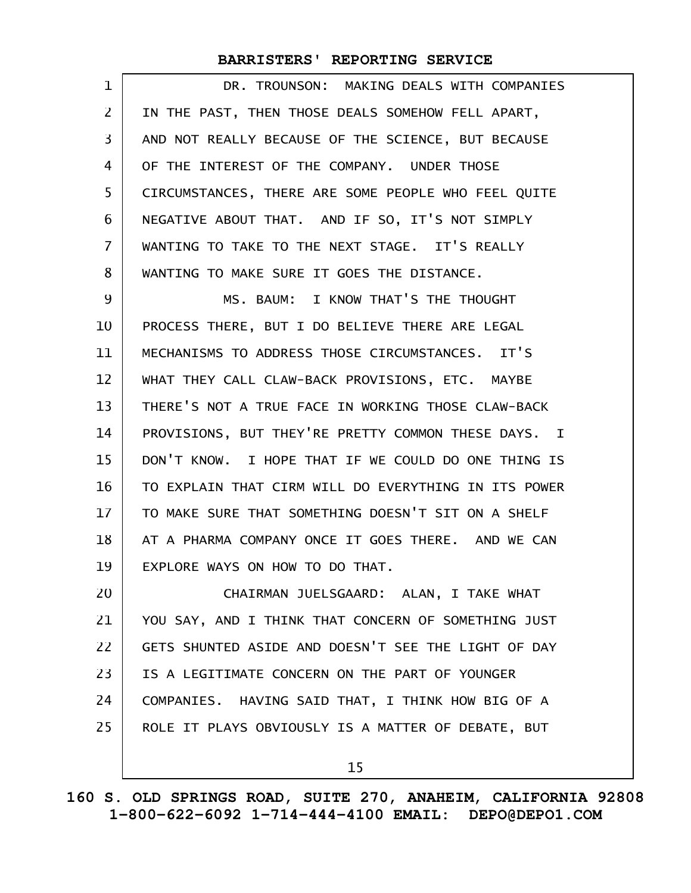| 1              | DR. TROUNSON: MAKING DEALS WITH COMPANIES            |
|----------------|------------------------------------------------------|
| $\overline{2}$ | IN THE PAST, THEN THOSE DEALS SOMEHOW FELL APART,    |
| 3              | AND NOT REALLY BECAUSE OF THE SCIENCE, BUT BECAUSE   |
| 4              | OF THE INTEREST OF THE COMPANY. UNDER THOSE          |
| 5              | CIRCUMSTANCES, THERE ARE SOME PEOPLE WHO FEEL QUITE  |
| 6              | NEGATIVE ABOUT THAT. AND IF SO, IT'S NOT SIMPLY      |
| 7              | WANTING TO TAKE TO THE NEXT STAGE. IT'S REALLY       |
| 8              | WANTING TO MAKE SURE IT GOES THE DISTANCE.           |
| 9              | MS. BAUM: I KNOW THAT'S THE THOUGHT                  |
| 10             | PROCESS THERE, BUT I DO BELIEVE THERE ARE LEGAL      |
| 11             | MECHANISMS TO ADDRESS THOSE CIRCUMSTANCES. IT'S      |
| 12             | WHAT THEY CALL CLAW-BACK PROVISIONS, ETC. MAYBE      |
| 13             | THERE'S NOT A TRUE FACE IN WORKING THOSE CLAW-BACK   |
| 14             | PROVISIONS, BUT THEY'RE PRETTY COMMON THESE DAYS. I  |
| 15             | DON'T KNOW. I HOPE THAT IF WE COULD DO ONE THING IS  |
| 16             | TO EXPLAIN THAT CIRM WILL DO EVERYTHING IN ITS POWER |
| 17             | TO MAKE SURE THAT SOMETHING DOESN'T SIT ON A SHELF   |
| 18             | AT A PHARMA COMPANY ONCE IT GOES THERE. AND WE CAN   |
| 19             | EXPLORE WAYS ON HOW TO DO THAT.                      |
| 20             | CHAIRMAN JUELSGAARD: ALAN, I TAKE WHAT               |
| 21             | YOU SAY, AND I THINK THAT CONCERN OF SOMETHING JUST  |
| 22             | GETS SHUNTED ASIDE AND DOESN'T SEE THE LIGHT OF DAY  |
| 23             | IS A LEGITIMATE CONCERN ON THE PART OF YOUNGER       |
| 24             | COMPANIES. HAVING SAID THAT, I THINK HOW BIG OF A    |
| 25             | ROLE IT PLAYS OBVIOUSLY IS A MATTER OF DEBATE, BUT   |
|                | 15                                                   |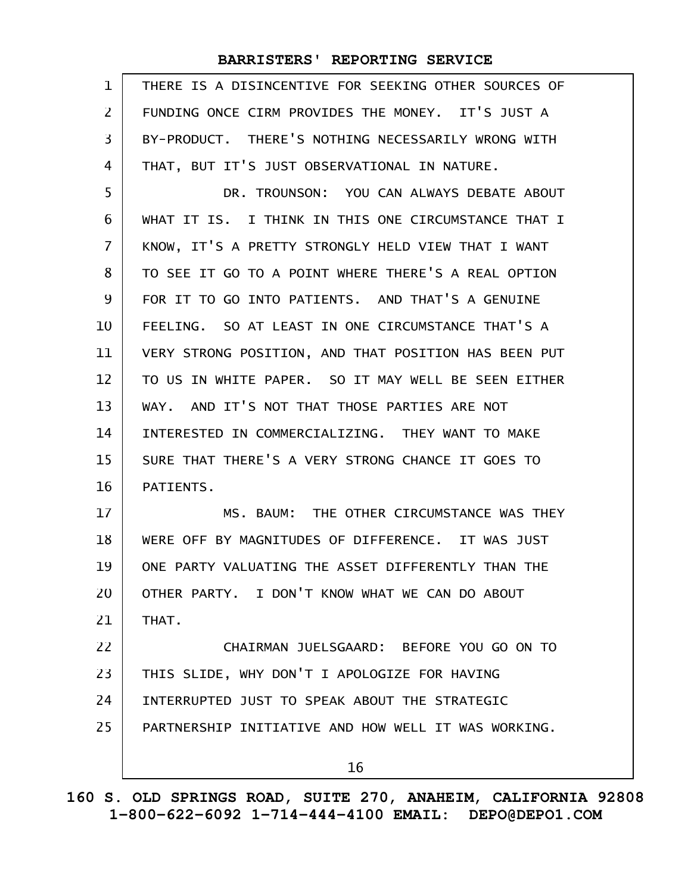| 1  | THERE IS A DISINCENTIVE FOR SEEKING OTHER SOURCES OF |
|----|------------------------------------------------------|
| 2  | FUNDING ONCE CIRM PROVIDES THE MONEY. IT'S JUST A    |
| 3  | BY-PRODUCT. THERE'S NOTHING NECESSARILY WRONG WITH   |
| 4  | THAT, BUT IT'S JUST OBSERVATIONAL IN NATURE.         |
| 5  | DR. TROUNSON: YOU CAN ALWAYS DEBATE ABOUT            |
| 6  | WHAT IT IS. I THINK IN THIS ONE CIRCUMSTANCE THAT I  |
| 7  | KNOW, IT'S A PRETTY STRONGLY HELD VIEW THAT I WANT   |
| 8  | TO SEE IT GO TO A POINT WHERE THERE'S A REAL OPTION  |
| 9  | FOR IT TO GO INTO PATIENTS. AND THAT'S A GENUINE     |
| 10 | FEELING. SO AT LEAST IN ONE CIRCUMSTANCE THAT'S A    |
| 11 | VERY STRONG POSITION, AND THAT POSITION HAS BEEN PUT |
| 12 | TO US IN WHITE PAPER. SO IT MAY WELL BE SEEN EITHER  |
| 13 | WAY. AND IT'S NOT THAT THOSE PARTIES ARE NOT         |
| 14 | INTERESTED IN COMMERCIALIZING. THEY WANT TO MAKE     |
| 15 | SURE THAT THERE'S A VERY STRONG CHANCE IT GOES TO    |
| 16 | PATIENTS.                                            |
| 17 | MS. BAUM: THE OTHER CIRCUMSTANCE WAS THEY            |
| 18 | WERE OFF BY MAGNITUDES OF DIFFERENCE. IT WAS JUST    |
| 19 | ONE PARTY VALUATING THE ASSET DIFFERENTLY THAN THE   |
| 20 | OTHER PARTY. I DON'T KNOW WHAT WE CAN DO ABOUT       |
| 21 | THAT.                                                |
| 22 | CHAIRMAN JUELSGAARD: BEFORE YOU GO ON TO             |
| 23 | THIS SLIDE, WHY DON'T I APOLOGIZE FOR HAVING         |
| 24 | INTERRUPTED JUST TO SPEAK ABOUT THE STRATEGIC        |
| 25 | PARTNERSHIP INITIATIVE AND HOW WELL IT WAS WORKING.  |
|    | 16                                                   |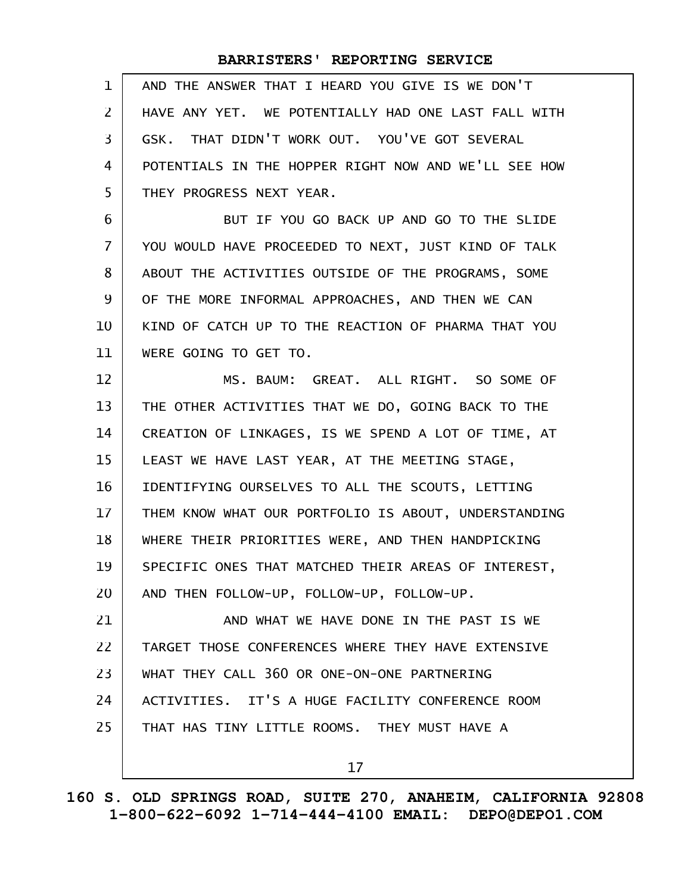| $\mathbf{1}$   | AND THE ANSWER THAT I HEARD YOU GIVE IS WE DON'T     |
|----------------|------------------------------------------------------|
| $\overline{2}$ | HAVE ANY YET. WE POTENTIALLY HAD ONE LAST FALL WITH  |
| 3              | GSK. THAT DIDN'T WORK OUT. YOU'VE GOT SEVERAL        |
| 4              | POTENTIALS IN THE HOPPER RIGHT NOW AND WE'LL SEE HOW |
| 5              | THEY PROGRESS NEXT YEAR.                             |
| 6              | BUT IF YOU GO BACK UP AND GO TO THE SLIDE            |
| $\overline{7}$ | YOU WOULD HAVE PROCEEDED TO NEXT, JUST KIND OF TALK  |
| 8              | ABOUT THE ACTIVITIES OUTSIDE OF THE PROGRAMS, SOME   |
| 9              | OF THE MORE INFORMAL APPROACHES, AND THEN WE CAN     |
| 10             | KIND OF CATCH UP TO THE REACTION OF PHARMA THAT YOU  |
| 11             | WERE GOING TO GET TO.                                |
| 12             | MS. BAUM: GREAT. ALL RIGHT. SO SOME OF               |
| 13             | THE OTHER ACTIVITIES THAT WE DO, GOING BACK TO THE   |
| 14             | CREATION OF LINKAGES, IS WE SPEND A LOT OF TIME, AT  |
| 15             | LEAST WE HAVE LAST YEAR, AT THE MEETING STAGE,       |
| 16             | IDENTIFYING OURSELVES TO ALL THE SCOUTS, LETTING     |
| 17             | THEM KNOW WHAT OUR PORTFOLIO IS ABOUT, UNDERSTANDING |
| 18             | WHERE THEIR PRIORITIES WERE, AND THEN HANDPICKING    |
| 19             | SPECIFIC ONES THAT MATCHED THEIR AREAS OF INTEREST,  |
| 20             | AND THEN FOLLOW-UP, FOLLOW-UP, FOLLOW-UP.            |
| 21             | AND WHAT WE HAVE DONE IN THE PAST IS WE              |
| 22             | TARGET THOSE CONFERENCES WHERE THEY HAVE EXTENSIVE   |
| 23             | WHAT THEY CALL 360 OR ONE-ON-ONE PARTNERING          |
| 24             | ACTIVITIES. IT'S A HUGE FACILITY CONFERENCE ROOM     |
| 25             | THAT HAS TINY LITTLE ROOMS. THEY MUST HAVE A         |
|                | 17                                                   |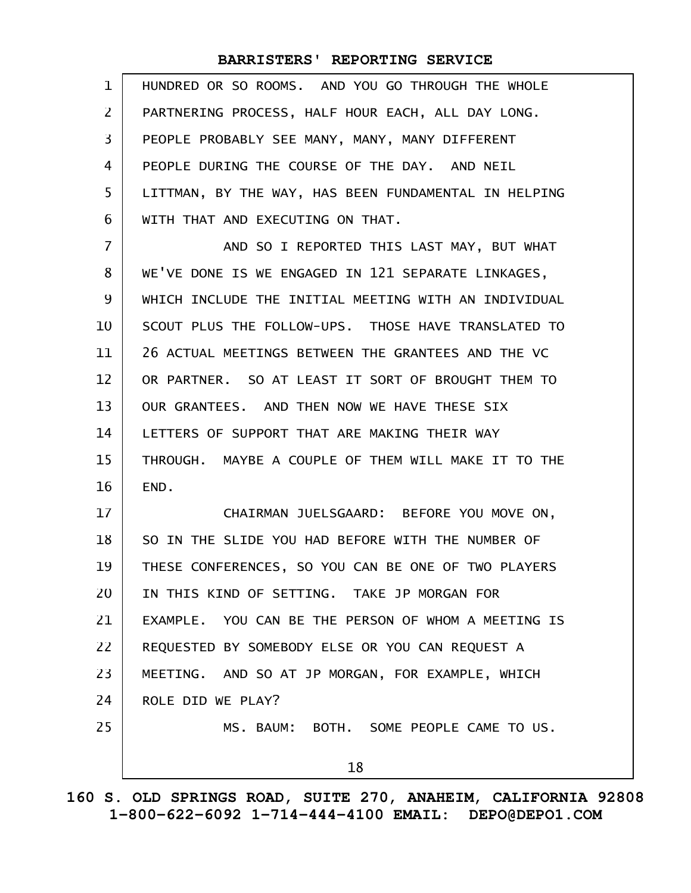| $\mathbf{1}$   | HUNDRED OR SO ROOMS. AND YOU GO THROUGH THE WHOLE    |
|----------------|------------------------------------------------------|
| $\mathsf{Z}$   | PARTNERING PROCESS, HALF HOUR EACH, ALL DAY LONG.    |
| 3              | PEOPLE PROBABLY SEE MANY, MANY, MANY DIFFERENT       |
| 4              | PEOPLE DURING THE COURSE OF THE DAY. AND NEIL        |
| 5              | LITTMAN, BY THE WAY, HAS BEEN FUNDAMENTAL IN HELPING |
| 6              | WITH THAT AND EXECUTING ON THAT.                     |
| $\overline{7}$ | AND SO I REPORTED THIS LAST MAY, BUT WHAT            |
| 8              | WE'VE DONE IS WE ENGAGED IN 121 SEPARATE LINKAGES,   |
| 9              | WHICH INCLUDE THE INITIAL MEETING WITH AN INDIVIDUAL |
| 10             | SCOUT PLUS THE FOLLOW-UPS. THOSE HAVE TRANSLATED TO  |
| 11             | 26 ACTUAL MEETINGS BETWEEN THE GRANTEES AND THE VC   |
| 12             | OR PARTNER. SO AT LEAST IT SORT OF BROUGHT THEM TO   |
| 13             | OUR GRANTEES. AND THEN NOW WE HAVE THESE SIX         |
| 14             | LETTERS OF SUPPORT THAT ARE MAKING THEIR WAY         |
| 15             | THROUGH. MAYBE A COUPLE OF THEM WILL MAKE IT TO THE  |
| 16             | END.                                                 |
| 17             | CHAIRMAN JUELSGAARD: BEFORE YOU MOVE ON,             |
| 18             | SO IN THE SLIDE YOU HAD BEFORE WITH THE NUMBER OF    |
| 19             | THESE CONFERENCES, SO YOU CAN BE ONE OF TWO PLAYERS  |
| 20             | IN THIS KIND OF SETTING. TAKE JP MORGAN FOR          |
| 21             | EXAMPLE. YOU CAN BE THE PERSON OF WHOM A MEETING IS  |
| 22             | REQUESTED BY SOMEBODY ELSE OR YOU CAN REQUEST A      |
| 23             | MEETING. AND SO AT JP MORGAN, FOR EXAMPLE, WHICH     |
| 24             | ROLE DID WE PLAY?                                    |
| 25             | MS. BAUM: BOTH. SOME PEOPLE CAME TO US.              |
|                | 18                                                   |
|                |                                                      |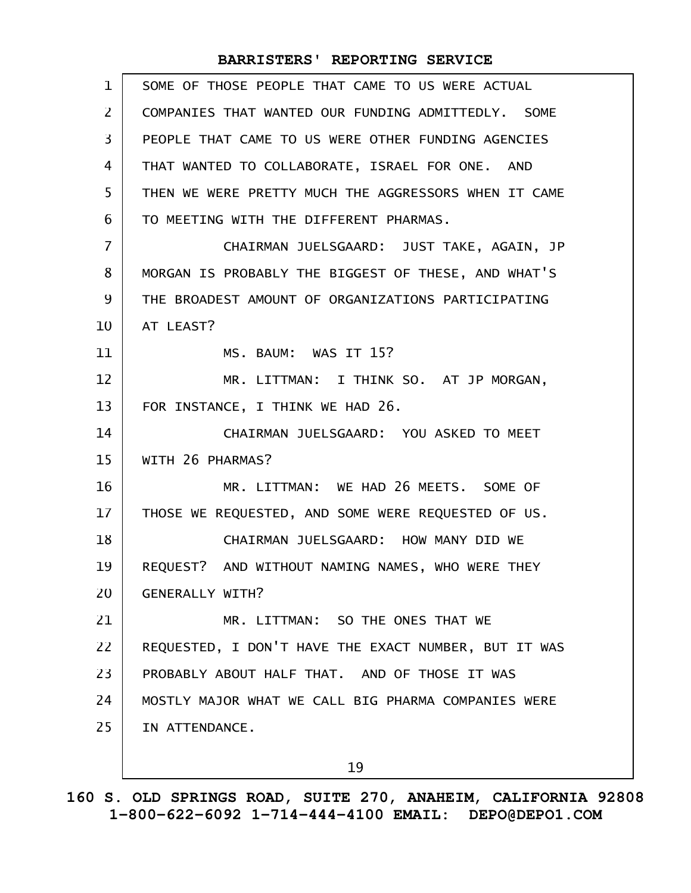| $\mathbf{1}$      | SOME OF THOSE PEOPLE THAT CAME TO US WERE ACTUAL     |
|-------------------|------------------------------------------------------|
| $\mathbf{2}$      | COMPANIES THAT WANTED OUR FUNDING ADMITTEDLY, SOME   |
| 3                 | PEOPLE THAT CAME TO US WERE OTHER FUNDING AGENCIES   |
| 4                 | THAT WANTED TO COLLABORATE, ISRAEL FOR ONE. AND      |
| 5                 | THEN WE WERE PRETTY MUCH THE AGGRESSORS WHEN IT CAME |
| 6                 | TO MEETING WITH THE DIFFERENT PHARMAS.               |
| $\overline{7}$    | CHAIRMAN JUELSGAARD: JUST TAKE, AGAIN, JP            |
| 8                 | MORGAN IS PROBABLY THE BIGGEST OF THESE, AND WHAT'S  |
| 9                 | THE BROADEST AMOUNT OF ORGANIZATIONS PARTICIPATING   |
| 10                | AT LEAST?                                            |
| 11                | MS. BAUM: WAS IT 15?                                 |
| $12 \overline{ }$ | MR. LITTMAN: I THINK SO. AT JP MORGAN,               |
| 13                | FOR INSTANCE, I THINK WE HAD 26.                     |
| 14                | CHAIRMAN JUELSGAARD: YOU ASKED TO MEET               |
| 15                | WITH 26 PHARMAS?                                     |
| 16                | MR. LITTMAN: WE HAD 26 MEETS. SOME OF                |
| 17                | THOSE WE REQUESTED, AND SOME WERE REQUESTED OF US.   |
| 18                | CHAIRMAN JUELSGAARD: HOW MANY DID WE                 |
| 19                | REQUEST? AND WITHOUT NAMING NAMES, WHO WERE THEY     |
| 20                | <b>GENERALLY WITH?</b>                               |
| 21                | MR. LITTMAN: SO THE ONES THAT WE                     |
| 22                | REQUESTED, I DON'T HAVE THE EXACT NUMBER, BUT IT WAS |
| 23                | PROBABLY ABOUT HALF THAT. AND OF THOSE IT WAS        |
| 24                | MOSTLY MAJOR WHAT WE CALL BIG PHARMA COMPANIES WERE  |
| 25                | IN ATTENDANCE.                                       |
|                   | 19                                                   |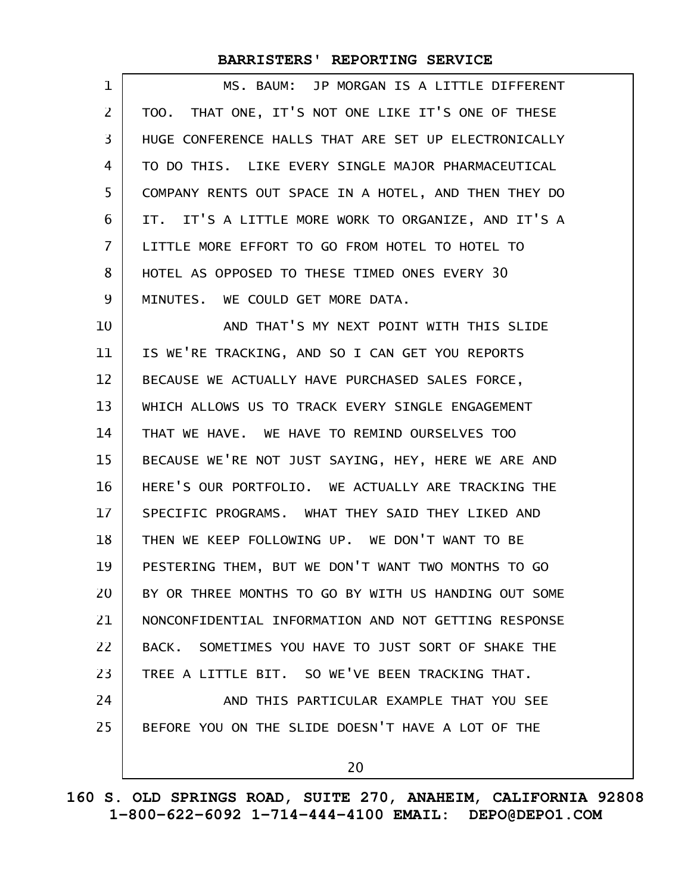| 1  | MS. BAUM: JP MORGAN IS A LITTLE DIFFERENT            |
|----|------------------------------------------------------|
| 2  | TOO. THAT ONE, IT'S NOT ONE LIKE IT'S ONE OF THESE   |
| 3  | HUGE CONFERENCE HALLS THAT ARE SET UP ELECTRONICALLY |
| 4  | TO DO THIS. LIKE EVERY SINGLE MAJOR PHARMACEUTICAL   |
| 5  | COMPANY RENTS OUT SPACE IN A HOTEL, AND THEN THEY DO |
| 6  | IT. IT'S A LITTLE MORE WORK TO ORGANIZE, AND IT'S A  |
| 7  | LITTLE MORE EFFORT TO GO FROM HOTEL TO HOTEL TO      |
| 8  | HOTEL AS OPPOSED TO THESE TIMED ONES EVERY 30        |
| 9  | MINUTES, WE COULD GET MORE DATA.                     |
| 10 | AND THAT'S MY NEXT POINT WITH THIS SLIDE             |
| 11 | IS WE'RE TRACKING, AND SO I CAN GET YOU REPORTS      |
| 12 | BECAUSE WE ACTUALLY HAVE PURCHASED SALES FORCE,      |
| 13 | WHICH ALLOWS US TO TRACK EVERY SINGLE ENGAGEMENT     |
| 14 | THAT WE HAVE. WE HAVE TO REMIND OURSELVES TOO        |
| 15 | BECAUSE WE'RE NOT JUST SAYING, HEY, HERE WE ARE AND  |
| 16 | HERE'S OUR PORTFOLIO. WE ACTUALLY ARE TRACKING THE   |
| 17 | SPECIFIC PROGRAMS. WHAT THEY SAID THEY LIKED AND     |
| 18 | THEN WE KEEP FOLLOWING UP. WE DON'T WANT TO BE       |
| 19 | PESTERING THEM, BUT WE DON'T WANT TWO MONTHS TO GO   |
| 20 | BY OR THREE MONTHS TO GO BY WITH US HANDING OUT SOME |
| 21 | NONCONFIDENTIAL INFORMATION AND NOT GETTING RESPONSE |
| 22 | BACK. SOMETIMES YOU HAVE TO JUST SORT OF SHAKE THE   |
| 23 | TREE A LITTLE BIT. SO WE'VE BEEN TRACKING THAT.      |
| 24 | AND THIS PARTICULAR EXAMPLE THAT YOU SEE             |
| 25 | BEFORE YOU ON THE SLIDE DOESN'T HAVE A LOT OF THE    |
|    | 20                                                   |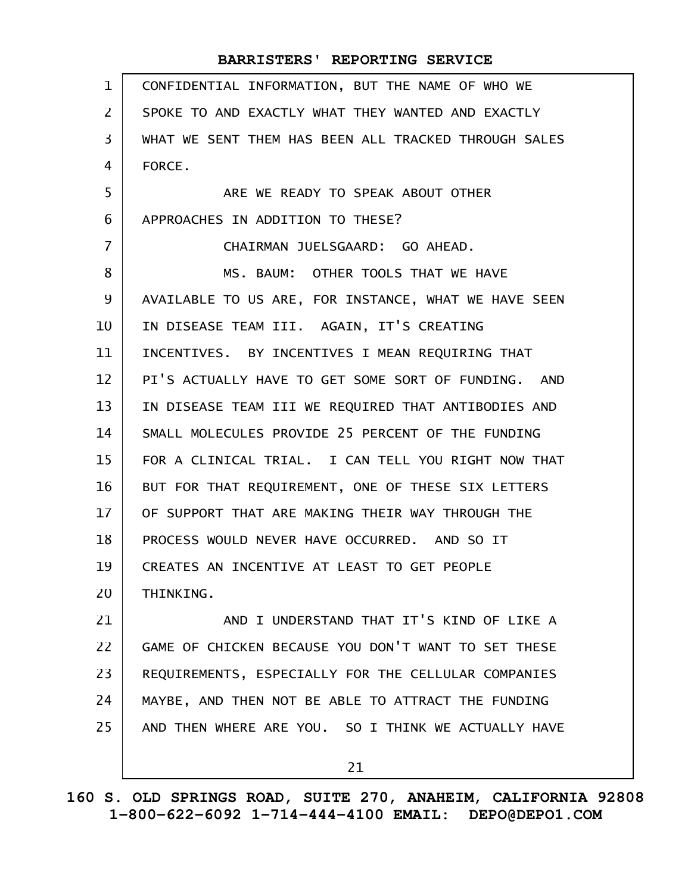| $\mathbf{1}$   | CONFIDENTIAL INFORMATION, BUT THE NAME OF WHO WE     |
|----------------|------------------------------------------------------|
| $\overline{2}$ | SPOKE TO AND EXACTLY WHAT THEY WANTED AND EXACTLY    |
| 3              | WHAT WE SENT THEM HAS BEEN ALL TRACKED THROUGH SALES |
| 4              | FORCE.                                               |
| 5              | ARE WE READY TO SPEAK ABOUT OTHER                    |
| 6              | APPROACHES IN ADDITION TO THESE?                     |
| $\overline{7}$ | CHAIRMAN JUELSGAARD: GO AHEAD.                       |
| 8              | MS. BAUM: OTHER TOOLS THAT WE HAVE                   |
| 9              | AVAILABLE TO US ARE, FOR INSTANCE, WHAT WE HAVE SEEN |
| 10             | IN DISEASE TEAM III. AGAIN, IT'S CREATING            |
| 11             | INCENTIVES. BY INCENTIVES I MEAN REQUIRING THAT      |
| 12             | PI'S ACTUALLY HAVE TO GET SOME SORT OF FUNDING. AND  |
| 13             | IN DISEASE TEAM III WE REQUIRED THAT ANTIBODIES AND  |
| 14             | SMALL MOLECULES PROVIDE 25 PERCENT OF THE FUNDING    |
| 15             | FOR A CLINICAL TRIAL. I CAN TELL YOU RIGHT NOW THAT  |
| 16             | BUT FOR THAT REQUIREMENT, ONE OF THESE SIX LETTERS   |
| 17             | OF SUPPORT THAT ARE MAKING THEIR WAY THROUGH THE     |
| 18             | PROCESS WOULD NEVER HAVE OCCURRED. AND SO IT         |
| 19             | CREATES AN INCENTIVE AT LEAST TO GET PEOPLE          |
| 20             | THINKING.                                            |
| 21             | AND I UNDERSTAND THAT IT'S KIND OF LIKE A            |
| 22             | GAME OF CHICKEN BECAUSE YOU DON'T WANT TO SET THESE  |
| 23             | REQUIREMENTS, ESPECIALLY FOR THE CELLULAR COMPANIES  |
| 24             | MAYBE, AND THEN NOT BE ABLE TO ATTRACT THE FUNDING   |
| 25             | AND THEN WHERE ARE YOU. SO I THINK WE ACTUALLY HAVE  |
|                | 21                                                   |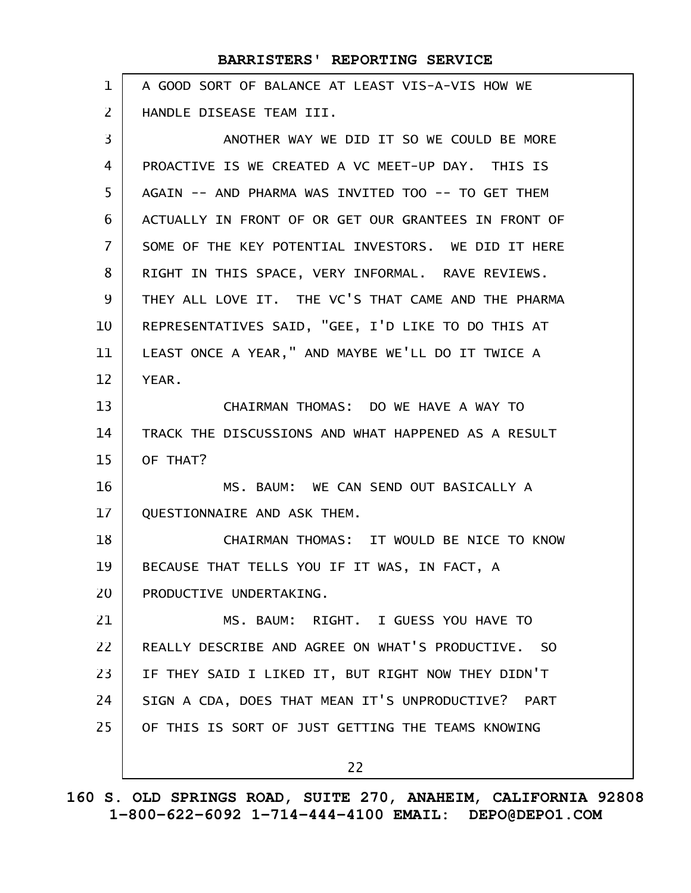| $\mathbf{1}$   | A GOOD SORT OF BALANCE AT LEAST VIS-A-VIS HOW WE     |
|----------------|------------------------------------------------------|
| $\overline{2}$ | HANDLE DISEASE TEAM III.                             |
| 3              | ANOTHER WAY WE DID IT SO WE COULD BE MORE            |
| 4              | PROACTIVE IS WE CREATED A VC MEET-UP DAY. THIS IS    |
| 5              | AGAIN -- AND PHARMA WAS INVITED TOO -- TO GET THEM   |
| 6              | ACTUALLY IN FRONT OF OR GET OUR GRANTEES IN FRONT OF |
| $\overline{7}$ | SOME OF THE KEY POTENTIAL INVESTORS. WE DID IT HERE  |
| 8              | RIGHT IN THIS SPACE, VERY INFORMAL. RAVE REVIEWS.    |
| 9              | THEY ALL LOVE IT. THE VC'S THAT CAME AND THE PHARMA  |
| 10             | REPRESENTATIVES SAID, "GEE, I'D LIKE TO DO THIS AT   |
| 11             | LEAST ONCE A YEAR," AND MAYBE WE'LL DO IT TWICE A    |
| 12             | YEAR.                                                |
| 13             | CHAIRMAN THOMAS: DO WE HAVE A WAY TO                 |
| 14             | TRACK THE DISCUSSIONS AND WHAT HAPPENED AS A RESULT  |
| 15             | OF THAT?                                             |
| 16             | MS. BAUM: WE CAN SEND OUT BASICALLY A                |
| 17             | QUESTIONNAIRE AND ASK THEM.                          |
| 18             | CHAIRMAN THOMAS: IT WOULD BE NICE TO KNOW            |
| 19             | BECAUSE THAT TELLS YOU IF IT WAS, IN FACT, A         |
| 20             | PRODUCTIVE UNDERTAKING.                              |
| 21             | MS. BAUM: RIGHT. I GUESS YOU HAVE TO                 |
| 22             | REALLY DESCRIBE AND AGREE ON WHAT'S PRODUCTIVE. SO   |
| 23             | IF THEY SAID I LIKED IT, BUT RIGHT NOW THEY DIDN'T   |
| 24             | SIGN A CDA, DOES THAT MEAN IT'S UNPRODUCTIVE? PART   |
| 25             | OF THIS IS SORT OF JUST GETTING THE TEAMS KNOWING    |
|                | 22                                                   |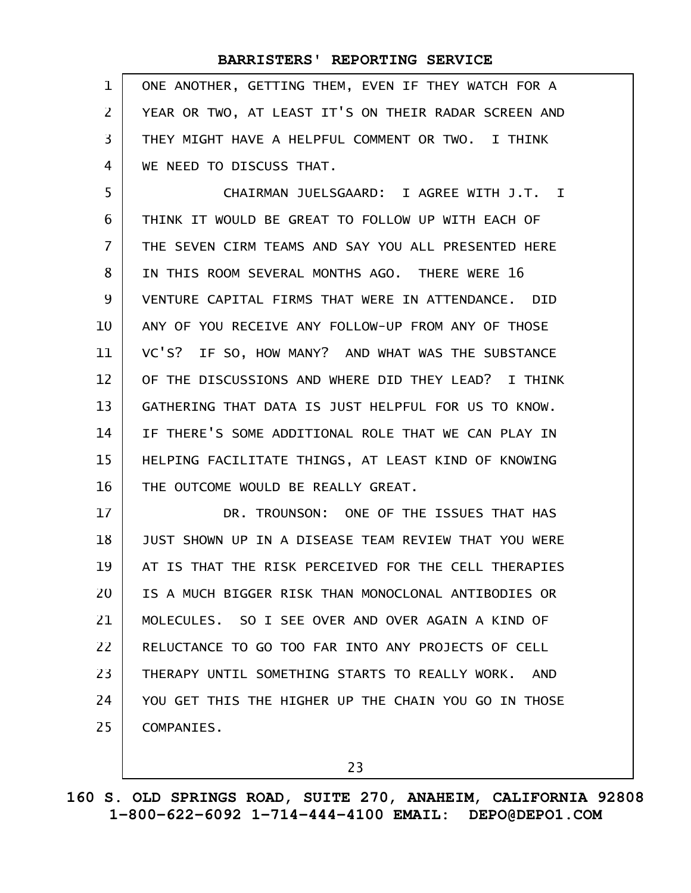| 1 ONE ANOTHER, GETTING THEM, EVEN IF THEY WATCH FOR A    |
|----------------------------------------------------------|
| 2   YEAR OR TWO, AT LEAST IT'S ON THEIR RADAR SCREEN AND |
| 3   THEY MIGHT HAVE A HELPFUL COMMENT OR TWO. I THINK    |
| 4   WE NEED TO DISCUSS THAT.                             |

CHAIRMAN JUELSGAARD: I AGREE WITH J.T. I THINK IT WOULD BE GREAT TO FOLLOW UP WITH EACH OF THE SEVEN CIRM TEAMS AND SAY YOU ALL PRESENTED HERE IN THIS ROOM SEVERAL MONTHS AGO. THERE WERE 16 VENTURE CAPITAL FIRMS THAT WERE IN ATTENDANCE. DID ANY OF YOU RECEIVE ANY FOLLOW-UP FROM ANY OF THOSE VC'S? IF SO, HOW MANY? AND WHAT WAS THE SUBSTANCE OF THE DISCUSSIONS AND WHERE DID THEY LEAD? I THINK GATHERING THAT DATA IS JUST HELPFUL FOR US TO KNOW. IF THERE'S SOME ADDITIONAL ROLE THAT WE CAN PLAY IN HELPING FACILITATE THINGS, AT LEAST KIND OF KNOWING THE OUTCOME WOULD BE REALLY GREAT. 5 6 7 8 9 10 11 12 13 14 15 16

DR. TROUNSON: ONE OF THE ISSUES THAT HAS JUST SHOWN UP IN A DISEASE TEAM REVIEW THAT YOU WERE AT IS THAT THE RISK PERCEIVED FOR THE CELL THERAPIES IS A MUCH BIGGER RISK THAN MONOCLONAL ANTIBODIES OR MOLECULES. SO I SEE OVER AND OVER AGAIN A KIND OF RELUCTANCE TO GO TOO FAR INTO ANY PROJECTS OF CELL THERAPY UNTIL SOMETHING STARTS TO REALLY WORK. AND YOU GET THIS THE HIGHER UP THE CHAIN YOU GO IN THOSE COMPANIES. 17 18 19 20 21 22 23 24 25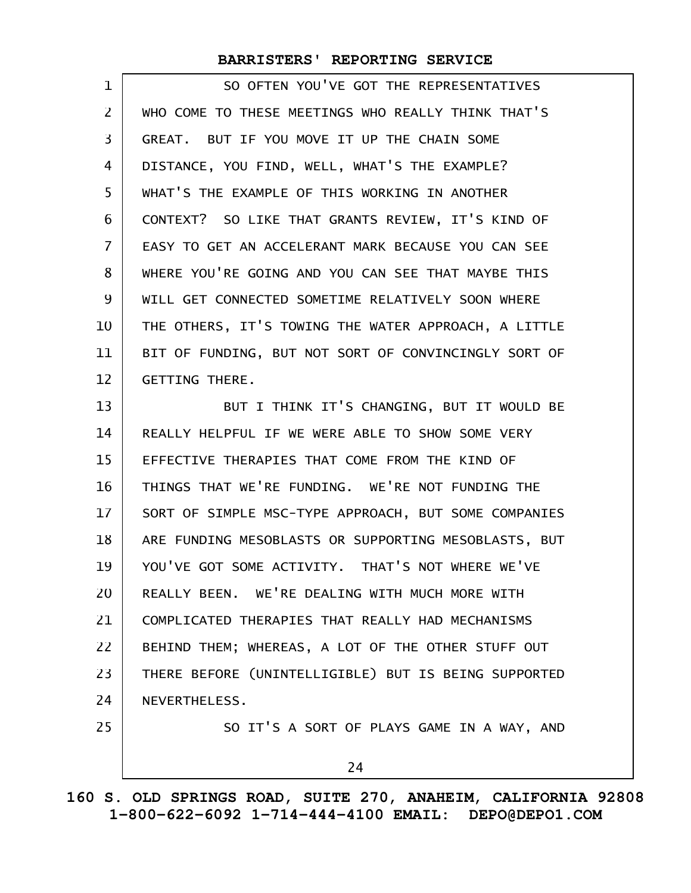| $\mathbf{1}$ | SO OFTEN YOU'VE GOT THE REPRESENTATIVES              |
|--------------|------------------------------------------------------|
| 2            | WHO COME TO THESE MEETINGS WHO REALLY THINK THAT'S   |
| 3            | GREAT. BUT IF YOU MOVE IT UP THE CHAIN SOME          |
| 4            | DISTANCE, YOU FIND, WELL, WHAT'S THE EXAMPLE?        |
| 5            | WHAT'S THE EXAMPLE OF THIS WORKING IN ANOTHER        |
| 6            | CONTEXT? SO LIKE THAT GRANTS REVIEW, IT'S KIND OF    |
| 7            | EASY TO GET AN ACCELERANT MARK BECAUSE YOU CAN SEE   |
| 8            | WHERE YOU'RE GOING AND YOU CAN SEE THAT MAYBE THIS   |
| 9            | WILL GET CONNECTED SOMETIME RELATIVELY SOON WHERE    |
| 10           | THE OTHERS, IT'S TOWING THE WATER APPROACH, A LITTLE |
| 11           | BIT OF FUNDING, BUT NOT SORT OF CONVINCINGLY SORT OF |
| 12           | <b>GETTING THERE.</b>                                |
| 13           | BUT I THINK IT'S CHANGING, BUT IT WOULD BE           |
| 14           | REALLY HELPFUL IF WE WERE ABLE TO SHOW SOME VERY     |
| 15           | EFFECTIVE THERAPIES THAT COME FROM THE KIND OF       |
| 16           | THINGS THAT WE'RE FUNDING. WE'RE NOT FUNDING THE     |
| 17           | SORT OF SIMPLE MSC-TYPE APPROACH, BUT SOME COMPANIES |
| 18           | ARE FUNDING MESOBLASTS OR SUPPORTING MESOBLASTS, BUT |
| 19           | YOU'VE GOT SOME ACTIVITY. THAT'S NOT WHERE WE'VE     |
| 20           | REALLY BEEN. WE'RE DEALING WITH MUCH MORE WITH       |
| 21           | COMPLICATED THERAPIES THAT REALLY HAD MECHANISMS     |
| 22           | BEHIND THEM; WHEREAS, A LOT OF THE OTHER STUFF OUT   |
| 23           | THERE BEFORE (UNINTELLIGIBLE) BUT IS BEING SUPPORTED |
| 24           | NEVERTHELESS.                                        |
| 25           | SO IT'S A SORT OF PLAYS GAME IN A WAY, AND           |
|              |                                                      |

24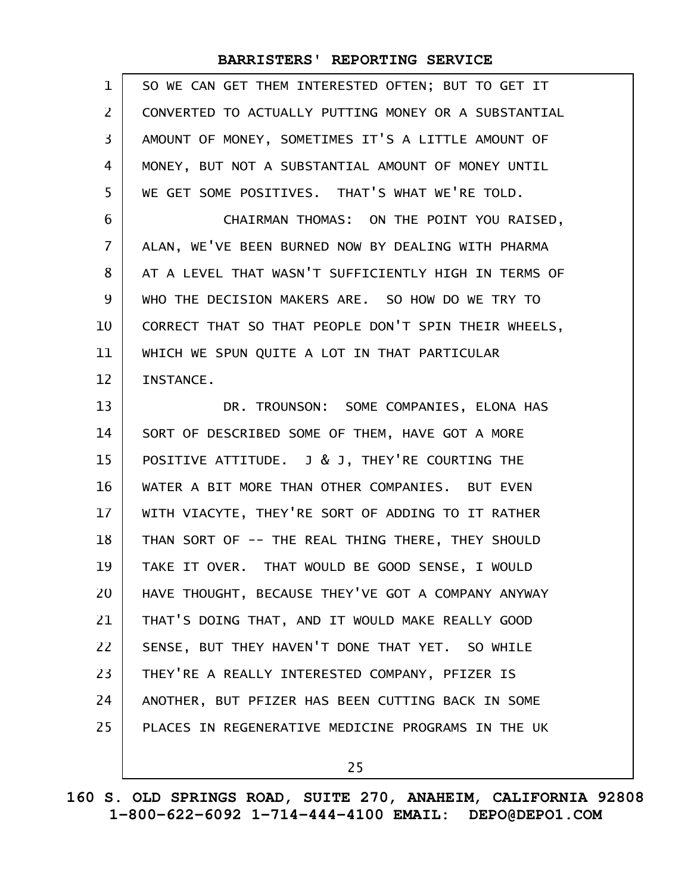| $\mathbf{1}$   | SO WE CAN GET THEM INTERESTED OFTEN; BUT TO GET IT   |
|----------------|------------------------------------------------------|
| 2              | CONVERTED TO ACTUALLY PUTTING MONEY OR A SUBSTANTIAL |
| 3              | AMOUNT OF MONEY, SOMETIMES IT'S A LITTLE AMOUNT OF   |
| 4              | MONEY, BUT NOT A SUBSTANTIAL AMOUNT OF MONEY UNTIL   |
| 5              | WE GET SOME POSITIVES. THAT'S WHAT WE'RE TOLD.       |
| 6              | CHAIRMAN THOMAS: ON THE POINT YOU RAISED,            |
| $\overline{7}$ | ALAN, WE'VE BEEN BURNED NOW BY DEALING WITH PHARMA   |
| 8              | AT A LEVEL THAT WASN'T SUFFICIENTLY HIGH IN TERMS OF |
| 9              | WHO THE DECISION MAKERS ARE. SO HOW DO WE TRY TO     |
| 10             | CORRECT THAT SO THAT PEOPLE DON'T SPIN THEIR WHEELS, |
| 11             | WHICH WE SPUN QUITE A LOT IN THAT PARTICULAR         |
| 12             | INSTANCE.                                            |
| 13             | DR. TROUNSON: SOME COMPANIES, ELONA HAS              |
| 14             | SORT OF DESCRIBED SOME OF THEM, HAVE GOT A MORE      |
| 15             | POSITIVE ATTITUDE. J & J, THEY'RE COURTING THE       |
|                |                                                      |
| 16             | WATER A BIT MORE THAN OTHER COMPANIES. BUT EVEN      |
| 17             | WITH VIACYTE, THEY'RE SORT OF ADDING TO IT RATHER    |
| 18             | THAN SORT OF -- THE REAL THING THERE, THEY SHOULD    |
| 19             | TAKE IT OVER. THAT WOULD BE GOOD SENSE, I WOULD      |
| 20             | HAVE THOUGHT, BECAUSE THEY'VE GOT A COMPANY ANYWAY   |
| 21             | THAT'S DOING THAT, AND IT WOULD MAKE REALLY GOOD     |
| 22             | SENSE, BUT THEY HAVEN'T DONE THAT YET. SO WHILE      |
| 23             | THEY'RE A REALLY INTERESTED COMPANY, PFIZER IS       |
| 24             | ANOTHER, BUT PFIZER HAS BEEN CUTTING BACK IN SOME    |
| 25             | PLACES IN REGENERATIVE MEDICINE PROGRAMS IN THE UK   |

25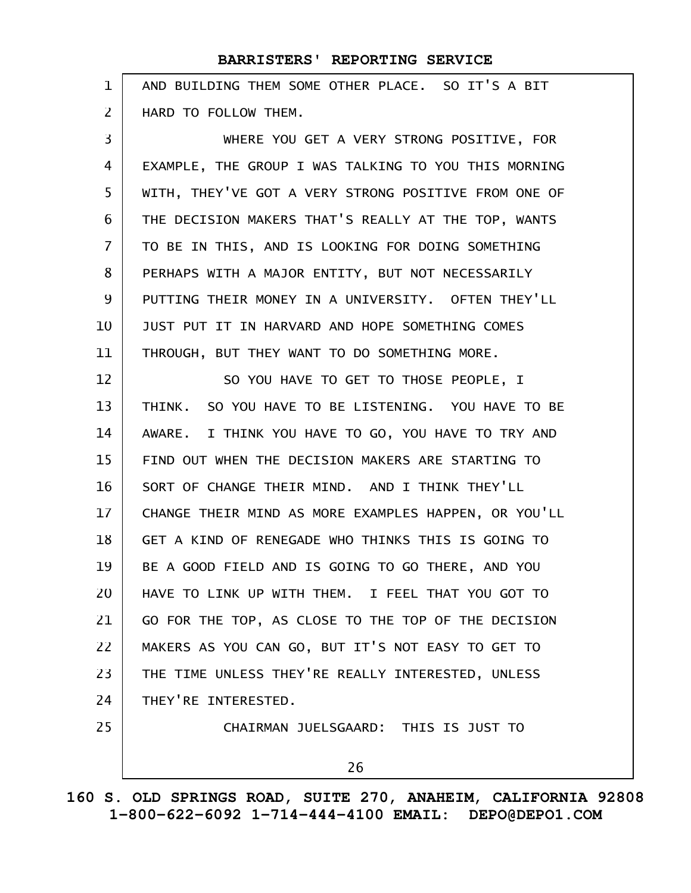AND BUILDING THEM SOME OTHER PLACE. SO IT'S A BIT HARD TO FOLLOW THEM. 1 2

WHERE YOU GET A VERY STRONG POSITIVE, FOR EXAMPLE, THE GROUP I WAS TALKING TO YOU THIS MORNING WITH, THEY'VE GOT A VERY STRONG POSITIVE FROM ONE OF THE DECISION MAKERS THAT'S REALLY AT THE TOP, WANTS TO BE IN THIS, AND IS LOOKING FOR DOING SOMETHING PERHAPS WITH A MAJOR ENTITY, BUT NOT NECESSARILY PUTTING THEIR MONEY IN A UNIVERSITY. OFTEN THEY'LL JUST PUT IT IN HARVARD AND HOPE SOMETHING COMES THROUGH, BUT THEY WANT TO DO SOMETHING MORE. 3 4 5 6 7 8 9 10 11

SO YOU HAVE TO GET TO THOSE PEOPLE, I THINK. SO YOU HAVE TO BE LISTENING. YOU HAVE TO BE AWARE. I THINK YOU HAVE TO GO, YOU HAVE TO TRY AND FIND OUT WHEN THE DECISION MAKERS ARE STARTING TO SORT OF CHANGE THEIR MIND. AND I THINK THEY'LL CHANGE THEIR MIND AS MORE EXAMPLES HAPPEN, OR YOU'LL GET A KIND OF RENEGADE WHO THINKS THIS IS GOING TO BE A GOOD FIELD AND IS GOING TO GO THERE, AND YOU HAVE TO LINK UP WITH THEM. I FEEL THAT YOU GOT TO GO FOR THE TOP, AS CLOSE TO THE TOP OF THE DECISION MAKERS AS YOU CAN GO, BUT IT'S NOT EASY TO GET TO THE TIME UNLESS THEY'RE REALLY INTERESTED, UNLESS THEY'RE INTERESTED. CHAIRMAN JUELSGAARD: THIS IS JUST TO 12 13 14 15 16 17 18 19 20 21 22 23 24 25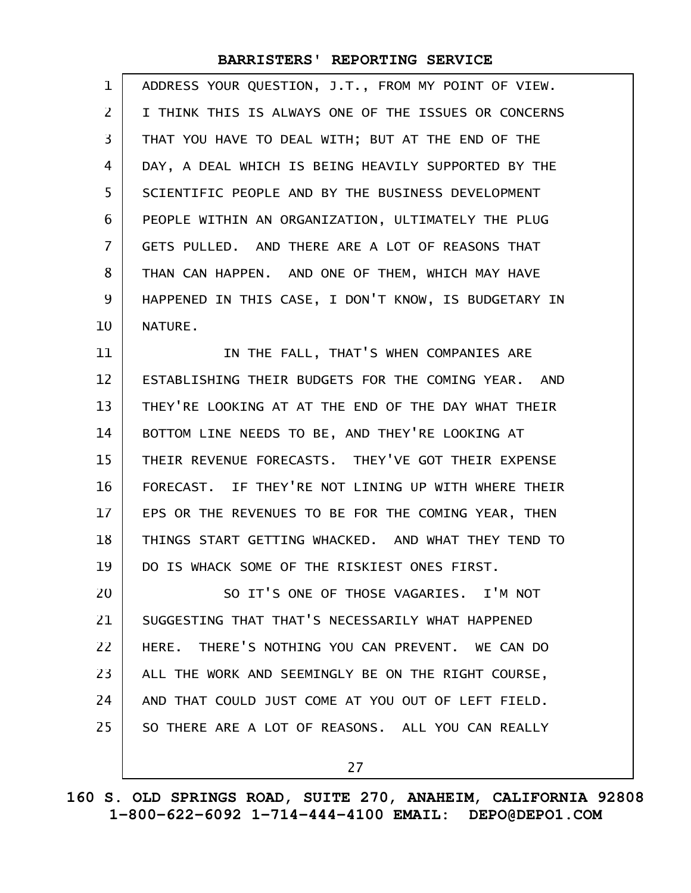| 1              | ADDRESS YOUR QUESTION, J.T., FROM MY POINT OF VIEW.  |
|----------------|------------------------------------------------------|
| 2              | I THINK THIS IS ALWAYS ONE OF THE ISSUES OR CONCERNS |
| 3              | THAT YOU HAVE TO DEAL WITH; BUT AT THE END OF THE    |
| 4              | DAY, A DEAL WHICH IS BEING HEAVILY SUPPORTED BY THE  |
| 5              | SCIENTIFIC PEOPLE AND BY THE BUSINESS DEVELOPMENT    |
| 6              | PEOPLE WITHIN AN ORGANIZATION, ULTIMATELY THE PLUG   |
| $\overline{7}$ | GETS PULLED. AND THERE ARE A LOT OF REASONS THAT     |
| 8              | THAN CAN HAPPEN. AND ONE OF THEM, WHICH MAY HAVE     |
| 9              | HAPPENED IN THIS CASE, I DON'T KNOW, IS BUDGETARY IN |
| 10             | NATURE.                                              |
| 11             | IN THE FALL, THAT'S WHEN COMPANIES ARE               |
| 12             | ESTABLISHING THEIR BUDGETS FOR THE COMING YEAR. AND  |
| 13             | THEY'RE LOOKING AT AT THE END OF THE DAY WHAT THEIR  |
| 14             | BOTTOM LINE NEEDS TO BE, AND THEY'RE LOOKING AT      |
| 15             | THEIR REVENUE FORECASTS. THEY'VE GOT THEIR EXPENSE   |
| 16             | FORECAST. IF THEY'RE NOT LINING UP WITH WHERE THEIR  |
| 17             | EPS OR THE REVENUES TO BE FOR THE COMING YEAR, THEN  |
| 18             | THINGS START GETTING WHACKED. AND WHAT THEY TEND TO  |
| 19             | DO IS WHACK SOME OF THE RISKIEST ONES FIRST.         |
| 20             | SO IT'S ONE OF THOSE VAGARIES. I'M NOT               |
| 21             | SUGGESTING THAT THAT'S NECESSARILY WHAT HAPPENED     |
| 22             | HERE. THERE'S NOTHING YOU CAN PREVENT. WE CAN DO     |
| 23             | ALL THE WORK AND SEEMINGLY BE ON THE RIGHT COURSE,   |
| 24             | AND THAT COULD JUST COME AT YOU OUT OF LEFT FIELD.   |
| 25             | SO THERE ARE A LOT OF REASONS. ALL YOU CAN REALLY    |
|                | 27                                                   |
|                |                                                      |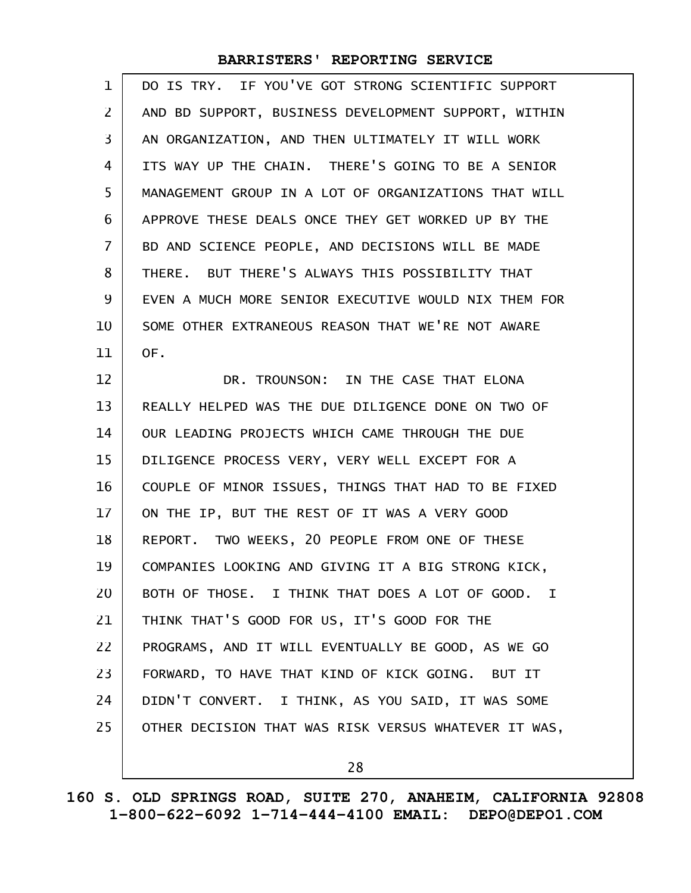| $\mathbf 1$    | DO IS TRY. IF YOU'VE GOT STRONG SCIENTIFIC SUPPORT   |
|----------------|------------------------------------------------------|
| $\overline{2}$ | AND BD SUPPORT, BUSINESS DEVELOPMENT SUPPORT, WITHIN |
| $\overline{3}$ | AN ORGANIZATION, AND THEN ULTIMATELY IT WILL WORK    |
| 4              | ITS WAY UP THE CHAIN. THERE'S GOING TO BE A SENIOR   |
| 5              | MANAGEMENT GROUP IN A LOT OF ORGANIZATIONS THAT WILL |
| 6              | APPROVE THESE DEALS ONCE THEY GET WORKED UP BY THE   |
| $\overline{7}$ | BD AND SCIENCE PEOPLE, AND DECISIONS WILL BE MADE    |
| 8              | THERE. BUT THERE'S ALWAYS THIS POSSIBILITY THAT      |
| 9              | EVEN A MUCH MORE SENIOR EXECUTIVE WOULD NIX THEM FOR |
| 10             | SOME OTHER EXTRANEOUS REASON THAT WE'RE NOT AWARE    |
| 11             | OF.                                                  |
| 12             | DR. TROUNSON: IN THE CASE THAT ELONA                 |
| 13             | REALLY HELPED WAS THE DUE DILIGENCE DONE ON TWO OF   |
| 14             | OUR LEADING PROJECTS WHICH CAME THROUGH THE DUE      |
| 15             | DILIGENCE PROCESS VERY, VERY WELL EXCEPT FOR A       |
| 16             | COUPLE OF MINOR ISSUES, THINGS THAT HAD TO BE FIXED  |
| $17 \,$        | ON THE IP, BUT THE REST OF IT WAS A VERY GOOD        |
| 18             | REPORT. TWO WEEKS, 20 PEOPLE FROM ONE OF THESE       |
| 19             | COMPANIES LOOKING AND GIVING IT A BIG STRONG KICK,   |
| 20             | BOTH OF THOSE. I THINK THAT DOES A LOT OF GOOD. I    |
| 21             | THINK THAT'S GOOD FOR US, IT'S GOOD FOR THE          |
| 22             | PROGRAMS, AND IT WILL EVENTUALLY BE GOOD, AS WE GO   |
| 23             | FORWARD, TO HAVE THAT KIND OF KICK GOING. BUT IT     |
| 24             | DIDN'T CONVERT. I THINK, AS YOU SAID, IT WAS SOME    |
| 25             | OTHER DECISION THAT WAS RISK VERSUS WHATEVER IT WAS, |
|                |                                                      |

28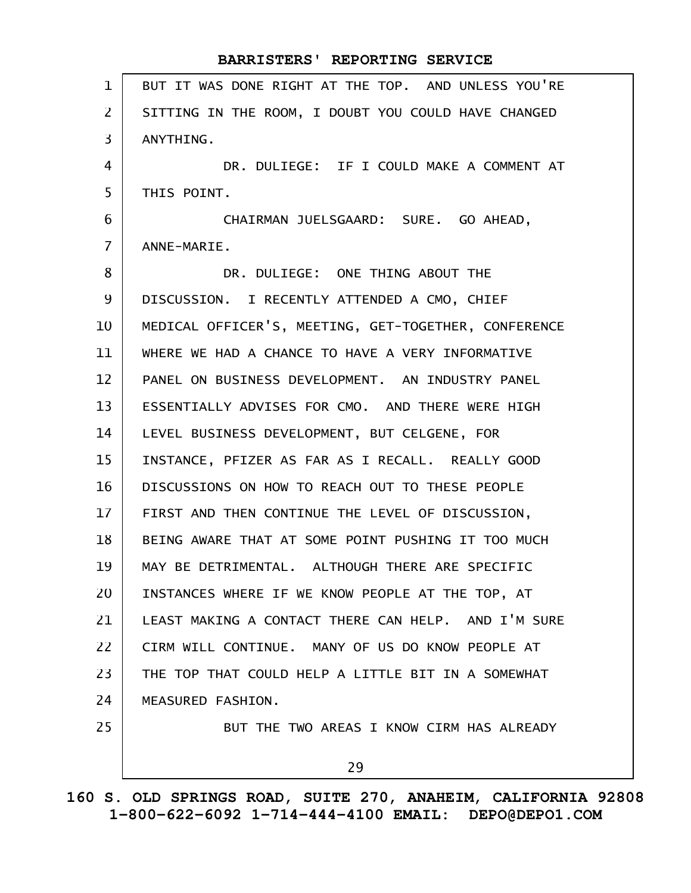| $\mathbf{1}$   | BUT IT WAS DONE RIGHT AT THE TOP. AND UNLESS YOU'RE  |
|----------------|------------------------------------------------------|
| $\overline{2}$ | SITTING IN THE ROOM, I DOUBT YOU COULD HAVE CHANGED  |
| 3              | ANYTHING.                                            |
| 4              | DR. DULIEGE: IF I COULD MAKE A COMMENT AT            |
| 5              | THIS POINT.                                          |
| 6              | CHAIRMAN JUELSGAARD: SURE. GO AHEAD,                 |
| $\overline{7}$ | ANNE-MARIE.                                          |
| 8              | DR. DULIEGE: ONE THING ABOUT THE                     |
| 9              | DISCUSSION. I RECENTLY ATTENDED A CMO, CHIEF         |
| 10             | MEDICAL OFFICER'S, MEETING, GET-TOGETHER, CONFERENCE |
| 11             | WHERE WE HAD A CHANCE TO HAVE A VERY INFORMATIVE     |
| 12             | PANEL ON BUSINESS DEVELOPMENT. AN INDUSTRY PANEL     |
| 13             | ESSENTIALLY ADVISES FOR CMO. AND THERE WERE HIGH     |
| 14             | LEVEL BUSINESS DEVELOPMENT, BUT CELGENE, FOR         |
| 15             | INSTANCE, PFIZER AS FAR AS I RECALL. REALLY GOOD     |
| 16             | DISCUSSIONS ON HOW TO REACH OUT TO THESE PEOPLE      |
| $17 \,$        | FIRST AND THEN CONTINUE THE LEVEL OF DISCUSSION,     |
| 18             | BEING AWARE THAT AT SOME POINT PUSHING IT TOO MUCH   |
| 19             | MAY BE DETRIMENTAL. ALTHOUGH THERE ARE SPECIFIC      |
| 20             | INSTANCES WHERE IF WE KNOW PEOPLE AT THE TOP, AT     |
| 21             | LEAST MAKING A CONTACT THERE CAN HELP. AND I'M SURE  |
| 22             | CIRM WILL CONTINUE. MANY OF US DO KNOW PEOPLE AT     |
| 23             | THE TOP THAT COULD HELP A LITTLE BIT IN A SOMEWHAT   |
| 24             | MEASURED FASHION.                                    |
| 25             | BUT THE TWO AREAS I KNOW CIRM HAS ALREADY            |
|                | 29                                                   |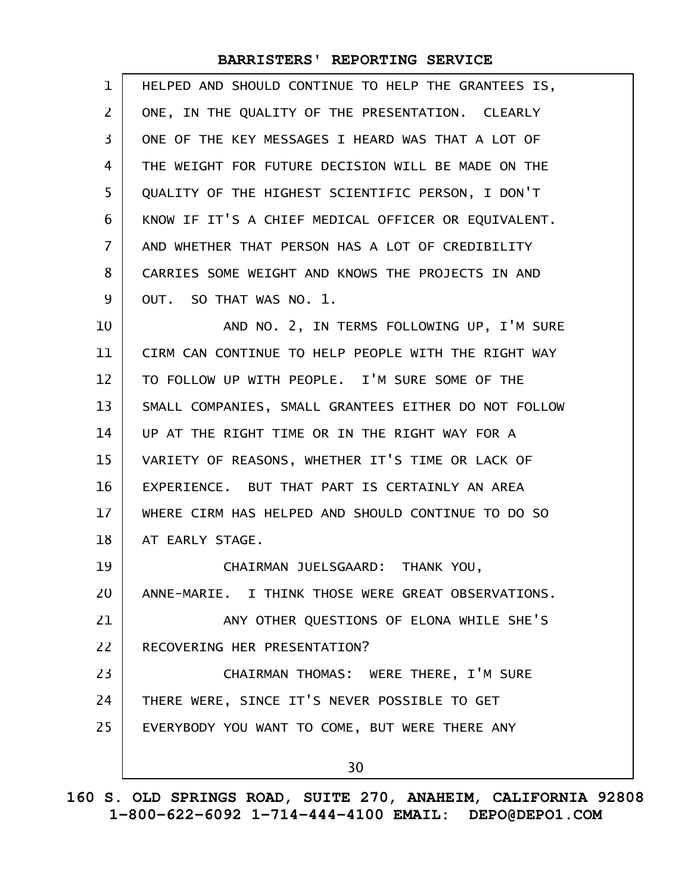| $\mathbf 1$     | HELPED AND SHOULD CONTINUE TO HELP THE GRANTEES IS,  |
|-----------------|------------------------------------------------------|
| $\overline{2}$  | ONE, IN THE QUALITY OF THE PRESENTATION. CLEARLY     |
| 3               | ONE OF THE KEY MESSAGES I HEARD WAS THAT A LOT OF    |
| 4               | THE WEIGHT FOR FUTURE DECISION WILL BE MADE ON THE   |
| 5               | QUALITY OF THE HIGHEST SCIENTIFIC PERSON, I DON'T    |
| 6               | KNOW IF IT'S A CHIEF MEDICAL OFFICER OR EQUIVALENT.  |
| $\overline{7}$  | AND WHETHER THAT PERSON HAS A LOT OF CREDIBILITY     |
| 8               | CARRIES SOME WEIGHT AND KNOWS THE PROJECTS IN AND    |
| 9               | OUT. SO THAT WAS NO. 1.                              |
| 10              | AND NO. 2, IN TERMS FOLLOWING UP, I'M SURE           |
| 11              | CIRM CAN CONTINUE TO HELP PEOPLE WITH THE RIGHT WAY  |
| 12              | TO FOLLOW UP WITH PEOPLE. I'M SURE SOME OF THE       |
| 13              | SMALL COMPANIES, SMALL GRANTEES EITHER DO NOT FOLLOW |
| 14              | UP AT THE RIGHT TIME OR IN THE RIGHT WAY FOR A       |
| 15              | VARIETY OF REASONS, WHETHER IT'S TIME OR LACK OF     |
| 16              | EXPERIENCE. BUT THAT PART IS CERTAINLY AN AREA       |
| 17 <sup>2</sup> | WHERE CIRM HAS HELPED AND SHOULD CONTINUE TO DO SO   |
| 18              | AT EARLY STAGE.                                      |
| 19              | CHAIRMAN JUELSGAARD: THANK YOU,                      |
| 20              | ANNE-MARIE. I THINK THOSE WERE GREAT OBSERVATIONS.   |
| 21              | ANY OTHER QUESTIONS OF ELONA WHILE SHE'S             |
| 22              | RECOVERING HER PRESENTATION?                         |
| 23              | CHAIRMAN THOMAS: WERE THERE, I'M SURE                |
| 24              | THERE WERE, SINCE IT'S NEVER POSSIBLE TO GET         |
| 25              | EVERYBODY YOU WANT TO COME, BUT WERE THERE ANY       |
|                 | 30                                                   |
|                 |                                                      |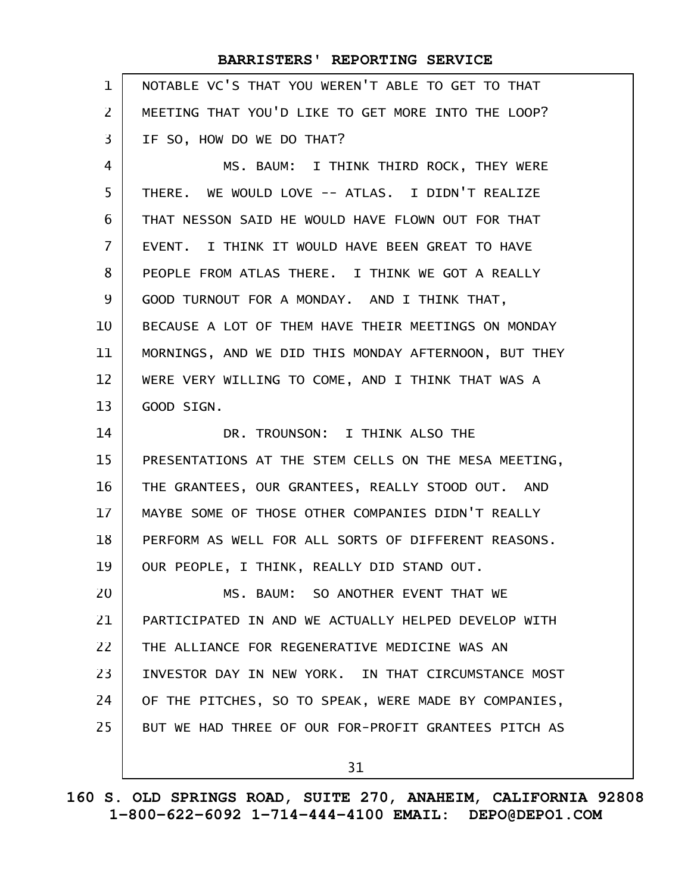| $\mathbf{1}$   | NOTABLE VC'S THAT YOU WEREN'T ABLE TO GET TO THAT    |
|----------------|------------------------------------------------------|
| $\mathsf{Z}$   | MEETING THAT YOU'D LIKE TO GET MORE INTO THE LOOP?   |
| 3              | IF SO, HOW DO WE DO THAT?                            |
| 4              | MS. BAUM: I THINK THIRD ROCK, THEY WERE              |
| 5              | THERE. WE WOULD LOVE -- ATLAS. I DIDN'T REALIZE      |
| 6              | THAT NESSON SAID HE WOULD HAVE FLOWN OUT FOR THAT    |
| $\overline{7}$ | EVENT. I THINK IT WOULD HAVE BEEN GREAT TO HAVE      |
| 8              | PEOPLE FROM ATLAS THERE. I THINK WE GOT A REALLY     |
| 9              | GOOD TURNOUT FOR A MONDAY. AND I THINK THAT,         |
| 10             | BECAUSE A LOT OF THEM HAVE THEIR MEETINGS ON MONDAY  |
| 11             | MORNINGS, AND WE DID THIS MONDAY AFTERNOON, BUT THEY |
| 12             | WERE VERY WILLING TO COME, AND I THINK THAT WAS A    |
| 13             | GOOD SIGN.                                           |
| 14             | DR. TROUNSON: I THINK ALSO THE                       |
| 15             | PRESENTATIONS AT THE STEM CELLS ON THE MESA MEETING, |
| 16             | THE GRANTEES, OUR GRANTEES, REALLY STOOD OUT. AND    |
| 17             | MAYBE SOME OF THOSE OTHER COMPANIES DIDN'T REALLY    |
| 18             | PERFORM AS WELL FOR ALL SORTS OF DIFFERENT REASONS.  |
| 19             | OUR PEOPLE, I THINK, REALLY DID STAND OUT.           |
| 20             | MS. BAUM: SO ANOTHER EVENT THAT WE                   |
| 21             | PARTICIPATED IN AND WE ACTUALLY HELPED DEVELOP WITH  |
| 22             | THE ALLIANCE FOR REGENERATIVE MEDICINE WAS AN        |
| 23             | INVESTOR DAY IN NEW YORK. IN THAT CIRCUMSTANCE MOST  |
| 24             | OF THE PITCHES, SO TO SPEAK, WERE MADE BY COMPANIES, |
| 25             | BUT WE HAD THREE OF OUR FOR-PROFIT GRANTEES PITCH AS |
|                | 31                                                   |
|                |                                                      |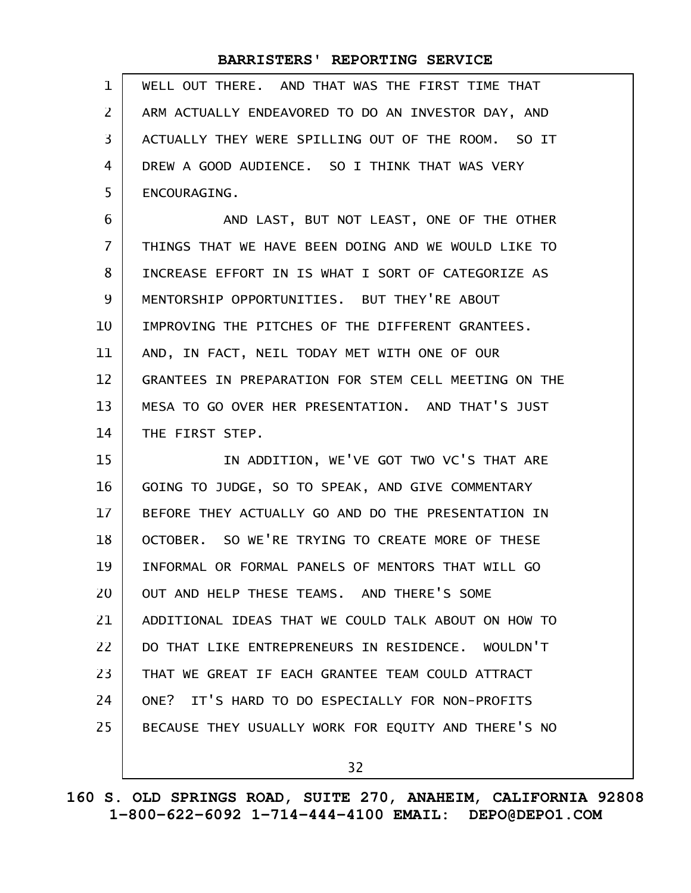| 1   WELL OUT THERE. AND THAT WAS THE FIRST TIME THAT   |
|--------------------------------------------------------|
| 2   ARM ACTUALLY ENDEAVORED TO DO AN INVESTOR DAY, AND |
| 3   ACTUALLY THEY WERE SPILLING OUT OF THE ROOM. SO IT |
| 4   DREW A GOOD AUDIENCE. SO I THINK THAT WAS VERY     |
| 5   ENCOURAGING.                                       |

AND LAST, BUT NOT LEAST, ONE OF THE OTHER THINGS THAT WE HAVE BEEN DOING AND WE WOULD LIKE TO INCREASE EFFORT IN IS WHAT I SORT OF CATEGORIZE AS MENTORSHIP OPPORTUNITIES. BUT THEY'RE ABOUT IMPROVING THE PITCHES OF THE DIFFERENT GRANTEES. AND, IN FACT, NEIL TODAY MET WITH ONE OF OUR GRANTEES IN PREPARATION FOR STEM CELL MEETING ON THE MESA TO GO OVER HER PRESENTATION. AND THAT'S JUST THE FIRST STEP. 6 7 8 9 10 11 12 13 14

IN ADDITION, WE'VE GOT TWO VC'S THAT ARE GOING TO JUDGE, SO TO SPEAK, AND GIVE COMMENTARY BEFORE THEY ACTUALLY GO AND DO THE PRESENTATION IN OCTOBER. SO WE'RE TRYING TO CREATE MORE OF THESE INFORMAL OR FORMAL PANELS OF MENTORS THAT WILL GO OUT AND HELP THESE TEAMS. AND THERE'S SOME ADDITIONAL IDEAS THAT WE COULD TALK ABOUT ON HOW TO DO THAT LIKE ENTREPRENEURS IN RESIDENCE. WOULDN'T THAT WE GREAT IF EACH GRANTEE TEAM COULD ATTRACT ONE? IT'S HARD TO DO ESPECIALLY FOR NON-PROFITS BECAUSE THEY USUALLY WORK FOR EQUITY AND THERE'S NO 15 16 17 18 19 20 21 22 23 24 25

32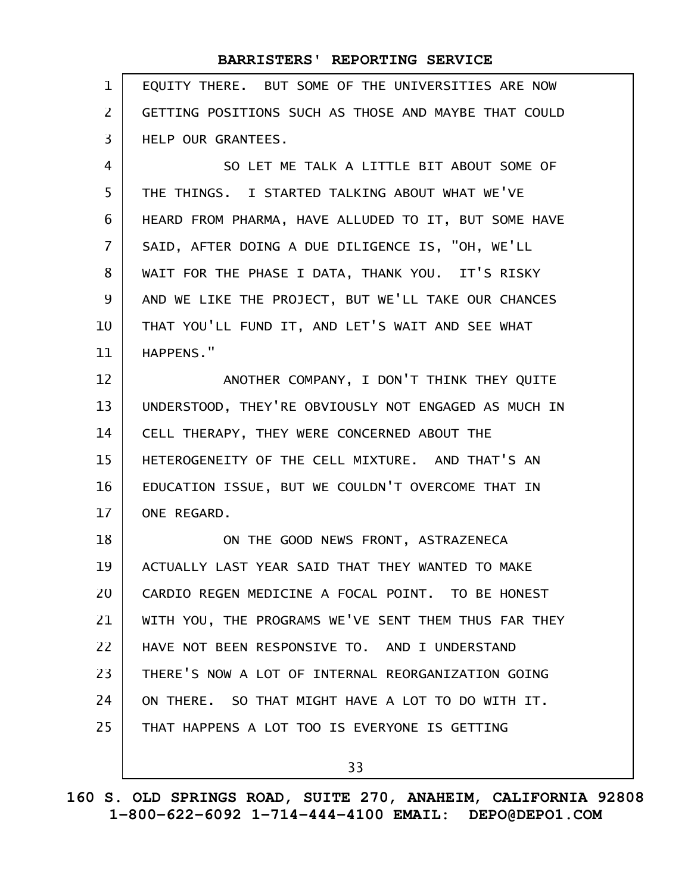| $\mathbf{1}$      | EQUITY THERE. BUT SOME OF THE UNIVERSITIES ARE NOW   |
|-------------------|------------------------------------------------------|
| $\overline{2}$    | GETTING POSITIONS SUCH AS THOSE AND MAYBE THAT COULD |
| $\overline{3}$    | HELP OUR GRANTEES.                                   |
| 4                 | SO LET ME TALK A LITTLE BIT ABOUT SOME OF            |
| 5                 | THE THINGS. I STARTED TALKING ABOUT WHAT WE'VE       |
| 6                 | HEARD FROM PHARMA, HAVE ALLUDED TO IT, BUT SOME HAVE |
| $\overline{7}$    | SAID, AFTER DOING A DUE DILIGENCE IS, "OH, WE'LL     |
| 8                 | WAIT FOR THE PHASE I DATA, THANK YOU. IT'S RISKY     |
| 9                 | AND WE LIKE THE PROJECT, BUT WE'LL TAKE OUR CHANCES  |
| 10                | THAT YOU'LL FUND IT, AND LET'S WAIT AND SEE WHAT     |
| 11                | HAPPENS."                                            |
| $12 \overline{ }$ | ANOTHER COMPANY, I DON'T THINK THEY QUITE            |
| 13                | UNDERSTOOD, THEY'RE OBVIOUSLY NOT ENGAGED AS MUCH IN |
| 14                | CELL THERAPY, THEY WERE CONCERNED ABOUT THE          |
| 15                | HETEROGENEITY OF THE CELL MIXTURE. AND THAT'S AN     |
| 16                | EDUCATION ISSUE, BUT WE COULDN'T OVERCOME THAT IN    |
| 17                | ONE REGARD.                                          |
| 18                | ON THE GOOD NEWS FRONT, ASTRAZENECA                  |
| 19                | ACTUALLY LAST YEAR SAID THAT THEY WANTED TO MAKE     |
| 20                | CARDIO REGEN MEDICINE A FOCAL POINT. TO BE HONEST    |
| 21                | WITH YOU, THE PROGRAMS WE'VE SENT THEM THUS FAR THEY |
| 22                | HAVE NOT BEEN RESPONSIVE TO, AND I UNDERSTAND        |
| 23                | THERE'S NOW A LOT OF INTERNAL REORGANIZATION GOING   |
| 24                | ON THERE. SO THAT MIGHT HAVE A LOT TO DO WITH IT.    |
| 25                | THAT HAPPENS A LOT TOO IS EVERYONE IS GETTING        |
|                   | 33                                                   |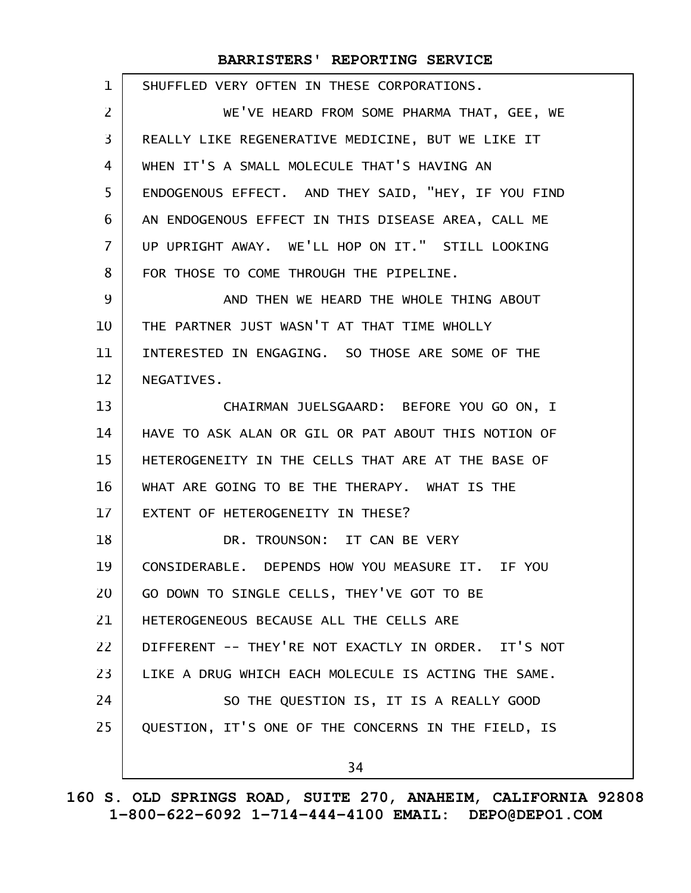| $\mathbf 1$    | SHUFFLED VERY OFTEN IN THESE CORPORATIONS.          |
|----------------|-----------------------------------------------------|
| $\overline{2}$ | WE'VE HEARD FROM SOME PHARMA THAT, GEE, WE          |
| $\overline{3}$ | REALLY LIKE REGENERATIVE MEDICINE, BUT WE LIKE IT   |
| 4              | WHEN IT'S A SMALL MOLECULE THAT'S HAVING AN         |
| 5              | ENDOGENOUS EFFECT. AND THEY SAID, "HEY, IF YOU FIND |
| 6              | AN ENDOGENOUS EFFECT IN THIS DISEASE AREA, CALL ME  |
| 7              | UP UPRIGHT AWAY. WE'LL HOP ON IT." STILL LOOKING    |
| 8              | FOR THOSE TO COME THROUGH THE PIPELINE.             |
| 9              | AND THEN WE HEARD THE WHOLE THING ABOUT             |
| 10             | THE PARTNER JUST WASN'T AT THAT TIME WHOLLY         |
| 11             | INTERESTED IN ENGAGING. SO THOSE ARE SOME OF THE    |
| 12             | NEGATIVES.                                          |
| 13             | CHAIRMAN JUELSGAARD: BEFORE YOU GO ON, I            |
| 14             | HAVE TO ASK ALAN OR GIL OR PAT ABOUT THIS NOTION OF |
| 15             | HETEROGENEITY IN THE CELLS THAT ARE AT THE BASE OF  |
| 16             | WHAT ARE GOING TO BE THE THERAPY. WHAT IS THE       |
| 17             | EXTENT OF HETEROGENEITY IN THESE?                   |
| 18             | DR. TROUNSON: IT CAN BE VERY                        |
| 19             | CONSIDERABLE. DEPENDS HOW YOU MEASURE IT. IF YOU    |
| 20             | GO DOWN TO SINGLE CELLS, THEY'VE GOT TO BE          |
| 21             | HETEROGENEOUS BECAUSE ALL THE CELLS ARE             |
| 22             | DIFFERENT -- THEY'RE NOT EXACTLY IN ORDER. IT'S NOT |
| 23             | LIKE A DRUG WHICH EACH MOLECULE IS ACTING THE SAME. |
| 24             | SO THE QUESTION IS, IT IS A REALLY GOOD             |
| 25             | QUESTION, IT'S ONE OF THE CONCERNS IN THE FIELD, IS |
|                | 34                                                  |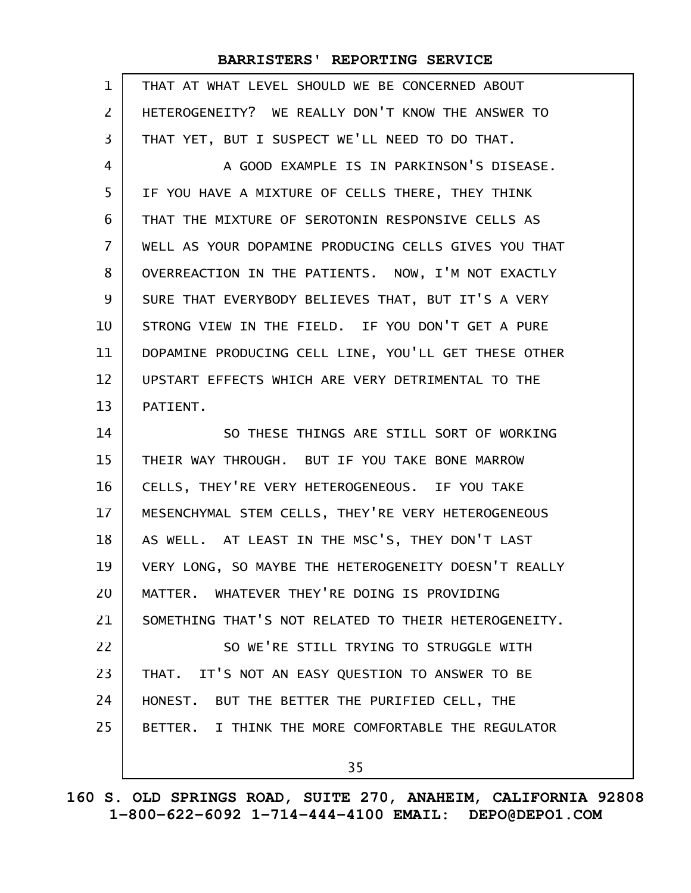| 1              | THAT AT WHAT LEVEL SHOULD WE BE CONCERNED ABOUT      |
|----------------|------------------------------------------------------|
| $\overline{2}$ | HETEROGENEITY? WE REALLY DON'T KNOW THE ANSWER TO    |
| 3              | THAT YET, BUT I SUSPECT WE'LL NEED TO DO THAT.       |
| $\overline{4}$ | A GOOD EXAMPLE IS IN PARKINSON'S DISEASE.            |
| 5              | IF YOU HAVE A MIXTURE OF CELLS THERE, THEY THINK     |
| 6              | THAT THE MIXTURE OF SEROTONIN RESPONSIVE CELLS AS    |
| $\overline{7}$ | WELL AS YOUR DOPAMINE PRODUCING CELLS GIVES YOU THAT |
| 8              | OVERREACTION IN THE PATIENTS. NOW, I'M NOT EXACTLY   |
| 9              | SURE THAT EVERYBODY BELIEVES THAT, BUT IT'S A VERY   |
| 10             | STRONG VIEW IN THE FIELD. IF YOU DON'T GET A PURE    |
| 11             | DOPAMINE PRODUCING CELL LINE, YOU'LL GET THESE OTHER |
| 12             | UPSTART EFFECTS WHICH ARE VERY DETRIMENTAL TO THE    |
| 13             | PATIENT.                                             |
| 14             | SO THESE THINGS ARE STILL SORT OF WORKING            |
| 15             | THEIR WAY THROUGH. BUT IF YOU TAKE BONE MARROW       |
| 16             | CELLS, THEY'RE VERY HETEROGENEOUS. IF YOU TAKE       |
| 17             | MESENCHYMAL STEM CELLS, THEY'RE VERY HETEROGENEOUS   |
| 18             | AS WELL. AT LEAST IN THE MSC'S, THEY DON'T LAST      |
| 19             | VERY LONG, SO MAYBE THE HETEROGENEITY DOESN'T REALLY |
| 20             | MATTER. WHATEVER THEY'RE DOING IS PROVIDING          |
| 21             | SOMETHING THAT'S NOT RELATED TO THEIR HETEROGENEITY. |
| 22             | SO WE'RE STILL TRYING TO STRUGGLE WITH               |
| 23             | THAT. IT'S NOT AN EASY QUESTION TO ANSWER TO BE      |
| 24             | HONEST. BUT THE BETTER THE PURIFIED CELL, THE        |
| 25             | BETTER. I THINK THE MORE COMFORTABLE THE REGULATOR   |
|                | 35                                                   |
|                |                                                      |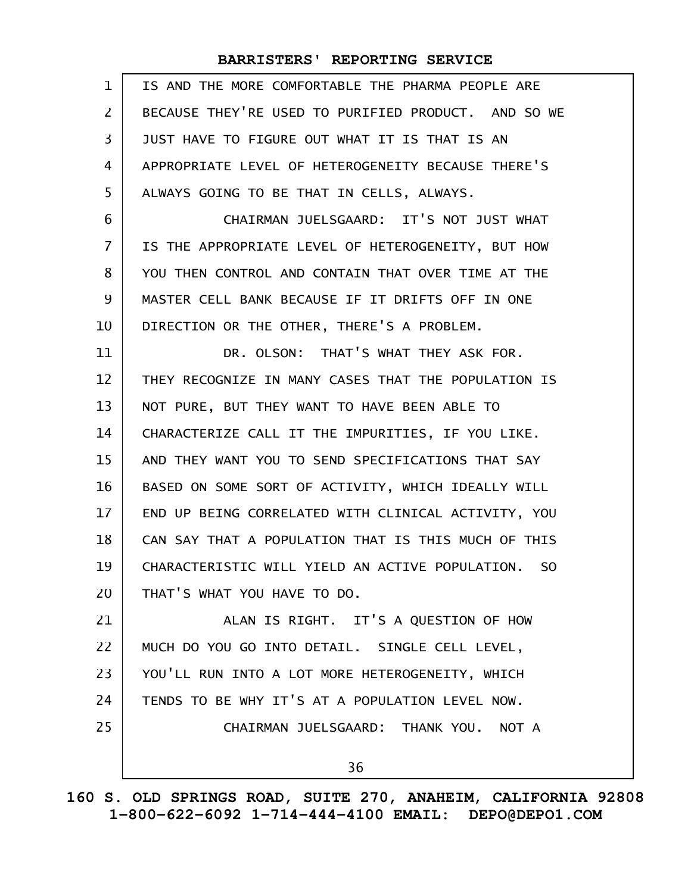| IS AND THE MORE COMFORTABLE THE PHARMA PEOPLE ARE                 |
|-------------------------------------------------------------------|
| BECAUSE THEY'RE USED TO PURIFIED PRODUCT. AND SO WE               |
| JUST HAVE TO FIGURE OUT WHAT IT IS THAT IS AN                     |
| APPROPRIATE LEVEL OF HETEROGENEITY BECAUSE THERE'S                |
| ALWAYS GOING TO BE THAT IN CELLS, ALWAYS.                         |
| CHAIRMAN JUELSGAARD: IT'S NOT JUST WHAT                           |
| IS THE APPROPRIATE LEVEL OF HETEROGENEITY, BUT HOW                |
| YOU THEN CONTROL AND CONTAIN THAT OVER TIME AT THE                |
| MASTER CELL BANK BECAUSE IF IT DRIFTS OFF IN ONE                  |
| DIRECTION OR THE OTHER, THERE'S A PROBLEM.                        |
| DR. OLSON: THAT'S WHAT THEY ASK FOR.                              |
| THEY RECOGNIZE IN MANY CASES THAT THE POPULATION IS               |
| NOT PURE, BUT THEY WANT TO HAVE BEEN ABLE TO                      |
| CHARACTERIZE CALL IT THE IMPURITIES, IF YOU LIKE.                 |
| AND THEY WANT YOU TO SEND SPECIFICATIONS THAT SAY                 |
| BASED ON SOME SORT OF ACTIVITY, WHICH IDEALLY WILL                |
| END UP BEING CORRELATED WITH CLINICAL ACTIVITY, YOU               |
| CAN SAY THAT A POPULATION THAT IS THIS MUCH OF THIS               |
| CHARACTERISTIC WILL YIELD AN ACTIVE POPULATION.<br>S <sub>O</sub> |
| THAT'S WHAT YOU HAVE TO DO.                                       |
| ALAN IS RIGHT. IT'S A QUESTION OF HOW                             |
| MUCH DO YOU GO INTO DETAIL. SINGLE CELL LEVEL,                    |
| YOU'LL RUN INTO A LOT MORE HETEROGENEITY, WHICH                   |
| TENDS TO BE WHY IT'S AT A POPULATION LEVEL NOW.                   |
| CHAIRMAN JUELSGAARD: THANK YOU. NOT A                             |
| 36                                                                |
|                                                                   |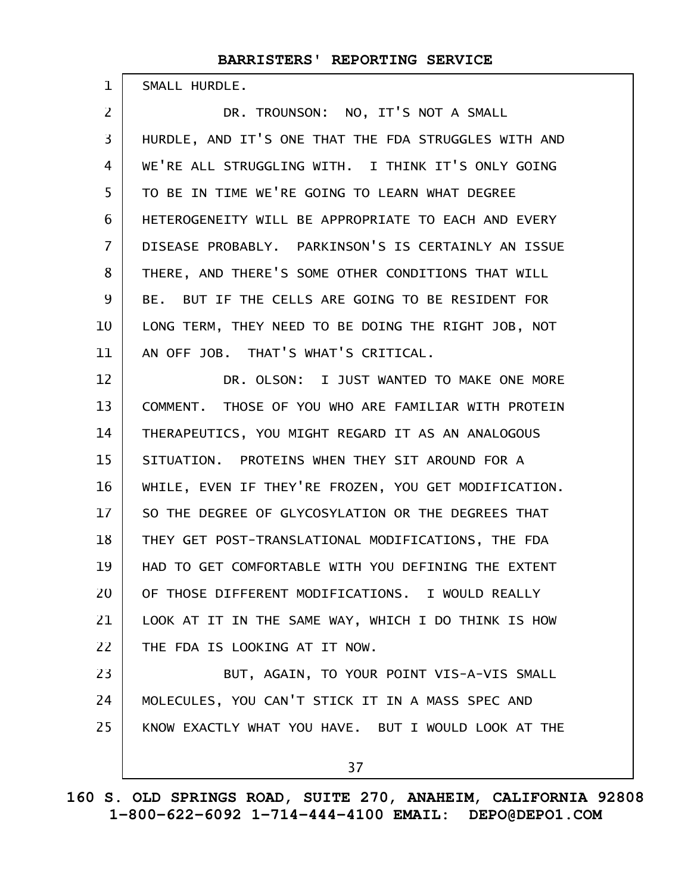SMALL HURDLE.

1

DR. TROUNSON: NO, IT'S NOT A SMALL HURDLE, AND IT'S ONE THAT THE FDA STRUGGLES WITH AND WE'RE ALL STRUGGLING WITH. I THINK IT'S ONLY GOING TO BE IN TIME WE'RE GOING TO LEARN WHAT DEGREE HETEROGENEITY WILL BE APPROPRIATE TO EACH AND EVERY DISEASE PROBABLY. PARKINSON'S IS CERTAINLY AN ISSUE THERE, AND THERE'S SOME OTHER CONDITIONS THAT WILL BE. BUT IF THE CELLS ARE GOING TO BE RESIDENT FOR LONG TERM, THEY NEED TO BE DOING THE RIGHT JOB, NOT AN OFF JOB. THAT'S WHAT'S CRITICAL. DR. OLSON: I JUST WANTED TO MAKE ONE MORE COMMENT. THOSE OF YOU WHO ARE FAMILIAR WITH PROTEIN THERAPEUTICS, YOU MIGHT REGARD IT AS AN ANALOGOUS SITUATION. PROTEINS WHEN THEY SIT AROUND FOR A WHILE, EVEN IF THEY'RE FROZEN, YOU GET MODIFICATION. SO THE DEGREE OF GLYCOSYLATION OR THE DEGREES THAT THEY GET POST-TRANSLATIONAL MODIFICATIONS, THE FDA HAD TO GET COMFORTABLE WITH YOU DEFINING THE EXTENT OF THOSE DIFFERENT MODIFICATIONS. I WOULD REALLY LOOK AT IT IN THE SAME WAY, WHICH I DO THINK IS HOW THE FDA IS LOOKING AT IT NOW. BUT, AGAIN, TO YOUR POINT VIS-A-VIS SMALL MOLECULES, YOU CAN'T STICK IT IN A MASS SPEC AND KNOW EXACTLY WHAT YOU HAVE. BUT I WOULD LOOK AT THE 2 3 4 5 6 7 8 9 10 11 12 13 14 15 16 17 18 19 20 21 22 23 24 25

37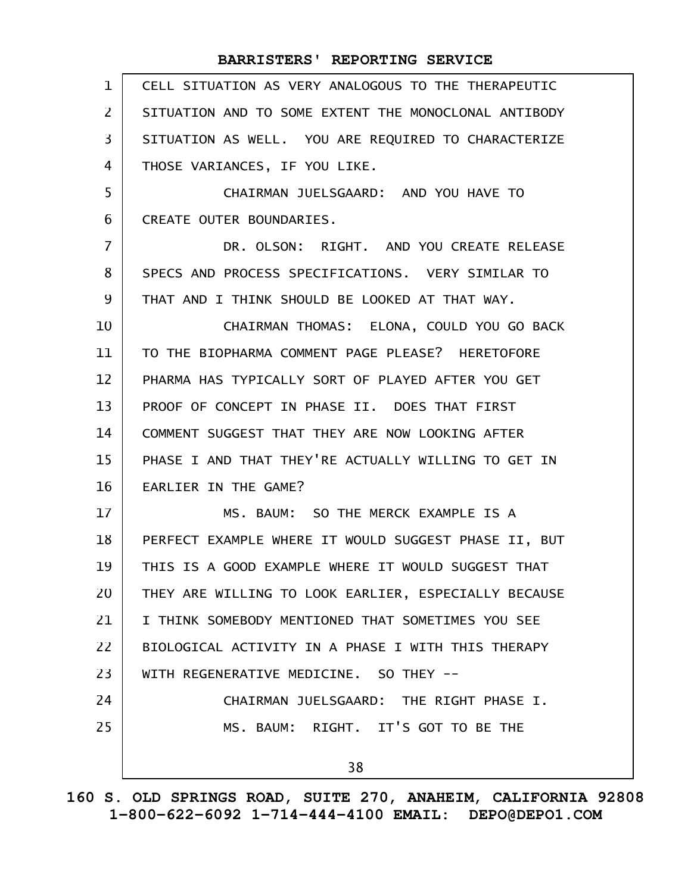| $\mathbf{1}$   | CELL SITUATION AS VERY ANALOGOUS TO THE THERAPEUTIC  |
|----------------|------------------------------------------------------|
| 2              | SITUATION AND TO SOME EXTENT THE MONOCLONAL ANTIBODY |
| 3              | SITUATION AS WELL. YOU ARE REQUIRED TO CHARACTERIZE  |
| 4              | THOSE VARIANCES, IF YOU LIKE.                        |
| 5              | CHAIRMAN JUELSGAARD: AND YOU HAVE TO                 |
| 6              | CREATE OUTER BOUNDARIES.                             |
| $\overline{7}$ | DR. OLSON: RIGHT. AND YOU CREATE RELEASE             |
| 8              | SPECS AND PROCESS SPECIFICATIONS. VERY SIMILAR TO    |
| 9              | THAT AND I THINK SHOULD BE LOOKED AT THAT WAY.       |
| 10             | CHAIRMAN THOMAS: ELONA, COULD YOU GO BACK            |
| 11             | TO THE BIOPHARMA COMMENT PAGE PLEASE? HERETOFORE     |
| 12             | PHARMA HAS TYPICALLY SORT OF PLAYED AFTER YOU GET    |
| 13             | PROOF OF CONCEPT IN PHASE II. DOES THAT FIRST        |
| 14             | COMMENT SUGGEST THAT THEY ARE NOW LOOKING AFTER      |
| 15             | PHASE I AND THAT THEY'RE ACTUALLY WILLING TO GET IN  |
| 16             | EARLIER IN THE GAME?                                 |
| 17             | MS. BAUM: SO THE MERCK EXAMPLE IS A                  |
| 18             | PERFECT EXAMPLE WHERE IT WOULD SUGGEST PHASE II, BUT |
| 19             | THIS IS A GOOD EXAMPLE WHERE IT WOULD SUGGEST THAT   |
| 20             | THEY ARE WILLING TO LOOK EARLIER, ESPECIALLY BECAUSE |
| 21             | I THINK SOMEBODY MENTIONED THAT SOMETIMES YOU SEE    |
| 22             | BIOLOGICAL ACTIVITY IN A PHASE I WITH THIS THERAPY   |
| 23             | WITH REGENERATIVE MEDICINE. SO THEY --               |
| 24             | CHAIRMAN JUELSGAARD: THE RIGHT PHASE I.              |
| 25             | MS. BAUM: RIGHT. IT'S GOT TO BE THE                  |
|                | 38                                                   |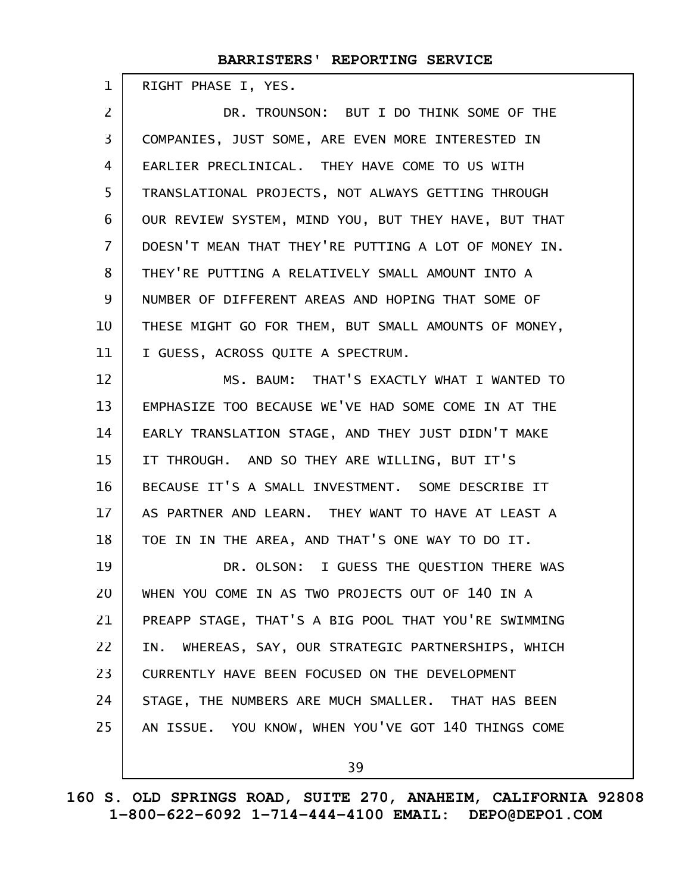RIGHT PHASE I, YES. 1

DR. TROUNSON: BUT I DO THINK SOME OF THE COMPANIES, JUST SOME, ARE EVEN MORE INTERESTED IN EARLIER PRECLINICAL. THEY HAVE COME TO US WITH TRANSLATIONAL PROJECTS, NOT ALWAYS GETTING THROUGH OUR REVIEW SYSTEM, MIND YOU, BUT THEY HAVE, BUT THAT DOESN'T MEAN THAT THEY'RE PUTTING A LOT OF MONEY IN. THEY'RE PUTTING A RELATIVELY SMALL AMOUNT INTO A NUMBER OF DIFFERENT AREAS AND HOPING THAT SOME OF THESE MIGHT GO FOR THEM, BUT SMALL AMOUNTS OF MONEY, I GUESS, ACROSS QUITE A SPECTRUM. 2 3 4 5 6 7 8 9 10 11

MS. BAUM: THAT'S EXACTLY WHAT I WANTED TO EMPHASIZE TOO BECAUSE WE'VE HAD SOME COME IN AT THE EARLY TRANSLATION STAGE, AND THEY JUST DIDN'T MAKE IT THROUGH. AND SO THEY ARE WILLING, BUT IT'S BECAUSE IT'S A SMALL INVESTMENT. SOME DESCRIBE IT AS PARTNER AND LEARN. THEY WANT TO HAVE AT LEAST A TOE IN IN THE AREA, AND THAT'S ONE WAY TO DO IT. DR. OLSON: I GUESS THE QUESTION THERE WAS WHEN YOU COME IN AS TWO PROJECTS OUT OF 140 IN A 12 13 14 15 16 17 18 19 20

PREAPP STAGE, THAT'S A BIG POOL THAT YOU'RE SWIMMING IN. WHEREAS, SAY, OUR STRATEGIC PARTNERSHIPS, WHICH CURRENTLY HAVE BEEN FOCUSED ON THE DEVELOPMENT STAGE, THE NUMBERS ARE MUCH SMALLER. THAT HAS BEEN AN ISSUE. YOU KNOW, WHEN YOU'VE GOT 140 THINGS COME 21 22 23 24 25

39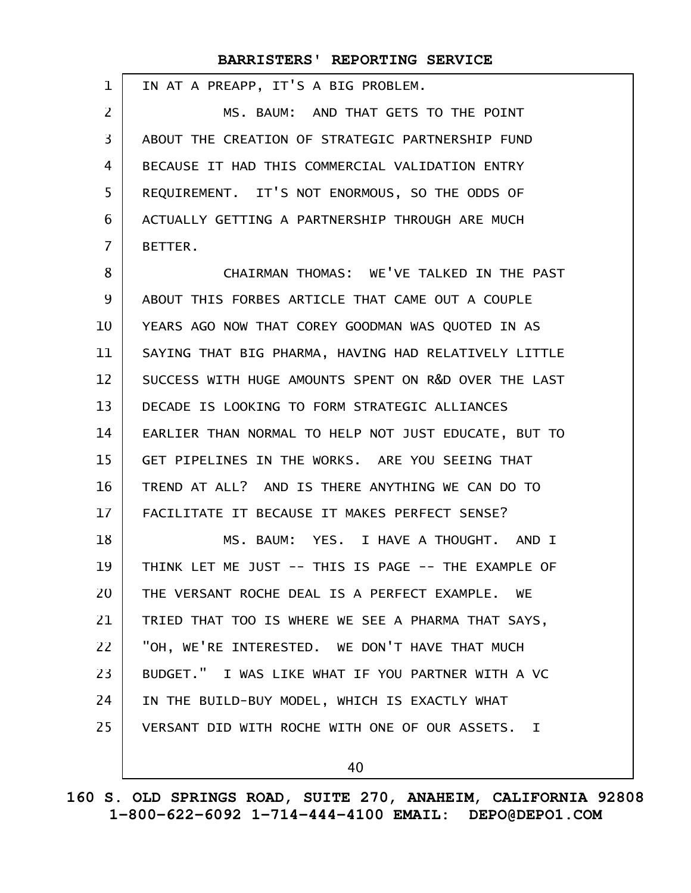IN AT A PREAPP, IT'S A BIG PROBLEM. MS. BAUM: AND THAT GETS TO THE POINT ABOUT THE CREATION OF STRATEGIC PARTNERSHIP FUND BECAUSE IT HAD THIS COMMERCIAL VALIDATION ENTRY REQUIREMENT. IT'S NOT ENORMOUS, SO THE ODDS OF ACTUALLY GETTING A PARTNERSHIP THROUGH ARE MUCH BETTER. CHAIRMAN THOMAS: WE'VE TALKED IN THE PAST ABOUT THIS FORBES ARTICLE THAT CAME OUT A COUPLE YEARS AGO NOW THAT COREY GOODMAN WAS QUOTED IN AS SAYING THAT BIG PHARMA, HAVING HAD RELATIVELY LITTLE SUCCESS WITH HUGE AMOUNTS SPENT ON R&D OVER THE LAST DECADE IS LOOKING TO FORM STRATEGIC ALLIANCES EARLIER THAN NORMAL TO HELP NOT JUST EDUCATE, BUT TO GET PIPELINES IN THE WORKS. ARE YOU SEEING THAT TREND AT ALL? AND IS THERE ANYTHING WE CAN DO TO FACILITATE IT BECAUSE IT MAKES PERFECT SENSE? MS. BAUM: YES. I HAVE A THOUGHT. AND I THINK LET ME JUST -- THIS IS PAGE -- THE EXAMPLE OF THE VERSANT ROCHE DEAL IS A PERFECT EXAMPLE. WE TRIED THAT TOO IS WHERE WE SEE A PHARMA THAT SAYS, "OH, WE'RE INTERESTED. WE DON'T HAVE THAT MUCH BUDGET." I WAS LIKE WHAT IF YOU PARTNER WITH A VC IN THE BUILD-BUY MODEL, WHICH IS EXACTLY WHAT VERSANT DID WITH ROCHE WITH ONE OF OUR ASSETS. I 1 2 3 4 5 6 7 8 9 10 11 12 13 14 15 16 17 18 19 20 21 22 23 24 25

40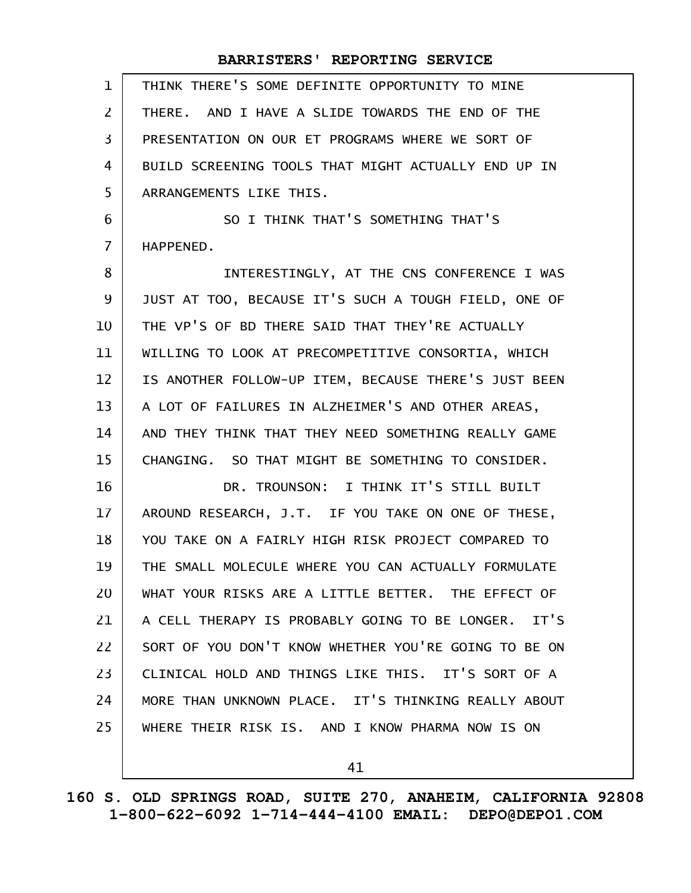| 1              | THINK THERE'S SOME DEFINITE OPPORTUNITY TO MINE      |
|----------------|------------------------------------------------------|
| $\overline{2}$ | THERE. AND I HAVE A SLIDE TOWARDS THE END OF THE     |
| 3              | PRESENTATION ON OUR ET PROGRAMS WHERE WE SORT OF     |
| 4              | BUILD SCREENING TOOLS THAT MIGHT ACTUALLY END UP IN  |
| 5              | ARRANGEMENTS LIKE THIS.                              |
| 6              | SO I THINK THAT'S SOMETHING THAT'S                   |
| $\overline{7}$ | HAPPENED.                                            |
| 8              | INTERESTINGLY, AT THE CNS CONFERENCE I WAS           |
| 9              | JUST AT TOO, BECAUSE IT'S SUCH A TOUGH FIELD, ONE OF |
| 10             | THE VP'S OF BD THERE SAID THAT THEY'RE ACTUALLY      |
| 11             | WILLING TO LOOK AT PRECOMPETITIVE CONSORTIA, WHICH   |
| 12             | IS ANOTHER FOLLOW-UP ITEM, BECAUSE THERE'S JUST BEEN |
| 13             | A LOT OF FAILURES IN ALZHEIMER'S AND OTHER AREAS,    |
| 14             | AND THEY THINK THAT THEY NEED SOMETHING REALLY GAME  |
| 15             | CHANGING. SO THAT MIGHT BE SOMETHING TO CONSIDER.    |
| 16             | DR. TROUNSON: I THINK IT'S STILL BUILT               |
| 17             | AROUND RESEARCH, J.T. IF YOU TAKE ON ONE OF THESE,   |
| 18             | YOU TAKE ON A FAIRLY HIGH RISK PROJECT COMPARED TO   |
| 19             | THE SMALL MOLECULE WHERE YOU CAN ACTUALLY FORMULATE  |
| 20             | WHAT YOUR RISKS ARE A LITTLE BETTER. THE EFFECT OF   |
| 21             | A CELL THERAPY IS PROBABLY GOING TO BE LONGER. IT'S  |
| 22             | SORT OF YOU DON'T KNOW WHETHER YOU'RE GOING TO BE ON |
| 23             | CLINICAL HOLD AND THINGS LIKE THIS. IT'S SORT OF A   |
| 24             | MORE THAN UNKNOWN PLACE. IT'S THINKING REALLY ABOUT  |
| 25             | WHERE THEIR RISK IS. AND I KNOW PHARMA NOW IS ON     |
|                |                                                      |

41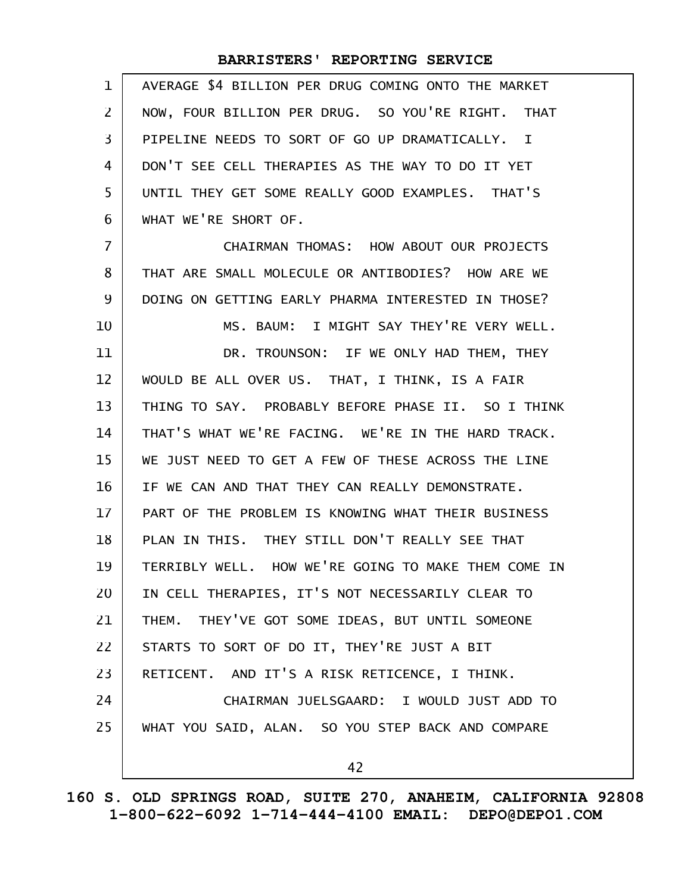| $\mathbf 1$    | AVERAGE \$4 BILLION PER DRUG COMING ONTO THE MARKET |
|----------------|-----------------------------------------------------|
| $\overline{2}$ | NOW, FOUR BILLION PER DRUG. SO YOU'RE RIGHT. THAT   |
| 3              | PIPELINE NEEDS TO SORT OF GO UP DRAMATICALLY. I     |
| 4              | DON'T SEE CELL THERAPIES AS THE WAY TO DO IT YET    |
| 5              | UNTIL THEY GET SOME REALLY GOOD EXAMPLES. THAT'S    |
| 6              | WHAT WE'RE SHORT OF.                                |
| 7              | CHAIRMAN THOMAS: HOW ABOUT OUR PROJECTS             |
| 8              | THAT ARE SMALL MOLECULE OR ANTIBODIES? HOW ARE WE   |
| 9              | DOING ON GETTING EARLY PHARMA INTERESTED IN THOSE?  |
| 10             | MS. BAUM: I MIGHT SAY THEY'RE VERY WELL.            |
| 11             | DR. TROUNSON: IF WE ONLY HAD THEM, THEY             |
| 12             | WOULD BE ALL OVER US. THAT, I THINK, IS A FAIR      |
| 13             | THING TO SAY. PROBABLY BEFORE PHASE II. SO I THINK  |
| 14             | THAT'S WHAT WE'RE FACING. WE'RE IN THE HARD TRACK.  |
| 15             | WE JUST NEED TO GET A FEW OF THESE ACROSS THE LINE  |
| 16             | IF WE CAN AND THAT THEY CAN REALLY DEMONSTRATE.     |
| 17             | PART OF THE PROBLEM IS KNOWING WHAT THEIR BUSINESS  |
| 18             | PLAN IN THIS. THEY STILL DON'T REALLY SEE THAT      |
| 19             | TERRIBLY WELL. HOW WE'RE GOING TO MAKE THEM COME IN |
| 20             | IN CELL THERAPIES, IT'S NOT NECESSARILY CLEAR TO    |
| 21             | THEM. THEY'VE GOT SOME IDEAS, BUT UNTIL SOMEONE     |
| 22             | STARTS TO SORT OF DO IT, THEY'RE JUST A BIT         |
| 23             | RETICENT. AND IT'S A RISK RETICENCE, I THINK.       |
| 24             | CHAIRMAN JUELSGAARD: I WOULD JUST ADD TO            |
| 25             | WHAT YOU SAID, ALAN. SO YOU STEP BACK AND COMPARE   |
|                | 42                                                  |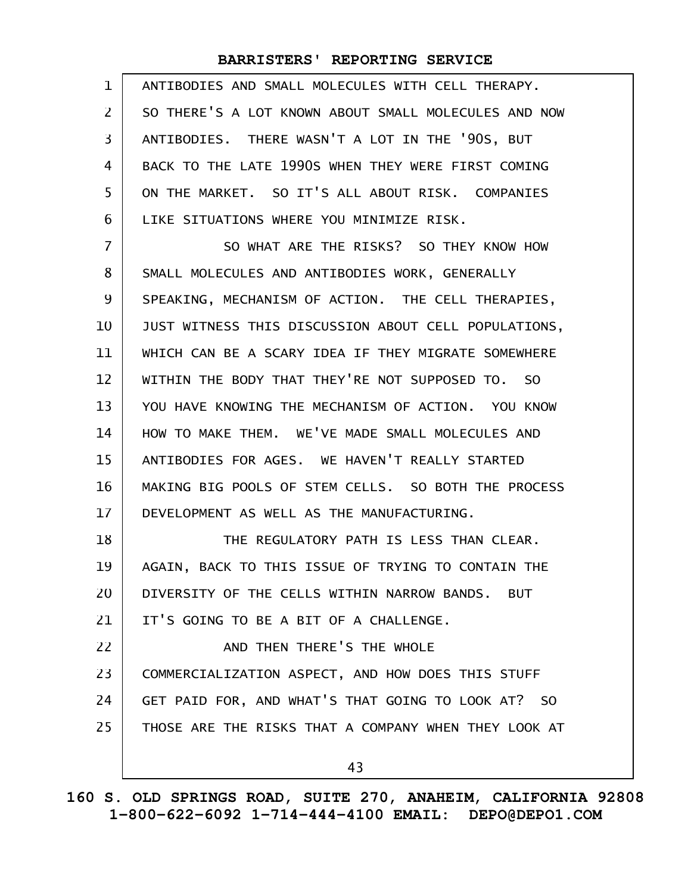| $\mathbf 1$    | ANTIBODIES AND SMALL MOLECULES WITH CELL THERAPY.    |
|----------------|------------------------------------------------------|
| $\mathbf{Z}$   | SO THERE'S A LOT KNOWN ABOUT SMALL MOLECULES AND NOW |
| 3              | ANTIBODIES. THERE WASN'T A LOT IN THE '90S, BUT      |
| 4              | BACK TO THE LATE 1990S WHEN THEY WERE FIRST COMING   |
| 5              | ON THE MARKET. SO IT'S ALL ABOUT RISK. COMPANIES     |
| 6              | LIKE SITUATIONS WHERE YOU MINIMIZE RISK.             |
| $\overline{7}$ | SO WHAT ARE THE RISKS? SO THEY KNOW HOW              |
| 8              | SMALL MOLECULES AND ANTIBODIES WORK, GENERALLY       |
| 9              | SPEAKING, MECHANISM OF ACTION. THE CELL THERAPIES,   |
| 10             | JUST WITNESS THIS DISCUSSION ABOUT CELL POPULATIONS, |
| 11             | WHICH CAN BE A SCARY IDEA IF THEY MIGRATE SOMEWHERE  |
| 12             | WITHIN THE BODY THAT THEY'RE NOT SUPPOSED TO. SO     |
| 13             | YOU HAVE KNOWING THE MECHANISM OF ACTION. YOU KNOW   |
| 14             | HOW TO MAKE THEM. WE'VE MADE SMALL MOLECULES AND     |
| 15             | ANTIBODIES FOR AGES. WE HAVEN'T REALLY STARTED       |
| 16             | MAKING BIG POOLS OF STEM CELLS. SO BOTH THE PROCESS  |
| 17             | DEVELOPMENT AS WELL AS THE MANUFACTURING.            |
| 18             | THE REGULATORY PATH IS LESS THAN CLEAR.              |
| 19             | AGAIN, BACK TO THIS ISSUE OF TRYING TO CONTAIN THE   |
| 20             | DIVERSITY OF THE CELLS WITHIN NARROW BANDS. BUT      |
| 21             | IT'S GOING TO BE A BIT OF A CHALLENGE.               |
| 22             | AND THEN THERE'S THE WHOLE                           |
| 23             | COMMERCIALIZATION ASPECT, AND HOW DOES THIS STUFF    |
| 24             | GET PAID FOR, AND WHAT'S THAT GOING TO LOOK AT? SO   |
| 25             | THOSE ARE THE RISKS THAT A COMPANY WHEN THEY LOOK AT |
|                | 43                                                   |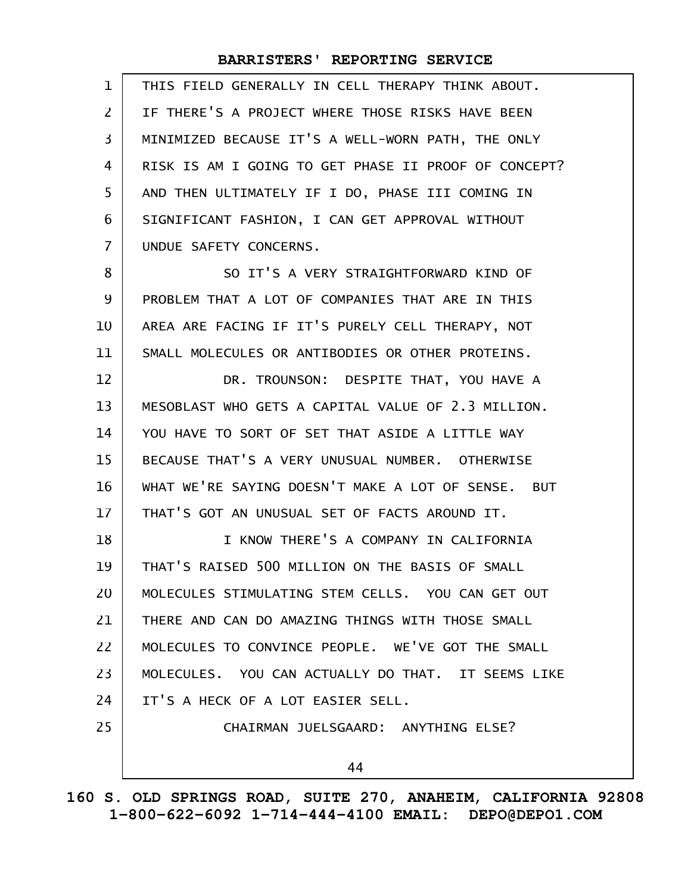| 1              | THIS FIELD GENERALLY IN CELL THERAPY THINK ABOUT.    |
|----------------|------------------------------------------------------|
| $\overline{2}$ | IF THERE'S A PROJECT WHERE THOSE RISKS HAVE BEEN     |
| 3              | MINIMIZED BECAUSE IT'S A WELL-WORN PATH, THE ONLY    |
| 4              | RISK IS AM I GOING TO GET PHASE II PROOF OF CONCEPT? |
| 5              | AND THEN ULTIMATELY IF I DO, PHASE III COMING IN     |
| 6              | SIGNIFICANT FASHION, I CAN GET APPROVAL WITHOUT      |
| 7              | UNDUE SAFETY CONCERNS.                               |
| 8              | SO IT'S A VERY STRAIGHTFORWARD KIND OF               |
| 9              | PROBLEM THAT A LOT OF COMPANIES THAT ARE IN THIS     |
| 10             | AREA ARE FACING IF IT'S PURELY CELL THERAPY, NOT     |
| 11             | SMALL MOLECULES OR ANTIBODIES OR OTHER PROTEINS.     |
| 12             | DR. TROUNSON: DESPITE THAT, YOU HAVE A               |
| 13             | MESOBLAST WHO GETS A CAPITAL VALUE OF 2.3 MILLION.   |
| 14             | YOU HAVE TO SORT OF SET THAT ASIDE A LITTLE WAY      |
| 15             | BECAUSE THAT'S A VERY UNUSUAL NUMBER. OTHERWISE      |
| 16             | WHAT WE'RE SAYING DOESN'T MAKE A LOT OF SENSE. BUT   |
| 17             | THAT'S GOT AN UNUSUAL SET OF FACTS AROUND IT.        |
| 18             | I KNOW THERE'S A COMPANY IN CALIFORNIA               |
| 19             | THAT'S RAISED 500 MILLION ON THE BASIS OF SMALL      |
| 20             | MOLECULES STIMULATING STEM CELLS. YOU CAN GET OUT    |
| 21             | THERE AND CAN DO AMAZING THINGS WITH THOSE SMALL     |
| 22             | MOLECULES TO CONVINCE PEOPLE. WE'VE GOT THE SMALL    |
| 23             | MOLECULES. YOU CAN ACTUALLY DO THAT. IT SEEMS LIKE   |
| 24             | IT'S A HECK OF A LOT EASIER SELL.                    |
| 25             | CHAIRMAN JUELSGAARD: ANYTHING ELSE?                  |
|                | 44                                                   |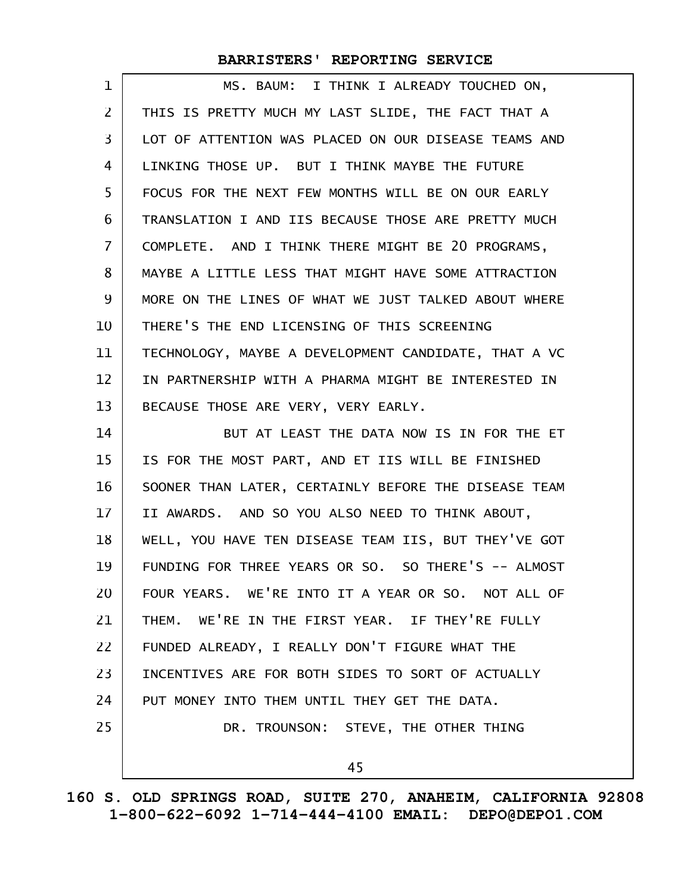| 1                 | MS. BAUM: I THINK I ALREADY TOUCHED ON,              |
|-------------------|------------------------------------------------------|
| 2                 | THIS IS PRETTY MUCH MY LAST SLIDE, THE FACT THAT A   |
| 3                 | LOT OF ATTENTION WAS PLACED ON OUR DISEASE TEAMS AND |
| 4                 | LINKING THOSE UP. BUT I THINK MAYBE THE FUTURE       |
| 5                 | FOCUS FOR THE NEXT FEW MONTHS WILL BE ON OUR EARLY   |
| 6                 | TRANSLATION I AND IIS BECAUSE THOSE ARE PRETTY MUCH  |
| 7                 | COMPLETE. AND I THINK THERE MIGHT BE 20 PROGRAMS,    |
| 8                 | MAYBE A LITTLE LESS THAT MIGHT HAVE SOME ATTRACTION  |
| 9                 | MORE ON THE LINES OF WHAT WE JUST TALKED ABOUT WHERE |
| 10                | THERE'S THE END LICENSING OF THIS SCREENING          |
| 11                | TECHNOLOGY, MAYBE A DEVELOPMENT CANDIDATE, THAT A VC |
| $12 \overline{ }$ | IN PARTNERSHIP WITH A PHARMA MIGHT BE INTERESTED IN  |
| 13                | BECAUSE THOSE ARE VERY, VERY EARLY.                  |
| 14                | BUT AT LEAST THE DATA NOW IS IN FOR THE ET           |
| 15                | IS FOR THE MOST PART, AND ET IIS WILL BE FINISHED    |
| 16                | SOONER THAN LATER, CERTAINLY BEFORE THE DISEASE TEAM |
| 17                | II AWARDS. AND SO YOU ALSO NEED TO THINK ABOUT,      |
| 18                | WELL, YOU HAVE TEN DISEASE TEAM IIS, BUT THEY'VE GOT |
| 19                | FUNDING FOR THREE YEARS OR SO. SO THERE'S -- ALMOST  |
| 20                | FOUR YEARS. WE'RE INTO IT A YEAR OR SO. NOT ALL OF   |
| 21                | THEM. WE'RE IN THE FIRST YEAR. IF THEY'RE FULLY      |
| 22                | FUNDED ALREADY, I REALLY DON'T FIGURE WHAT THE       |
| 23                | INCENTIVES ARE FOR BOTH SIDES TO SORT OF ACTUALLY    |
| 24                | PUT MONEY INTO THEM UNTIL THEY GET THE DATA.         |
| 25                | DR. TROUNSON: STEVE, THE OTHER THING                 |
|                   | 45                                                   |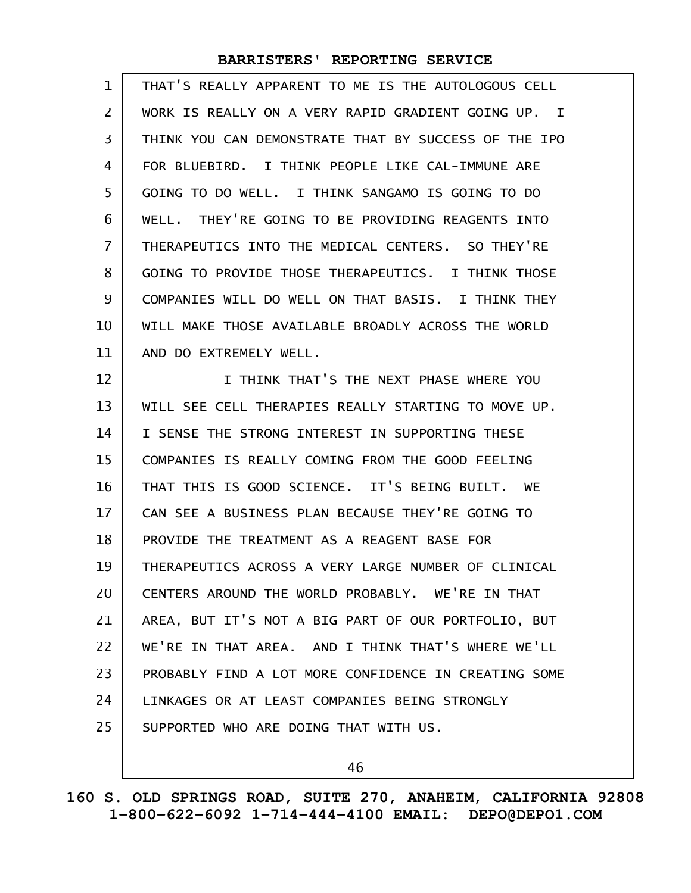| $\mathbf{1}$   | THAT'S REALLY APPARENT TO ME IS THE AUTOLOGOUS CELL       |
|----------------|-----------------------------------------------------------|
| 2              | WORK IS REALLY ON A VERY RAPID GRADIENT GOING UP. I       |
| 3              | THINK YOU CAN DEMONSTRATE THAT BY SUCCESS OF THE IPO      |
| 4              | FOR BLUEBIRD. I THINK PEOPLE LIKE CAL-IMMUNE ARE          |
| 5              | GOING TO DO WELL. I THINK SANGAMO IS GOING TO DO          |
| 6              | WELL. THEY'RE GOING TO BE PROVIDING REAGENTS INTO         |
| $\overline{7}$ | THERAPEUTICS INTO THE MEDICAL CENTERS. SO THEY'RE         |
| 8              | GOING TO PROVIDE THOSE THERAPEUTICS. I THINK THOSE        |
| 9              | COMPANIES WILL DO WELL ON THAT BASIS. I THINK THEY        |
| 10             | WILL MAKE THOSE AVAILABLE BROADLY ACROSS THE WORLD        |
| 11             | AND DO EXTREMELY WELL.                                    |
| 12             | I THINK THAT'S THE NEXT PHASE WHERE YOU                   |
| 13             | WILL SEE CELL THERAPIES REALLY STARTING TO MOVE UP.       |
| 14             | I SENSE THE STRONG INTEREST IN SUPPORTING THESE           |
| 15             | COMPANIES IS REALLY COMING FROM THE GOOD FEELING          |
| 16             | THAT THIS IS GOOD SCIENCE. IT'S BEING BUILT.<br><b>WE</b> |
| 17             | CAN SEE A BUSINESS PLAN BECAUSE THEY'RE GOING TO          |
| 18             | PROVIDE THE TREATMENT AS A REAGENT BASE FOR               |
| 19             | THERAPEUTICS ACROSS A VERY LARGE NUMBER OF CLINICAL       |
| 20             | CENTERS AROUND THE WORLD PROBABLY. WE'RE IN THAT          |
| 21             | AREA, BUT IT'S NOT A BIG PART OF OUR PORTFOLIO, BUT       |
| 22             | WE'RE IN THAT AREA. AND I THINK THAT'S WHERE WE'LL        |
| 23             | PROBABLY FIND A LOT MORE CONFIDENCE IN CREATING SOME      |
| 24             | LINKAGES OR AT LEAST COMPANIES BEING STRONGLY             |
| 25             | SUPPORTED WHO ARE DOING THAT WITH US.                     |
|                |                                                           |

46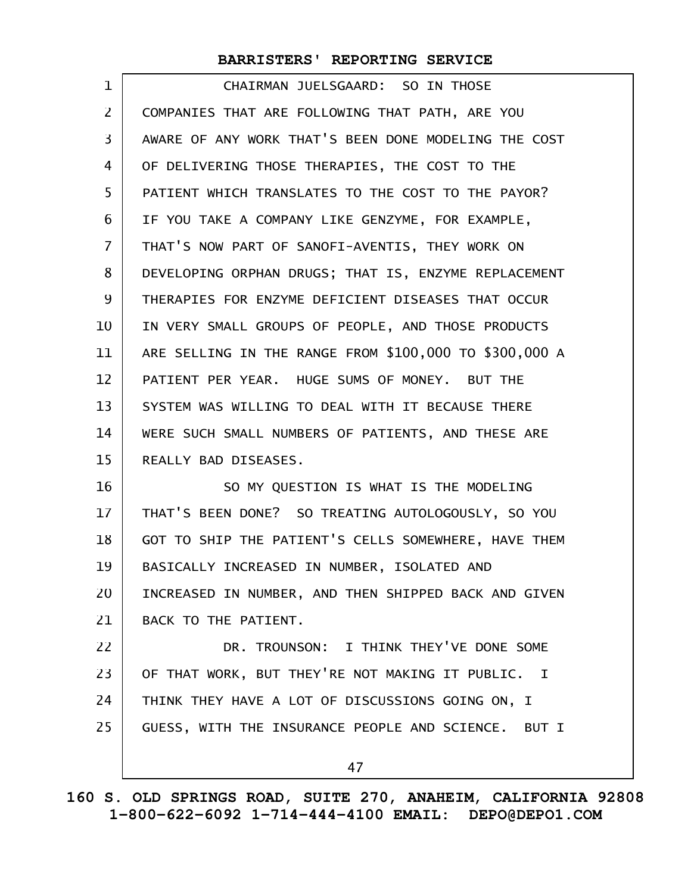| 1              | CHAIRMAN JUELSGAARD: SO IN THOSE                       |
|----------------|--------------------------------------------------------|
| $\overline{2}$ | COMPANIES THAT ARE FOLLOWING THAT PATH, ARE YOU        |
| 3              | AWARE OF ANY WORK THAT'S BEEN DONE MODELING THE COST   |
| 4              | OF DELIVERING THOSE THERAPIES, THE COST TO THE         |
| 5              | PATIENT WHICH TRANSLATES TO THE COST TO THE PAYOR?     |
| 6              | IF YOU TAKE A COMPANY LIKE GENZYME, FOR EXAMPLE,       |
| 7              | THAT'S NOW PART OF SANOFI-AVENTIS, THEY WORK ON        |
| 8              | DEVELOPING ORPHAN DRUGS; THAT IS, ENZYME REPLACEMENT   |
| 9              | THERAPIES FOR ENZYME DEFICIENT DISEASES THAT OCCUR     |
| 10             | IN VERY SMALL GROUPS OF PEOPLE, AND THOSE PRODUCTS     |
| 11             | ARE SELLING IN THE RANGE FROM \$100,000 TO \$300,000 A |
| 12             | PATIENT PER YEAR. HUGE SUMS OF MONEY. BUT THE          |
| 13             | SYSTEM WAS WILLING TO DEAL WITH IT BECAUSE THERE       |
| 14             | WERE SUCH SMALL NUMBERS OF PATIENTS, AND THESE ARE     |
| 15             | REALLY BAD DISEASES.                                   |
| 16             | SO MY QUESTION IS WHAT IS THE MODELING                 |
| 17             | THAT'S BEEN DONE? SO TREATING AUTOLOGOUSLY, SO YOU     |
| 18             | GOT TO SHIP THE PATIENT'S CELLS SOMEWHERE, HAVE THEM   |
| 19             | BASICALLY INCREASED IN NUMBER, ISOLATED AND            |
| 20             | INCREASED IN NUMBER, AND THEN SHIPPED BACK AND GIVEN   |
| 21             | BACK TO THE PATIENT.                                   |
| 22             | DR. TROUNSON: I THINK THEY'VE DONE SOME                |
| 23             | OF THAT WORK, BUT THEY'RE NOT MAKING IT PUBLIC. I      |
| 24             | THINK THEY HAVE A LOT OF DISCUSSIONS GOING ON, I       |
| 25             | GUESS, WITH THE INSURANCE PEOPLE AND SCIENCE. BUT I    |
|                | 47                                                     |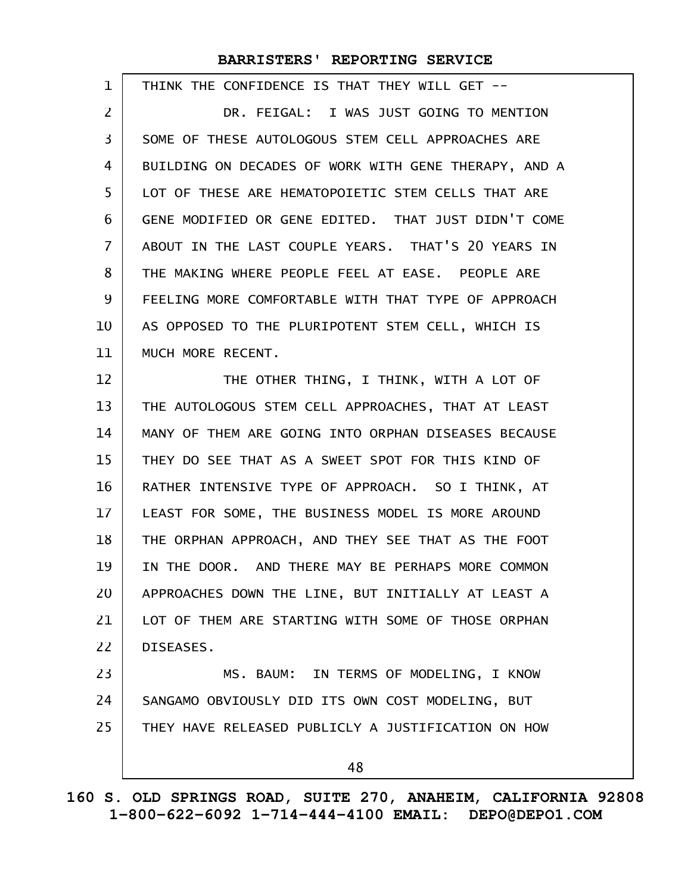| $\mathbf 1$    | THINK THE CONFIDENCE IS THAT THEY WILL GET --        |
|----------------|------------------------------------------------------|
| 2              | DR. FEIGAL: I WAS JUST GOING TO MENTION              |
| $\overline{3}$ | SOME OF THESE AUTOLOGOUS STEM CELL APPROACHES ARE    |
| 4              | BUILDING ON DECADES OF WORK WITH GENE THERAPY, AND A |
| 5              | LOT OF THESE ARE HEMATOPOIETIC STEM CELLS THAT ARE   |
| 6              | GENE MODIFIED OR GENE EDITED. THAT JUST DIDN'T COME  |
| 7              | ABOUT IN THE LAST COUPLE YEARS. THAT'S 20 YEARS IN   |
| 8              | THE MAKING WHERE PEOPLE FEEL AT EASE. PEOPLE ARE     |
| 9              | FEELING MORE COMFORTABLE WITH THAT TYPE OF APPROACH  |
| 10             | AS OPPOSED TO THE PLURIPOTENT STEM CELL, WHICH IS    |
| 11             | MUCH MORE RECENT.                                    |
| 12             | THE OTHER THING, I THINK, WITH A LOT OF              |
| 13             | THE AUTOLOGOUS STEM CELL APPROACHES, THAT AT LEAST   |
| 14             | MANY OF THEM ARE GOING INTO ORPHAN DISEASES BECAUSE  |
| 15             | THEY DO SEE THAT AS A SWEET SPOT FOR THIS KIND OF    |
| 16             | RATHER INTENSIVE TYPE OF APPROACH. SO I THINK, AT    |
| 17             | LEAST FOR SOME, THE BUSINESS MODEL IS MORE AROUND    |
| 18             | THE ORPHAN APPROACH, AND THEY SEE THAT AS THE FOOT   |
| 19             | IN THE DOOR. AND THERE MAY BE PERHAPS MORE COMMON    |
| 20             | APPROACHES DOWN THE LINE, BUT INITIALLY AT LEAST A   |
| 21             | LOT OF THEM ARE STARTING WITH SOME OF THOSE ORPHAN   |
| 22             | DISEASES.                                            |
| 23             | MS. BAUM: IN TERMS OF MODELING, I KNOW               |
| 24             | SANGAMO OBVIOUSLY DID ITS OWN COST MODELING, BUT     |
| 25             | THEY HAVE RELEASED PUBLICLY A JUSTIFICATION ON HOW   |
|                | 48                                                   |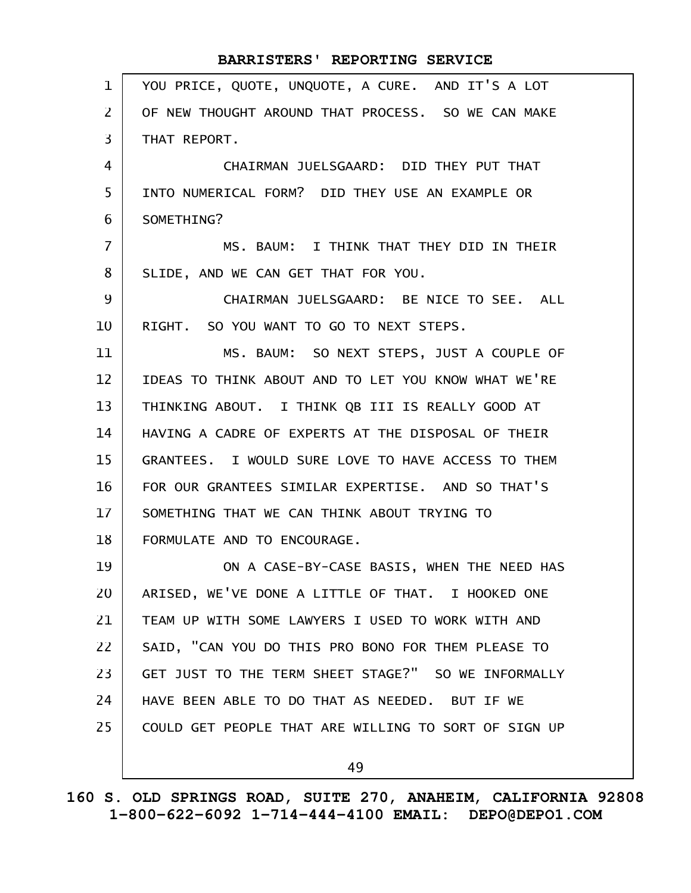| $\mathbf{1}$   | YOU PRICE, QUOTE, UNQUOTE, A CURE. AND IT'S A LOT    |
|----------------|------------------------------------------------------|
| $\overline{2}$ | OF NEW THOUGHT AROUND THAT PROCESS. SO WE CAN MAKE   |
| $\overline{3}$ | THAT REPORT.                                         |
| 4              | CHAIRMAN JUELSGAARD: DID THEY PUT THAT               |
| 5              | INTO NUMERICAL FORM? DID THEY USE AN EXAMPLE OR      |
| 6              | SOMETHING?                                           |
| $\overline{7}$ | MS. BAUM: I THINK THAT THEY DID IN THEIR             |
| 8              | SLIDE, AND WE CAN GET THAT FOR YOU.                  |
| 9              | CHAIRMAN JUELSGAARD: BE NICE TO SEE. ALL             |
| 10             | RIGHT. SO YOU WANT TO GO TO NEXT STEPS.              |
| 11             | MS. BAUM: SO NEXT STEPS, JUST A COUPLE OF            |
| 12             | IDEAS TO THINK ABOUT AND TO LET YOU KNOW WHAT WE'RE  |
| 13             | THINKING ABOUT. I THINK QB III IS REALLY GOOD AT     |
| 14             | HAVING A CADRE OF EXPERTS AT THE DISPOSAL OF THEIR   |
| 15             | GRANTEES. I WOULD SURE LOVE TO HAVE ACCESS TO THEM   |
| 16             | FOR OUR GRANTEES SIMILAR EXPERTISE. AND SO THAT'S    |
| 17             | SOMETHING THAT WE CAN THINK ABOUT TRYING TO          |
| 18             | FORMULATE AND TO ENCOURAGE.                          |
| 19             | ON A CASE-BY-CASE BASIS, WHEN THE NEED HAS           |
| 20             | ARISED, WE'VE DONE A LITTLE OF THAT. I HOOKED ONE    |
| 21             | TEAM UP WITH SOME LAWYERS I USED TO WORK WITH AND    |
| 22             | SAID, "CAN YOU DO THIS PRO BONO FOR THEM PLEASE TO   |
| 23             | GET JUST TO THE TERM SHEET STAGE?" SO WE INFORMALLY  |
| 24             | HAVE BEEN ABLE TO DO THAT AS NEEDED. BUT IF WE       |
| 25             | COULD GET PEOPLE THAT ARE WILLING TO SORT OF SIGN UP |
|                | 49                                                   |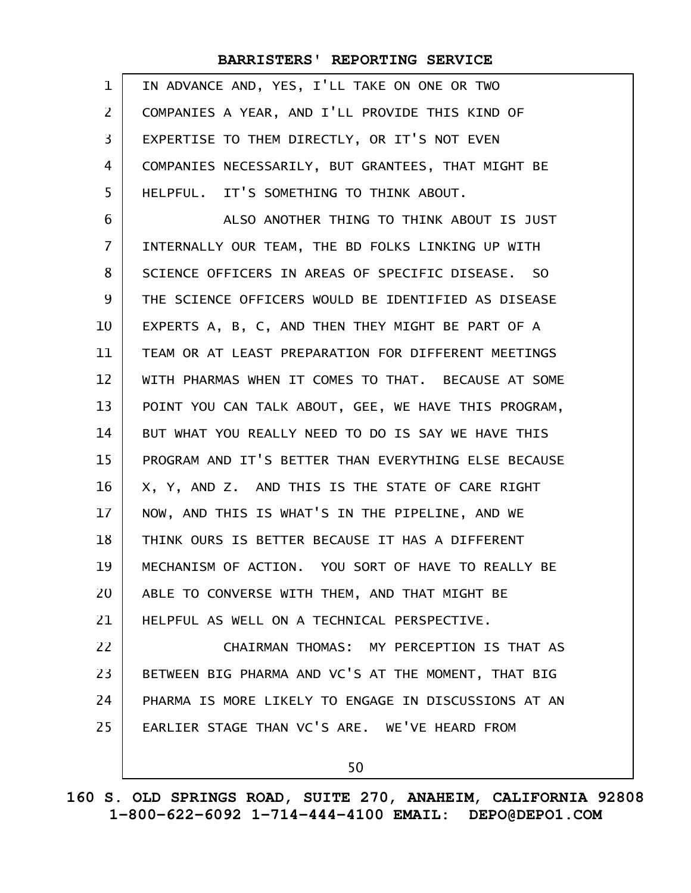| $\mathbf 1$ | IN ADVANCE AND, YES, I'LL TAKE ON ONE OR TWO         |
|-------------|------------------------------------------------------|
| 2           | COMPANIES A YEAR, AND I'LL PROVIDE THIS KIND OF      |
| 3           | EXPERTISE TO THEM DIRECTLY, OR IT'S NOT EVEN         |
| 4           | COMPANIES NECESSARILY, BUT GRANTEES, THAT MIGHT BE   |
| 5           | HELPFUL. IT'S SOMETHING TO THINK ABOUT.              |
| 6           | ALSO ANOTHER THING TO THINK ABOUT IS JUST            |
| 7           | INTERNALLY OUR TEAM, THE BD FOLKS LINKING UP WITH    |
| 8           | SCIENCE OFFICERS IN AREAS OF SPECIFIC DISEASE. SO    |
| 9           | THE SCIENCE OFFICERS WOULD BE IDENTIFIED AS DISEASE  |
| 10          | EXPERTS A, B, C, AND THEN THEY MIGHT BE PART OF A    |
| 11          | TEAM OR AT LEAST PREPARATION FOR DIFFERENT MEETINGS  |
| 12          | WITH PHARMAS WHEN IT COMES TO THAT. BECAUSE AT SOME  |
| 13          | POINT YOU CAN TALK ABOUT, GEE, WE HAVE THIS PROGRAM, |
| 14          | BUT WHAT YOU REALLY NEED TO DO IS SAY WE HAVE THIS   |
| 15          | PROGRAM AND IT'S BETTER THAN EVERYTHING ELSE BECAUSE |
| 16          | X, Y, AND Z. AND THIS IS THE STATE OF CARE RIGHT     |
| 17          | NOW, AND THIS IS WHAT'S IN THE PIPELINE, AND WE      |
| 18          | THINK OURS IS BETTER BECAUSE IT HAS A DIFFERENT      |
| 19          | MECHANISM OF ACTION. YOU SORT OF HAVE TO REALLY BE   |
| 20          | ABLE TO CONVERSE WITH THEM, AND THAT MIGHT BE        |
| 21          | HELPFUL AS WELL ON A TECHNICAL PERSPECTIVE.          |
| 22          | CHAIRMAN THOMAS: MY PERCEPTION IS THAT AS            |
| 23          | BETWEEN BIG PHARMA AND VC'S AT THE MOMENT, THAT BIG  |
| 24          | PHARMA IS MORE LIKELY TO ENGAGE IN DISCUSSIONS AT AN |
| 25          | EARLIER STAGE THAN VC'S ARE. WE'VE HEARD FROM        |
|             | 50                                                   |
|             |                                                      |

**160 S. OLD SPRINGS ROAD, SUITE 270, ANAHEIM, CALIFORNIA 92808 1-800-622-6092 1-714-444-4100 EMAIL: DEPO@DEPO1.COM**

 $\mathbf{I}$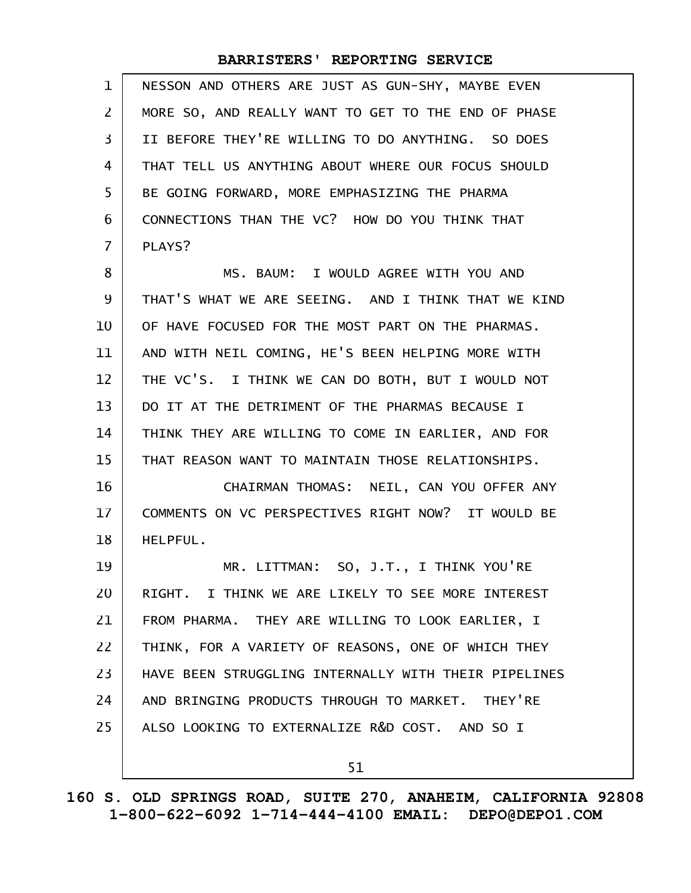| $\mathbf 1$    | NESSON AND OTHERS ARE JUST AS GUN-SHY, MAYBE EVEN    |
|----------------|------------------------------------------------------|
| $\mathsf{Z}$   | MORE SO, AND REALLY WANT TO GET TO THE END OF PHASE  |
| 3              | II BEFORE THEY'RE WILLING TO DO ANYTHING. SO DOES    |
| 4              | THAT TELL US ANYTHING ABOUT WHERE OUR FOCUS SHOULD   |
| 5              | BE GOING FORWARD, MORE EMPHASIZING THE PHARMA        |
| 6              | CONNECTIONS THAN THE VC? HOW DO YOU THINK THAT       |
| $\overline{7}$ | PLAYS?                                               |
| 8              | MS. BAUM: I WOULD AGREE WITH YOU AND                 |
| 9              | THAT'S WHAT WE ARE SEEING. AND I THINK THAT WE KIND  |
| 10             | OF HAVE FOCUSED FOR THE MOST PART ON THE PHARMAS.    |
| 11             | AND WITH NEIL COMING, HE'S BEEN HELPING MORE WITH    |
| 12             | THE VC'S. I THINK WE CAN DO BOTH, BUT I WOULD NOT    |
| 13             | DO IT AT THE DETRIMENT OF THE PHARMAS BECAUSE I      |
| 14             | THINK THEY ARE WILLING TO COME IN EARLIER, AND FOR   |
| 15             | THAT REASON WANT TO MAINTAIN THOSE RELATIONSHIPS.    |
| 16             | CHAIRMAN THOMAS: NEIL, CAN YOU OFFER ANY             |
| 17             | COMMENTS ON VC PERSPECTIVES RIGHT NOW? IT WOULD BE   |
| 18             | HELPFUL.                                             |
| 19             | MR. LITTMAN: SO, J.T., I THINK YOU'RE                |
| 20             | RIGHT. I THINK WE ARE LIKELY TO SEE MORE INTEREST    |
| 21             | FROM PHARMA. THEY ARE WILLING TO LOOK EARLIER, I     |
| 22             | THINK, FOR A VARIETY OF REASONS, ONE OF WHICH THEY   |
| 23             | HAVE BEEN STRUGGLING INTERNALLY WITH THEIR PIPELINES |
| 24             | AND BRINGING PRODUCTS THROUGH TO MARKET. THEY'RE     |
| 25             | ALSO LOOKING TO EXTERNALIZE R&D COST. AND SO I       |
|                | 51                                                   |

**160 S. OLD SPRINGS ROAD, SUITE 270, ANAHEIM, CALIFORNIA 92808 1-800-622-6092 1-714-444-4100 EMAIL: DEPO@DEPO1.COM**

 $\mathsf{l}$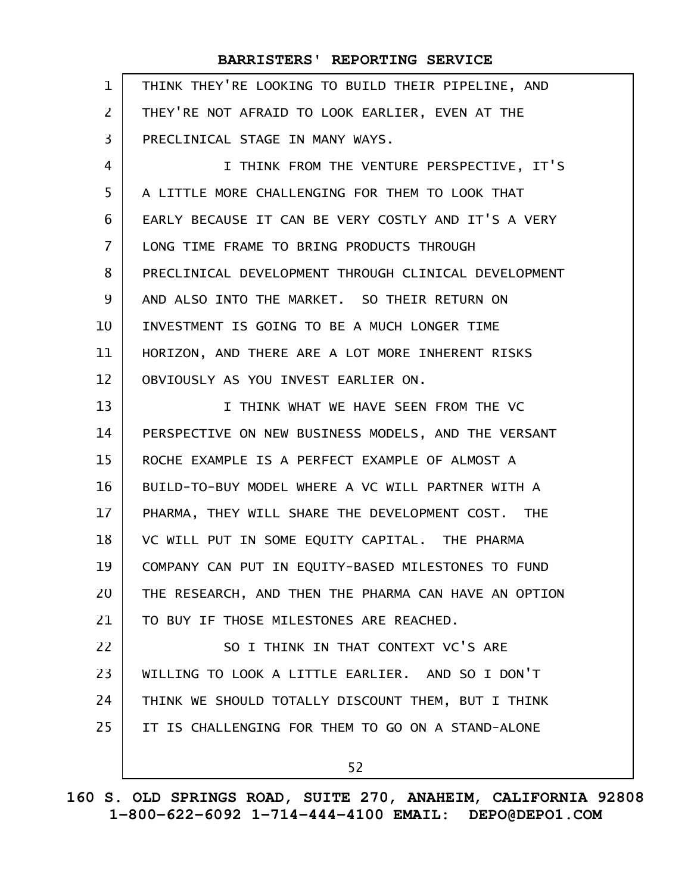| $\mathbf{1}$   | THINK THEY'RE LOOKING TO BUILD THEIR PIPELINE, AND   |
|----------------|------------------------------------------------------|
| $\mathsf{Z}$   | THEY'RE NOT AFRAID TO LOOK EARLIER, EVEN AT THE      |
| 3              | PRECLINICAL STAGE IN MANY WAYS.                      |
| 4              | I THINK FROM THE VENTURE PERSPECTIVE, IT'S           |
| 5              | A LITTLE MORE CHALLENGING FOR THEM TO LOOK THAT      |
| 6              | EARLY BECAUSE IT CAN BE VERY COSTLY AND IT'S A VERY  |
| $\overline{7}$ | LONG TIME FRAME TO BRING PRODUCTS THROUGH            |
| 8              | PRECLINICAL DEVELOPMENT THROUGH CLINICAL DEVELOPMENT |
| 9              | AND ALSO INTO THE MARKET. SO THEIR RETURN ON         |
| 10             | INVESTMENT IS GOING TO BE A MUCH LONGER TIME         |
| 11             | HORIZON, AND THERE ARE A LOT MORE INHERENT RISKS     |
| 12             | OBVIOUSLY AS YOU INVEST EARLIER ON.                  |
| 13             | I THINK WHAT WE HAVE SEEN FROM THE VC                |
| 14             | PERSPECTIVE ON NEW BUSINESS MODELS, AND THE VERSANT  |
| 15             | ROCHE EXAMPLE IS A PERFECT EXAMPLE OF ALMOST A       |
| 16             | BUILD-TO-BUY MODEL WHERE A VC WILL PARTNER WITH A    |
| 17             | PHARMA, THEY WILL SHARE THE DEVELOPMENT COST. THE    |
| 18             | VC WILL PUT IN SOME EQUITY CAPITAL. THE PHARMA       |
| 19             | COMPANY CAN PUT IN EQUITY-BASED MILESTONES TO FUND   |
| 20             | THE RESEARCH, AND THEN THE PHARMA CAN HAVE AN OPTION |
| 21             | TO BUY IF THOSE MILESTONES ARE REACHED.              |
| 22             | SO I THINK IN THAT CONTEXT VC'S ARE                  |
| 23             | WILLING TO LOOK A LITTLE EARLIER. AND SO I DON'T     |
| 24             | THINK WE SHOULD TOTALLY DISCOUNT THEM, BUT I THINK   |
| 25             | IT IS CHALLENGING FOR THEM TO GO ON A STAND-ALONE    |
|                | 52                                                   |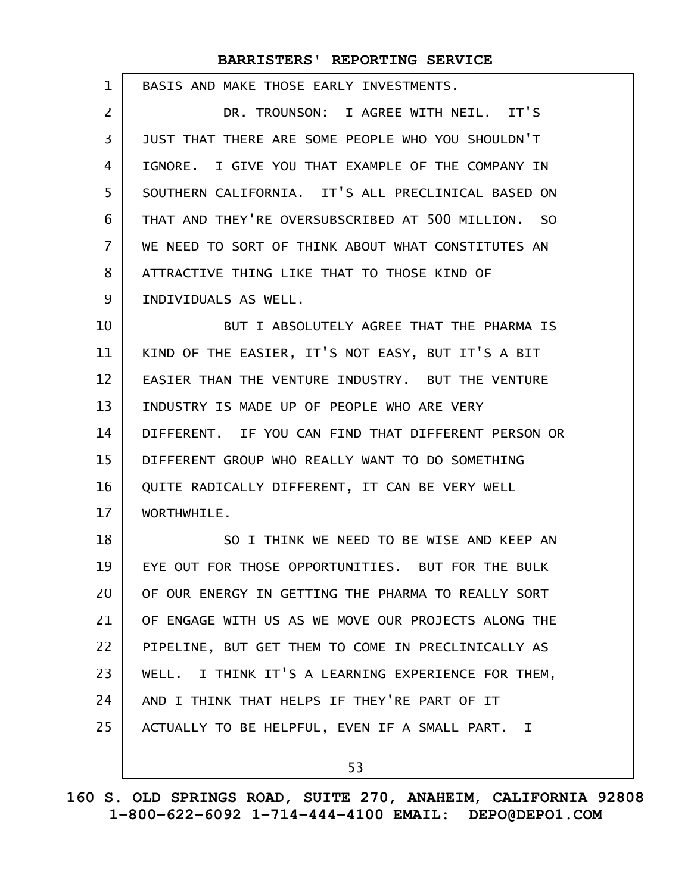| 1              | BASIS AND MAKE THOSE EARLY INVESTMENTS.               |
|----------------|-------------------------------------------------------|
| $\overline{2}$ | DR. TROUNSON: I AGREE WITH NEIL. IT'S                 |
| 3              | JUST THAT THERE ARE SOME PEOPLE WHO YOU SHOULDN'T     |
| $\overline{4}$ | IGNORE. I GIVE YOU THAT EXAMPLE OF THE COMPANY IN     |
| 5              | SOUTHERN CALIFORNIA. IT'S ALL PRECLINICAL BASED ON    |
| 6              | THAT AND THEY'RE OVERSUBSCRIBED AT 500 MILLION. SO    |
| $\overline{7}$ | WE NEED TO SORT OF THINK ABOUT WHAT CONSTITUTES AN    |
| 8              | ATTRACTIVE THING LIKE THAT TO THOSE KIND OF           |
| 9              | INDIVIDUALS AS WELL.                                  |
| 10             | BUT I ABSOLUTELY AGREE THAT THE PHARMA IS             |
| 11             | KIND OF THE EASIER, IT'S NOT EASY, BUT IT'S A BIT     |
| 12             | EASIER THAN THE VENTURE INDUSTRY. BUT THE VENTURE     |
| 13             | INDUSTRY IS MADE UP OF PEOPLE WHO ARE VERY            |
| 14             | DIFFERENT. IF YOU CAN FIND THAT DIFFERENT PERSON OR   |
| 15             | DIFFERENT GROUP WHO REALLY WANT TO DO SOMETHING       |
| 16             | QUITE RADICALLY DIFFERENT, IT CAN BE VERY WELL        |
| 17             | WORTHWHILE.                                           |
| 18             | SO I THINK WE NEED TO BE WISE AND KEEP AN             |
| 19             | EYE OUT FOR THOSE OPPORTUNITIES. BUT FOR THE BULK     |
| 20             | OF OUR ENERGY IN GETTING THE PHARMA TO REALLY SORT    |
| 21             | OF ENGAGE WITH US AS WE MOVE OUR PROJECTS ALONG THE   |
| 22             | PIPELINE, BUT GET THEM TO COME IN PRECLINICALLY AS    |
| 23             | I THINK IT'S A LEARNING EXPERIENCE FOR THEM,<br>WELL. |
| 24             | AND I THINK THAT HELPS IF THEY'RE PART OF IT          |
| 25             | ACTUALLY TO BE HELPFUL, EVEN IF A SMALL PART. I       |
|                | 53                                                    |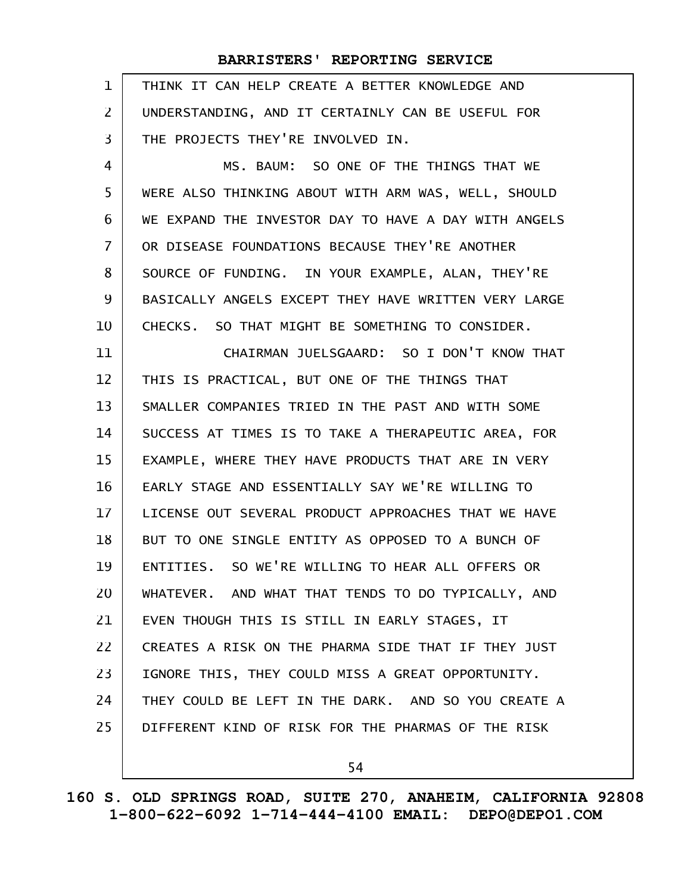| 1              | THINK IT CAN HELP CREATE A BETTER KNOWLEDGE AND      |
|----------------|------------------------------------------------------|
| $\overline{2}$ | UNDERSTANDING, AND IT CERTAINLY CAN BE USEFUL FOR    |
| 3              | THE PROJECTS THEY'RE INVOLVED IN.                    |
| $\overline{4}$ | MS. BAUM: SO ONE OF THE THINGS THAT WE               |
| 5              | WERE ALSO THINKING ABOUT WITH ARM WAS, WELL, SHOULD  |
| 6              | WE EXPAND THE INVESTOR DAY TO HAVE A DAY WITH ANGELS |
| $\overline{7}$ | OR DISEASE FOUNDATIONS BECAUSE THEY'RE ANOTHER       |
| 8              | SOURCE OF FUNDING. IN YOUR EXAMPLE, ALAN, THEY'RE    |
| 9              | BASICALLY ANGELS EXCEPT THEY HAVE WRITTEN VERY LARGE |
| 10             | CHECKS. SO THAT MIGHT BE SOMETHING TO CONSIDER.      |
| 11             | CHAIRMAN JUELSGAARD: SO I DON'T KNOW THAT            |
| 12             | THIS IS PRACTICAL, BUT ONE OF THE THINGS THAT        |
| 13             | SMALLER COMPANIES TRIED IN THE PAST AND WITH SOME    |
| 14             | SUCCESS AT TIMES IS TO TAKE A THERAPEUTIC AREA, FOR  |
| 15             | EXAMPLE, WHERE THEY HAVE PRODUCTS THAT ARE IN VERY   |
| 16             | EARLY STAGE AND ESSENTIALLY SAY WE'RE WILLING TO     |
| 17             | LICENSE OUT SEVERAL PRODUCT APPROACHES THAT WE HAVE  |
| 18             | BUT TO ONE SINGLE ENTITY AS OPPOSED TO A BUNCH OF    |
| 19             | ENTITIES. SO WE'RE WILLING TO HEAR ALL OFFERS OR     |
| 20             | WHATEVER. AND WHAT THAT TENDS TO DO TYPICALLY, AND   |
| 21             | EVEN THOUGH THIS IS STILL IN EARLY STAGES, IT        |
| 22             | CREATES A RISK ON THE PHARMA SIDE THAT IF THEY JUST  |
| 23             | IGNORE THIS, THEY COULD MISS A GREAT OPPORTUNITY.    |
| 24             | THEY COULD BE LEFT IN THE DARK. AND SO YOU CREATE A  |
| 25             | DIFFERENT KIND OF RISK FOR THE PHARMAS OF THE RISK   |
|                | 54                                                   |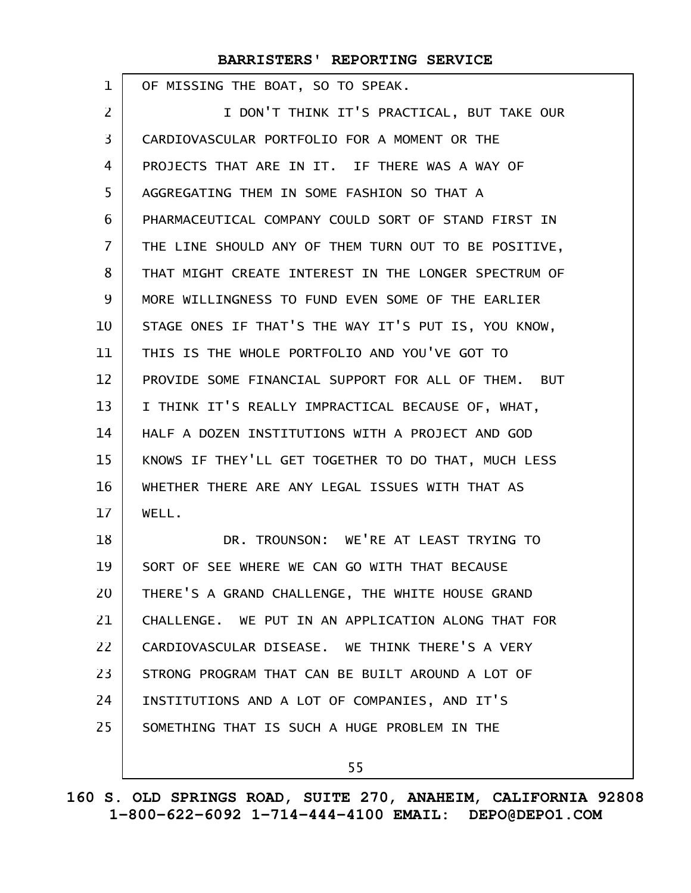OF MISSING THE BOAT, SO TO SPEAK. I DON'T THINK IT'S PRACTICAL, BUT TAKE OUR CARDIOVASCULAR PORTFOLIO FOR A MOMENT OR THE PROJECTS THAT ARE IN IT. IF THERE WAS A WAY OF AGGREGATING THEM IN SOME FASHION SO THAT A PHARMACEUTICAL COMPANY COULD SORT OF STAND FIRST IN THE LINE SHOULD ANY OF THEM TURN OUT TO BE POSITIVE, THAT MIGHT CREATE INTEREST IN THE LONGER SPECTRUM OF MORE WILLINGNESS TO FUND EVEN SOME OF THE EARLIER STAGE ONES IF THAT'S THE WAY IT'S PUT IS, YOU KNOW, THIS IS THE WHOLE PORTFOLIO AND YOU'VE GOT TO PROVIDE SOME FINANCIAL SUPPORT FOR ALL OF THEM. BUT I THINK IT'S REALLY IMPRACTICAL BECAUSE OF, WHAT, HALF A DOZEN INSTITUTIONS WITH A PROJECT AND GOD KNOWS IF THEY'LL GET TOGETHER TO DO THAT, MUCH LESS WHETHER THERE ARE ANY LEGAL ISSUES WITH THAT AS WELL. DR. TROUNSON: WE'RE AT LEAST TRYING TO SORT OF SEE WHERE WE CAN GO WITH THAT BECAUSE THERE'S A GRAND CHALLENGE, THE WHITE HOUSE GRAND CHALLENGE. WE PUT IN AN APPLICATION ALONG THAT FOR CARDIOVASCULAR DISEASE. WE THINK THERE'S A VERY STRONG PROGRAM THAT CAN BE BUILT AROUND A LOT OF INSTITUTIONS AND A LOT OF COMPANIES, AND IT'S SOMETHING THAT IS SUCH A HUGE PROBLEM IN THE 1 2 3 4 5 6 7 8 9 10 11 12 13 14 15 16 17 18 19 20 21 22 23 24 25

55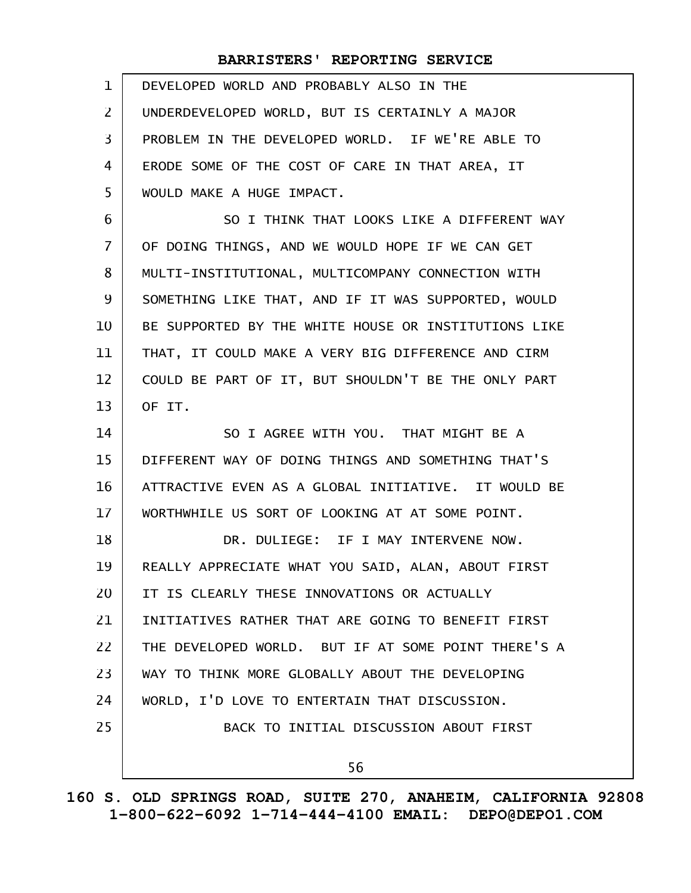| $\mathbf{1}$    | DEVELOPED WORLD AND PROBABLY ALSO IN THE             |
|-----------------|------------------------------------------------------|
| $\overline{2}$  | UNDERDEVELOPED WORLD, BUT IS CERTAINLY A MAJOR       |
| $\overline{3}$  | PROBLEM IN THE DEVELOPED WORLD. IF WE'RE ABLE TO     |
| 4               | ERODE SOME OF THE COST OF CARE IN THAT AREA, IT      |
| 5               | WOULD MAKE A HUGE IMPACT.                            |
| 6               | SO I THINK THAT LOOKS LIKE A DIFFERENT WAY           |
| $\overline{7}$  | OF DOING THINGS, AND WE WOULD HOPE IF WE CAN GET     |
| 8               | MULTI-INSTITUTIONAL, MULTICOMPANY CONNECTION WITH    |
| 9               | SOMETHING LIKE THAT, AND IF IT WAS SUPPORTED, WOULD  |
| 10              | BE SUPPORTED BY THE WHITE HOUSE OR INSTITUTIONS LIKE |
| 11              | THAT, IT COULD MAKE A VERY BIG DIFFERENCE AND CIRM   |
| 12              | COULD BE PART OF IT, BUT SHOULDN'T BE THE ONLY PART  |
| 13              | OF IT.                                               |
| 14              | SO I AGREE WITH YOU. THAT MIGHT BE A                 |
| 15              | DIFFERENT WAY OF DOING THINGS AND SOMETHING THAT'S   |
| 16              | ATTRACTIVE EVEN AS A GLOBAL INITIATIVE. IT WOULD BE  |
| 17 <sup>2</sup> | WORTHWHILE US SORT OF LOOKING AT AT SOME POINT.      |
| 18              | DR. DULIEGE: IF I MAY INTERVENE NOW.                 |
| 19              | REALLY APPRECIATE WHAT YOU SAID, ALAN, ABOUT FIRST   |
| 20              | IT IS CLEARLY THESE INNOVATIONS OR ACTUALLY          |
| 21              | INITIATIVES RATHER THAT ARE GOING TO BENEFIT FIRST   |
| 22              | THE DEVELOPED WORLD. BUT IF AT SOME POINT THERE'S A  |
| 23              | WAY TO THINK MORE GLOBALLY ABOUT THE DEVELOPING      |
| 24              | WORLD, I'D LOVE TO ENTERTAIN THAT DISCUSSION.        |
| 25              | BACK TO INITIAL DISCUSSION ABOUT FIRST               |
|                 | 56                                                   |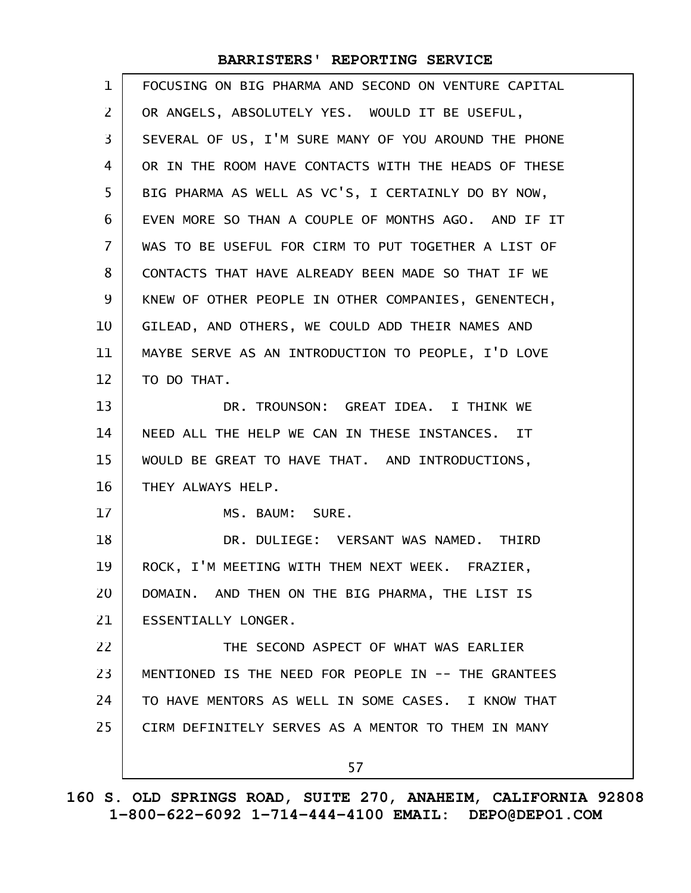| $\mathbf{1}$      | FOCUSING ON BIG PHARMA AND SECOND ON VENTURE CAPITAL |
|-------------------|------------------------------------------------------|
| 2                 | OR ANGELS, ABSOLUTELY YES. WOULD IT BE USEFUL,       |
| $\overline{3}$    | SEVERAL OF US, I'M SURE MANY OF YOU AROUND THE PHONE |
| 4                 | OR IN THE ROOM HAVE CONTACTS WITH THE HEADS OF THESE |
| 5                 | BIG PHARMA AS WELL AS VC'S, I CERTAINLY DO BY NOW,   |
| 6                 | EVEN MORE SO THAN A COUPLE OF MONTHS AGO. AND IF IT  |
| $\overline{7}$    | WAS TO BE USEFUL FOR CIRM TO PUT TOGETHER A LIST OF  |
| 8                 | CONTACTS THAT HAVE ALREADY BEEN MADE SO THAT IF WE   |
| 9                 | KNEW OF OTHER PEOPLE IN OTHER COMPANIES, GENENTECH,  |
| 10                | GILEAD, AND OTHERS, WE COULD ADD THEIR NAMES AND     |
| 11                | MAYBE SERVE AS AN INTRODUCTION TO PEOPLE, I'D LOVE   |
| $12 \overline{ }$ | TO DO THAT.                                          |
| 13                | DR. TROUNSON: GREAT IDEA. I THINK WE                 |
| 14                | NEED ALL THE HELP WE CAN IN THESE INSTANCES. IT      |
| 15                | WOULD BE GREAT TO HAVE THAT. AND INTRODUCTIONS,      |
| 16                | THEY ALWAYS HELP.                                    |
| 17                | MS. BAUM: SURE.                                      |
| 18                | DR. DULIEGE: VERSANT WAS NAMED. THIRD                |
| 19                | ROCK, I'M MEETING WITH THEM NEXT WEEK. FRAZIER,      |
| 20                | DOMAIN. AND THEN ON THE BIG PHARMA, THE LIST IS      |
| 21                | ESSENTIALLY LONGER.                                  |
| 22                | THE SECOND ASPECT OF WHAT WAS EARLIER                |
| 23                | MENTIONED IS THE NEED FOR PEOPLE IN -- THE GRANTEES  |
| 24                | TO HAVE MENTORS AS WELL IN SOME CASES. I KNOW THAT   |
| 25                | CIRM DEFINITELY SERVES AS A MENTOR TO THEM IN MANY   |
|                   | 57                                                   |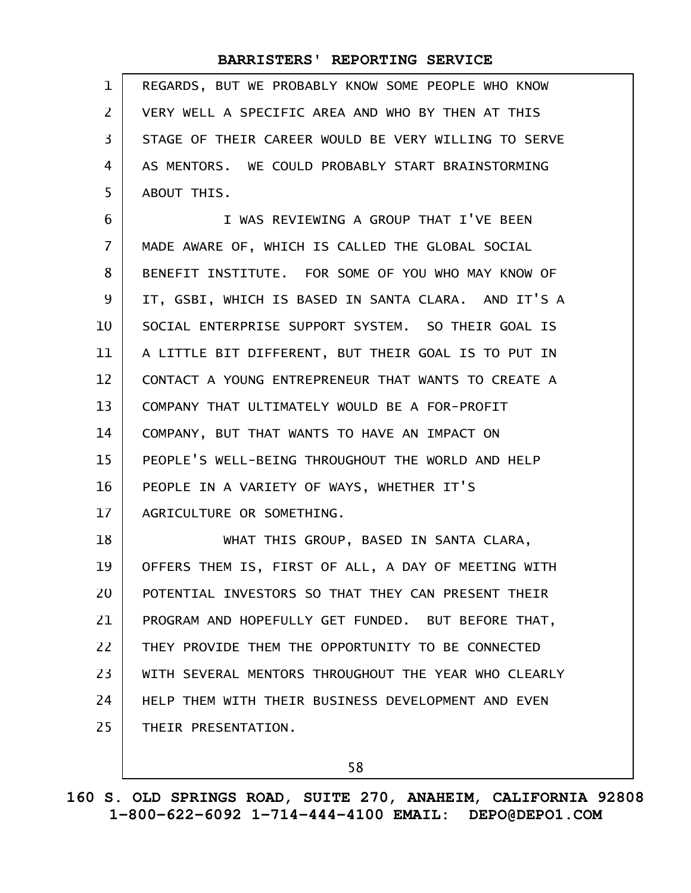| $\mathbf 1$    | REGARDS, BUT WE PROBABLY KNOW SOME PEOPLE WHO KNOW   |
|----------------|------------------------------------------------------|
| 2              | VERY WELL A SPECIFIC AREA AND WHO BY THEN AT THIS    |
| 3              | STAGE OF THEIR CAREER WOULD BE VERY WILLING TO SERVE |
| 4              | AS MENTORS. WE COULD PROBABLY START BRAINSTORMING    |
| 5              | ABOUT THIS.                                          |
| 6              | I WAS REVIEWING A GROUP THAT I'VE BEEN               |
| $\overline{7}$ | MADE AWARE OF, WHICH IS CALLED THE GLOBAL SOCIAL     |
| 8              | BENEFIT INSTITUTE. FOR SOME OF YOU WHO MAY KNOW OF   |
| 9              | IT, GSBI, WHICH IS BASED IN SANTA CLARA. AND IT'S A  |
| 10             | SOCIAL ENTERPRISE SUPPORT SYSTEM. SO THEIR GOAL IS   |
| 11             | A LITTLE BIT DIFFERENT, BUT THEIR GOAL IS TO PUT IN  |
| 12             | CONTACT A YOUNG ENTREPRENEUR THAT WANTS TO CREATE A  |
| 13             | COMPANY THAT ULTIMATELY WOULD BE A FOR-PROFIT        |
| 14             | COMPANY, BUT THAT WANTS TO HAVE AN IMPACT ON         |
| 15             | PEOPLE'S WELL-BEING THROUGHOUT THE WORLD AND HELP    |
| 16             | PEOPLE IN A VARIETY OF WAYS, WHETHER IT'S            |
| 17             | AGRICULTURE OR SOMETHING.                            |
| 18             | WHAT THIS GROUP, BASED IN SANTA CLARA,               |
| 19             | OFFERS THEM IS, FIRST OF ALL, A DAY OF MEETING WITH  |
| 20             | POTENTIAL INVESTORS SO THAT THEY CAN PRESENT THEIR   |
| 21             | PROGRAM AND HOPEFULLY GET FUNDED. BUT BEFORE THAT,   |
| 22             | THEY PROVIDE THEM THE OPPORTUNITY TO BE CONNECTED    |
| 23             | WITH SEVERAL MENTORS THROUGHOUT THE YEAR WHO CLEARLY |
| 24             | HELP THEM WITH THEIR BUSINESS DEVELOPMENT AND EVEN   |
| 25             | THEIR PRESENTATION.                                  |
|                |                                                      |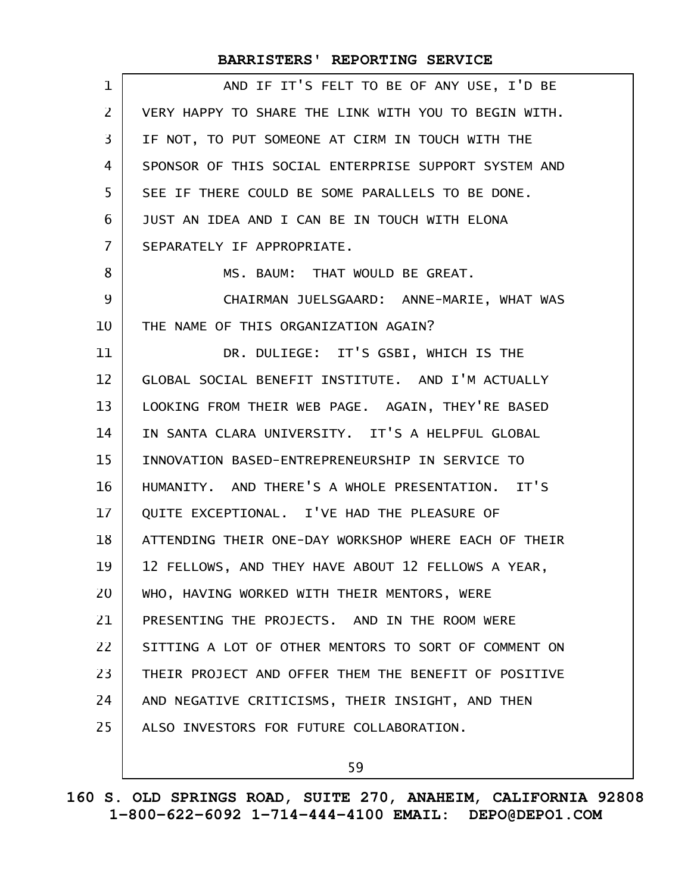| 1              | AND IF IT'S FELT TO BE OF ANY USE, I'D BE            |
|----------------|------------------------------------------------------|
| $\overline{2}$ | VERY HAPPY TO SHARE THE LINK WITH YOU TO BEGIN WITH. |
| 3              | IF NOT, TO PUT SOMEONE AT CIRM IN TOUCH WITH THE     |
| 4              | SPONSOR OF THIS SOCIAL ENTERPRISE SUPPORT SYSTEM AND |
| 5              | SEE IF THERE COULD BE SOME PARALLELS TO BE DONE.     |
| 6              | JUST AN IDEA AND I CAN BE IN TOUCH WITH ELONA        |
| $\overline{7}$ | SEPARATELY IF APPROPRIATE.                           |
| 8              | MS. BAUM: THAT WOULD BE GREAT.                       |
| 9              | CHAIRMAN JUELSGAARD: ANNE-MARIE, WHAT WAS            |
| 10             | THE NAME OF THIS ORGANIZATION AGAIN?                 |
| 11             | DR. DULIEGE: IT'S GSBI, WHICH IS THE                 |
| 12             | GLOBAL SOCIAL BENEFIT INSTITUTE. AND I'M ACTUALLY    |
| 13             | LOOKING FROM THEIR WEB PAGE. AGAIN, THEY'RE BASED    |
| 14             | IN SANTA CLARA UNIVERSITY. IT'S A HELPFUL GLOBAL     |
| 15             | INNOVATION BASED-ENTREPRENEURSHIP IN SERVICE TO      |
| 16             | HUMANITY. AND THERE'S A WHOLE PRESENTATION. IT'S     |
| 17             | QUITE EXCEPTIONAL. I'VE HAD THE PLEASURE OF          |
| 18             | ATTENDING THEIR ONE-DAY WORKSHOP WHERE EACH OF THEIR |
| 19             | 12 FELLOWS, AND THEY HAVE ABOUT 12 FELLOWS A YEAR,   |
| 20             | WHO, HAVING WORKED WITH THEIR MENTORS, WERE          |
| 21             | PRESENTING THE PROJECTS. AND IN THE ROOM WERE        |
| 22             | SITTING A LOT OF OTHER MENTORS TO SORT OF COMMENT ON |
| 23             | THEIR PROJECT AND OFFER THEM THE BENEFIT OF POSITIVE |
| 24             | AND NEGATIVE CRITICISMS, THEIR INSIGHT, AND THEN     |
| 25             | ALSO INVESTORS FOR FUTURE COLLABORATION.             |
|                |                                                      |

59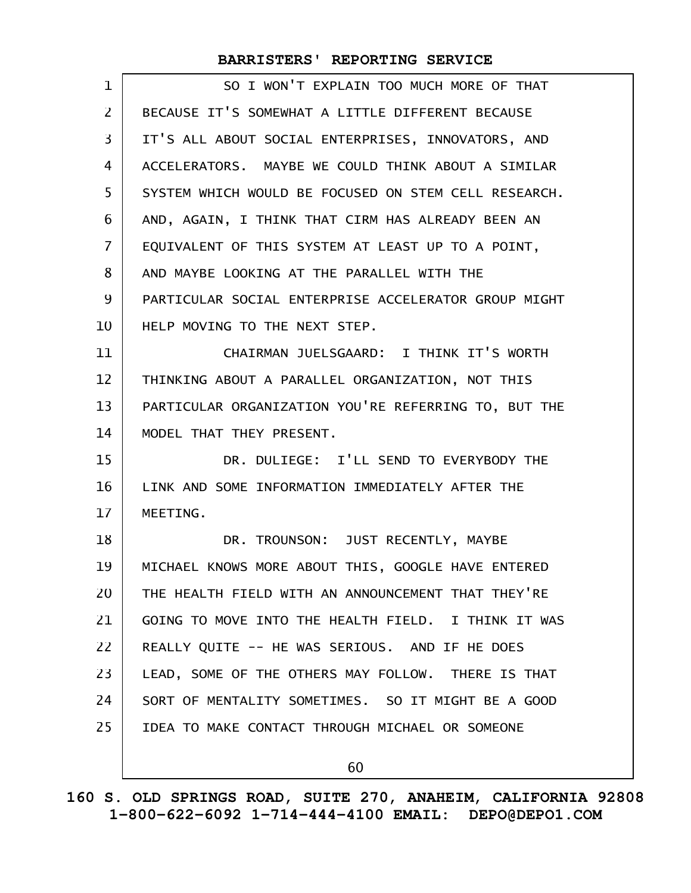| 1              | SO I WON'T EXPLAIN TOO MUCH MORE OF THAT             |
|----------------|------------------------------------------------------|
| $\overline{2}$ | BECAUSE IT'S SOMEWHAT A LITTLE DIFFERENT BECAUSE     |
| 3              | IT'S ALL ABOUT SOCIAL ENTERPRISES, INNOVATORS, AND   |
| 4              | ACCELERATORS. MAYBE WE COULD THINK ABOUT A SIMILAR   |
| 5              | SYSTEM WHICH WOULD BE FOCUSED ON STEM CELL RESEARCH. |
| 6              | AND, AGAIN, I THINK THAT CIRM HAS ALREADY BEEN AN    |
| $\overline{7}$ | EQUIVALENT OF THIS SYSTEM AT LEAST UP TO A POINT,    |
| 8              | AND MAYBE LOOKING AT THE PARALLEL WITH THE           |
| 9              | PARTICULAR SOCIAL ENTERPRISE ACCELERATOR GROUP MIGHT |
| 10             | HELP MOVING TO THE NEXT STEP.                        |
| 11             | CHAIRMAN JUELSGAARD: I THINK IT'S WORTH              |
| 12             | THINKING ABOUT A PARALLEL ORGANIZATION, NOT THIS     |
| 13             | PARTICULAR ORGANIZATION YOU'RE REFERRING TO, BUT THE |
| 14             | MODEL THAT THEY PRESENT.                             |
| 15             | DR. DULIEGE: I'LL SEND TO EVERYBODY THE              |
| 16             | LINK AND SOME INFORMATION IMMEDIATELY AFTER THE      |
| 17             | MEETING.                                             |
| 18             | DR. TROUNSON: JUST RECENTLY, MAYBE                   |
| 19             | MICHAEL KNOWS MORE ABOUT THIS, GOOGLE HAVE ENTERED   |
| 20             | THE HEALTH FIELD WITH AN ANNOUNCEMENT THAT THEY'RE   |
| 21             | GOING TO MOVE INTO THE HEALTH FIELD. I THINK IT WAS  |
| 22             | REALLY QUITE -- HE WAS SERIOUS. AND IF HE DOES       |
| 23             | LEAD, SOME OF THE OTHERS MAY FOLLOW. THERE IS THAT   |
| 24             | SORT OF MENTALITY SOMETIMES. SO IT MIGHT BE A GOOD   |
| 25             | IDEA TO MAKE CONTACT THROUGH MICHAEL OR SOMEONE      |
|                | 60                                                   |
|                |                                                      |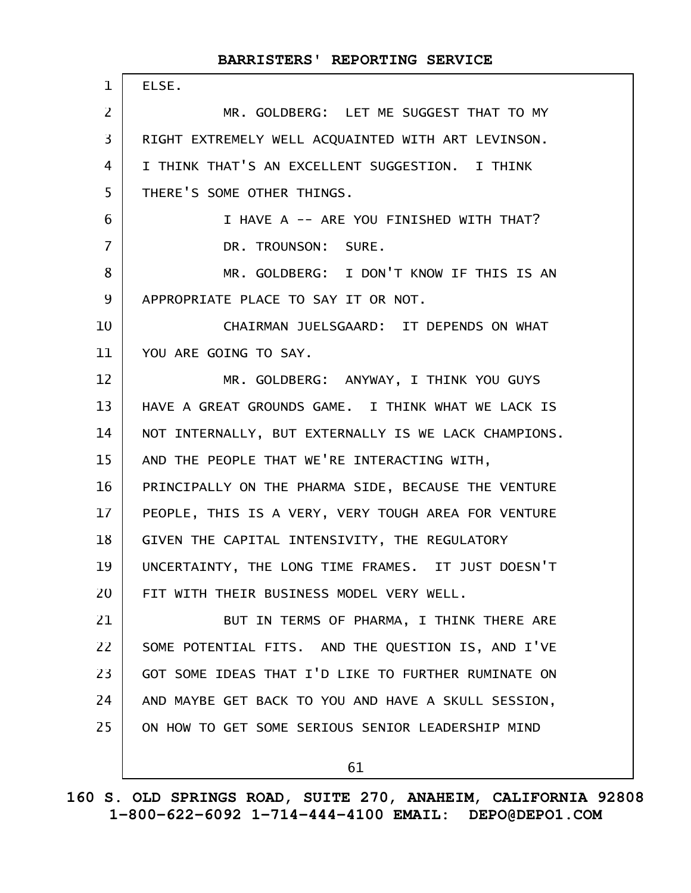#### ELSE. MR. GOLDBERG: LET ME SUGGEST THAT TO MY RIGHT EXTREMELY WELL ACQUAINTED WITH ART LEVINSON. I THINK THAT'S AN EXCELLENT SUGGESTION. I THINK THERE'S SOME OTHER THINGS. I HAVE A -- ARE YOU FINISHED WITH THAT? DR. TROUNSON: SURE. MR. GOLDBERG: I DON'T KNOW IF THIS IS AN APPROPRIATE PLACE TO SAY IT OR NOT. CHAIRMAN JUELSGAARD: IT DEPENDS ON WHAT YOU ARE GOING TO SAY. MR. GOLDBERG: ANYWAY, I THINK YOU GUYS HAVE A GREAT GROUNDS GAME. I THINK WHAT WE LACK IS NOT INTERNALLY, BUT EXTERNALLY IS WE LACK CHAMPIONS. AND THE PEOPLE THAT WE'RE INTERACTING WITH, PRINCIPALLY ON THE PHARMA SIDE, BECAUSE THE VENTURE PEOPLE, THIS IS A VERY, VERY TOUGH AREA FOR VENTURE GIVEN THE CAPITAL INTENSIVITY, THE REGULATORY UNCERTAINTY, THE LONG TIME FRAMES. IT JUST DOESN'T FIT WITH THEIR BUSINESS MODEL VERY WELL. BUT IN TERMS OF PHARMA, I THINK THERE ARE SOME POTENTIAL FITS. AND THE QUESTION IS, AND I'VE GOT SOME IDEAS THAT I'D LIKE TO FURTHER RUMINATE ON AND MAYBE GET BACK TO YOU AND HAVE A SKULL SESSION, ON HOW TO GET SOME SERIOUS SENIOR LEADERSHIP MIND 1 2 3 4 5 6 7 8 9 10 11 12 13 14 15 16 17 18 19 20 21 22 23 24 25

**BARRISTERS' REPORTING SERVICE**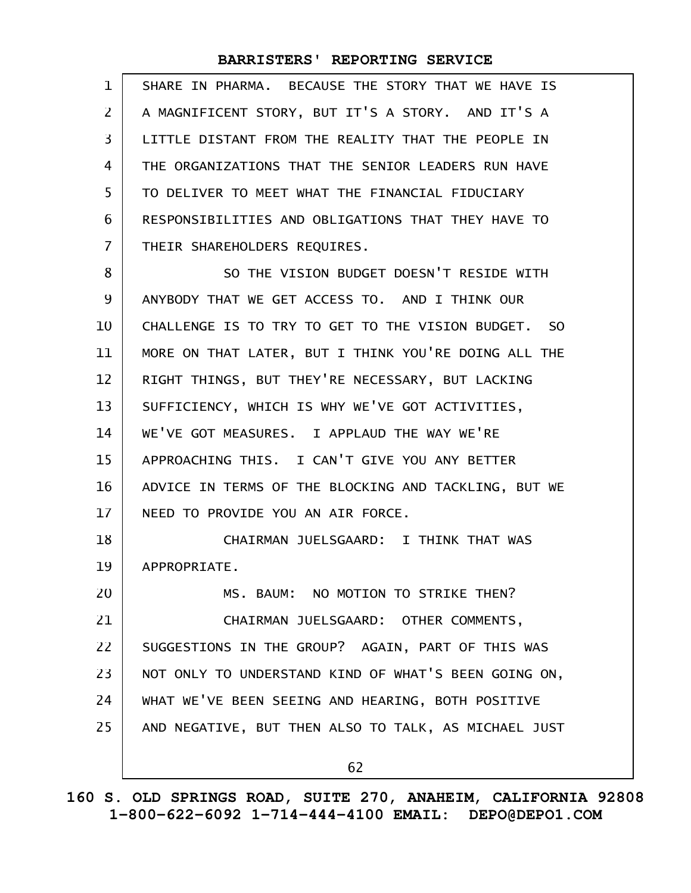| 1              | SHARE IN PHARMA. BECAUSE THE STORY THAT WE HAVE IS   |
|----------------|------------------------------------------------------|
| $\overline{2}$ | A MAGNIFICENT STORY, BUT IT'S A STORY. AND IT'S A    |
| 3              | LITTLE DISTANT FROM THE REALITY THAT THE PEOPLE IN   |
| 4              | THE ORGANIZATIONS THAT THE SENIOR LEADERS RUN HAVE   |
| 5              | TO DELIVER TO MEET WHAT THE FINANCIAL FIDUCIARY      |
| 6              | RESPONSIBILITIES AND OBLIGATIONS THAT THEY HAVE TO   |
| $\overline{7}$ | THEIR SHAREHOLDERS REQUIRES.                         |
| 8              | SO THE VISION BUDGET DOESN'T RESIDE WITH             |
| 9              | ANYBODY THAT WE GET ACCESS TO. AND I THINK OUR       |
| 10             | CHALLENGE IS TO TRY TO GET TO THE VISION BUDGET. SO  |
| 11             | MORE ON THAT LATER, BUT I THINK YOU'RE DOING ALL THE |
| 12             | RIGHT THINGS, BUT THEY'RE NECESSARY, BUT LACKING     |
| 13             | SUFFICIENCY, WHICH IS WHY WE'VE GOT ACTIVITIES,      |
| 14             | WE'VE GOT MEASURES. I APPLAUD THE WAY WE'RE          |
| 15             | APPROACHING THIS. I CAN'T GIVE YOU ANY BETTER        |
| 16             | ADVICE IN TERMS OF THE BLOCKING AND TACKLING, BUT WE |
| 17             | NEED TO PROVIDE YOU AN AIR FORCE.                    |
| 18             | CHAIRMAN JUELSGAARD: I THINK THAT WAS                |
| 19             | APPROPRIATE.                                         |
| 20             | MS. BAUM: NO MOTION TO STRIKE THEN?                  |
| 21             | CHAIRMAN JUELSGAARD: OTHER COMMENTS,                 |
| 22             | SUGGESTIONS IN THE GROUP? AGAIN, PART OF THIS WAS    |
| 23             | NOT ONLY TO UNDERSTAND KIND OF WHAT'S BEEN GOING ON, |
| 24             | WHAT WE'VE BEEN SEEING AND HEARING, BOTH POSITIVE    |
| 25             | AND NEGATIVE, BUT THEN ALSO TO TALK, AS MICHAEL JUST |
|                | 62                                                   |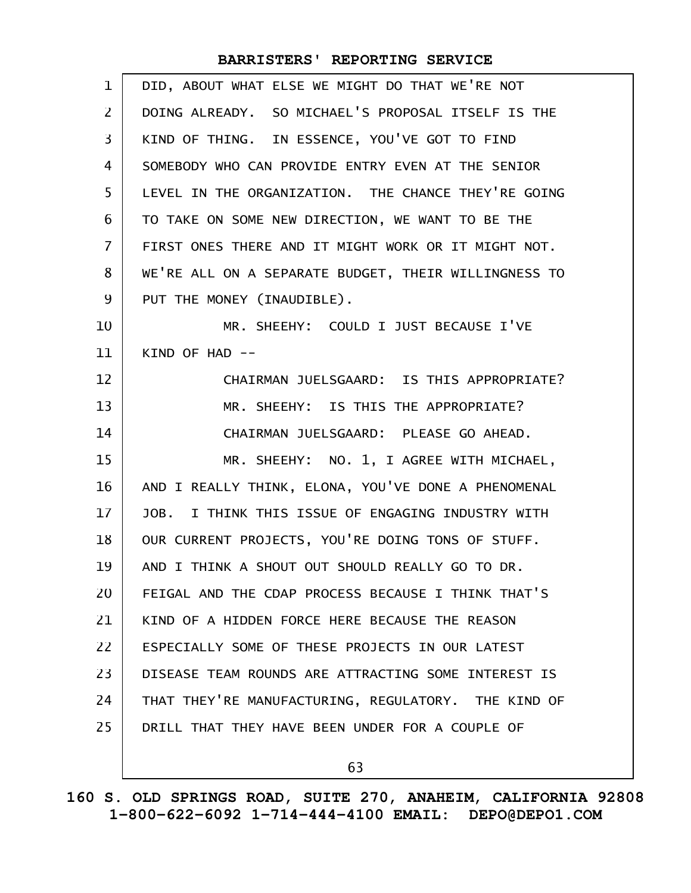| 1              | DID, ABOUT WHAT ELSE WE MIGHT DO THAT WE'RE NOT      |
|----------------|------------------------------------------------------|
| $\overline{2}$ | DOING ALREADY. SO MICHAEL'S PROPOSAL ITSELF IS THE   |
| 3              | KIND OF THING. IN ESSENCE, YOU'VE GOT TO FIND        |
| 4              | SOMEBODY WHO CAN PROVIDE ENTRY EVEN AT THE SENIOR    |
| 5              | LEVEL IN THE ORGANIZATION. THE CHANCE THEY'RE GOING  |
| 6              | TO TAKE ON SOME NEW DIRECTION, WE WANT TO BE THE     |
| $\overline{7}$ | FIRST ONES THERE AND IT MIGHT WORK OR IT MIGHT NOT.  |
| 8              | WE'RE ALL ON A SEPARATE BUDGET, THEIR WILLINGNESS TO |
| 9              | PUT THE MONEY (INAUDIBLE).                           |
| 10             | MR. SHEEHY: COULD I JUST BECAUSE I'VE                |
| 11             | KIND OF HAD $--$                                     |
| 12             | CHAIRMAN JUELSGAARD: IS THIS APPROPRIATE?            |
| 13             | MR. SHEEHY: IS THIS THE APPROPRIATE?                 |
| 14             | CHAIRMAN JUELSGAARD: PLEASE GO AHEAD.                |
| 15             | MR. SHEEHY: NO. 1, I AGREE WITH MICHAEL,             |
| 16             | AND I REALLY THINK, ELONA, YOU'VE DONE A PHENOMENAL  |
| 17             | JOB. I THINK THIS ISSUE OF ENGAGING INDUSTRY WITH    |
| 18             | OUR CURRENT PROJECTS, YOU'RE DOING TONS OF STUFF.    |
| 19             | AND I THINK A SHOUT OUT SHOULD REALLY GO TO DR.      |
| 20             | FEIGAL AND THE CDAP PROCESS BECAUSE I THINK THAT'S   |
| 21             | KIND OF A HIDDEN FORCE HERE BECAUSE THE REASON       |
| 22             | ESPECIALLY SOME OF THESE PROJECTS IN OUR LATEST      |
| 23             | DISEASE TEAM ROUNDS ARE ATTRACTING SOME INTEREST IS  |
| 24             | THAT THEY'RE MANUFACTURING, REGULATORY. THE KIND OF  |
| 25             | DRILL THAT THEY HAVE BEEN UNDER FOR A COUPLE OF      |
|                | 63                                                   |
|                |                                                      |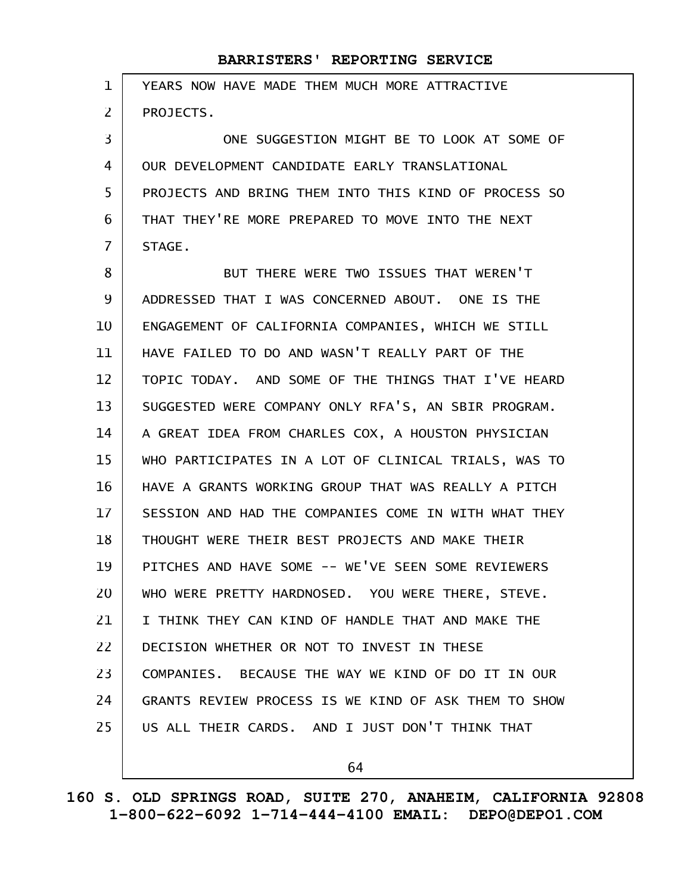| 1              | YEARS NOW HAVE MADE THEM MUCH MORE ATTRACTIVE        |
|----------------|------------------------------------------------------|
| 2              | PROJECTS.                                            |
| 3              | ONE SUGGESTION MIGHT BE TO LOOK AT SOME OF           |
| 4              | OUR DEVELOPMENT CANDIDATE EARLY TRANSLATIONAL        |
| 5              | PROJECTS AND BRING THEM INTO THIS KIND OF PROCESS SO |
| 6              | THAT THEY'RE MORE PREPARED TO MOVE INTO THE NEXT     |
| $\overline{7}$ | STAGE.                                               |
| 8              | BUT THERE WERE TWO ISSUES THAT WEREN'T               |
| 9              | ADDRESSED THAT I WAS CONCERNED ABOUT. ONE IS THE     |
| 10             | ENGAGEMENT OF CALIFORNIA COMPANIES, WHICH WE STILL   |
| 11             | HAVE FAILED TO DO AND WASN'T REALLY PART OF THE      |
| 12             | TOPIC TODAY. AND SOME OF THE THINGS THAT I'VE HEARD  |
| 13             | SUGGESTED WERE COMPANY ONLY RFA'S, AN SBIR PROGRAM.  |
| 14             | A GREAT IDEA FROM CHARLES COX, A HOUSTON PHYSICIAN   |
| 15             | WHO PARTICIPATES IN A LOT OF CLINICAL TRIALS, WAS TO |
| 16             | HAVE A GRANTS WORKING GROUP THAT WAS REALLY A PITCH  |
| 17             | SESSION AND HAD THE COMPANIES COME IN WITH WHAT THEY |
| 18             | THOUGHT WERE THEIR BEST PROJECTS AND MAKE THEIR      |
| 19             | PITCHES AND HAVE SOME -- WE'VE SEEN SOME REVIEWERS   |
| 20             | WHO WERE PRETTY HARDNOSED. YOU WERE THERE, STEVE.    |
| 21             | I THINK THEY CAN KIND OF HANDLE THAT AND MAKE THE    |
| 22             | DECISION WHETHER OR NOT TO INVEST IN THESE           |
| 23             | COMPANIES. BECAUSE THE WAY WE KIND OF DO IT IN OUR   |
| 24             | GRANTS REVIEW PROCESS IS WE KIND OF ASK THEM TO SHOW |
| 25             | US ALL THEIR CARDS. AND I JUST DON'T THINK THAT      |
|                |                                                      |

64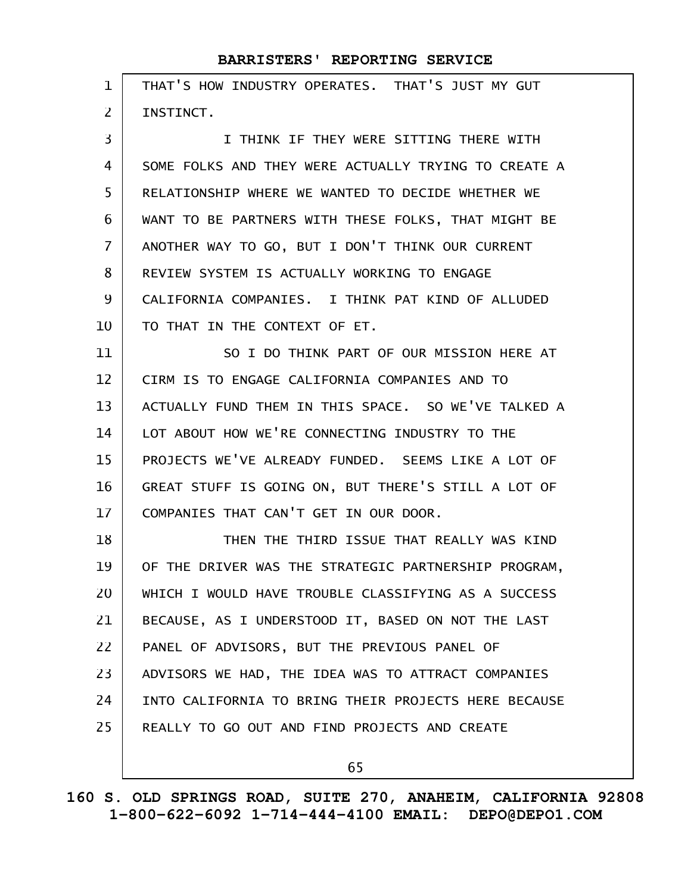| $\mathbf{1}$   | THAT'S HOW INDUSTRY OPERATES. THAT'S JUST MY GUT     |
|----------------|------------------------------------------------------|
| $\overline{2}$ | INSTINCT.                                            |
| 3              | I THINK IF THEY WERE SITTING THERE WITH              |
| 4              | SOME FOLKS AND THEY WERE ACTUALLY TRYING TO CREATE A |
| 5              | RELATIONSHIP WHERE WE WANTED TO DECIDE WHETHER WE    |
| 6              | WANT TO BE PARTNERS WITH THESE FOLKS, THAT MIGHT BE  |
| $\overline{7}$ | ANOTHER WAY TO GO, BUT I DON'T THINK OUR CURRENT     |
| 8              | REVIEW SYSTEM IS ACTUALLY WORKING TO ENGAGE          |
| 9              | CALIFORNIA COMPANIES. I THINK PAT KIND OF ALLUDED    |
| 10             | TO THAT IN THE CONTEXT OF ET.                        |
| 11             | SO I DO THINK PART OF OUR MISSION HERE AT            |
| 12             | CIRM IS TO ENGAGE CALIFORNIA COMPANIES AND TO        |
| 13             | ACTUALLY FUND THEM IN THIS SPACE. SO WE'VE TALKED A  |
| 14             | LOT ABOUT HOW WE'RE CONNECTING INDUSTRY TO THE       |
| 15             | PROJECTS WE'VE ALREADY FUNDED. SEEMS LIKE A LOT OF   |
| 16             | GREAT STUFF IS GOING ON, BUT THERE'S STILL A LOT OF  |
| 17             | COMPANIES THAT CAN'T GET IN OUR DOOR.                |
| 18             | THEN THE THIRD ISSUE THAT REALLY WAS KIND            |
| 19             | OF THE DRIVER WAS THE STRATEGIC PARTNERSHIP PROGRAM, |
| 20             | WHICH I WOULD HAVE TROUBLE CLASSIFYING AS A SUCCESS  |
| 21             | BECAUSE, AS I UNDERSTOOD IT, BASED ON NOT THE LAST   |
| 22             | PANEL OF ADVISORS, BUT THE PREVIOUS PANEL OF         |
| 23             | ADVISORS WE HAD, THE IDEA WAS TO ATTRACT COMPANIES   |
| 24             | INTO CALIFORNIA TO BRING THEIR PROJECTS HERE BECAUSE |
| 25             | REALLY TO GO OUT AND FIND PROJECTS AND CREATE        |
|                | 65                                                   |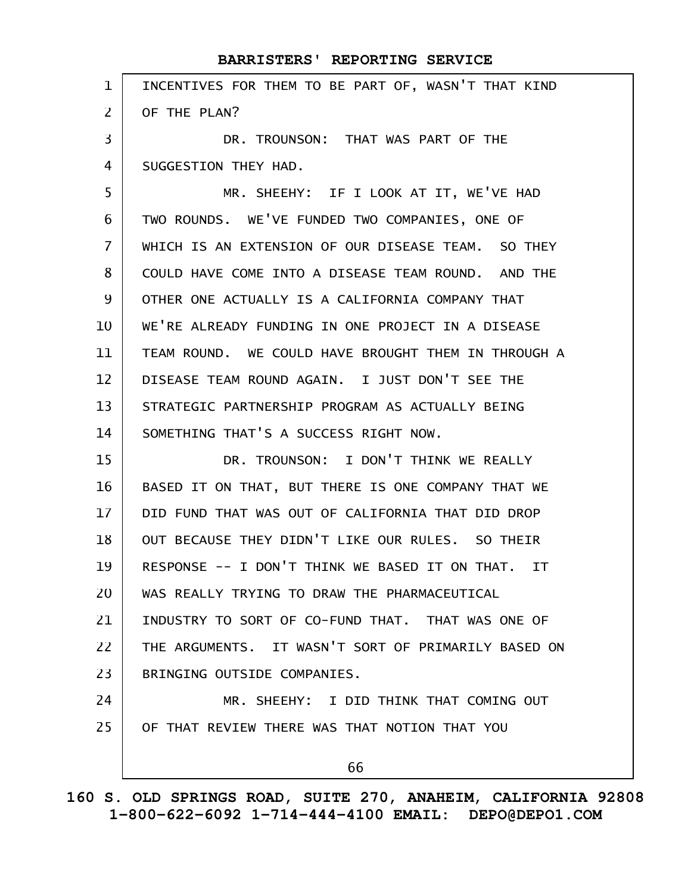| BARRISTERS' REPORTING SERVICE                               |
|-------------------------------------------------------------|
| INCENTIVES FOR THEM TO BE PART OF, WASN'T THAT KIND         |
| OF THE PLAN?                                                |
| DR. TROUNSON: THAT WAS PART OF THE                          |
| SUGGESTION THEY HAD.                                        |
| MR. SHEEHY: IF I LOOK AT IT, WE'VE HAD                      |
| TWO ROUNDS. WE'VE FUNDED TWO COMPANIES, ONE OF              |
| WHICH IS AN EXTENSION OF OUR DISEASE TEAM. SO THEY          |
| COULD HAVE COME INTO A DISEASE TEAM ROUND. AND THE          |
| OTHER ONE ACTUALLY IS A CALIFORNIA COMPANY THAT             |
| WE'RE ALREADY FUNDING IN ONE PROJECT IN A DISEASE           |
| TEAM ROUND. WE COULD HAVE BROUGHT THEM IN THROUGH A         |
| DISEASE TEAM ROUND AGAIN. I JUST DON'T SEE THE              |
| STRATEGIC PARTNERSHIP PROGRAM AS ACTUALLY BEING             |
| SOMETHING THAT'S A SUCCESS RIGHT NOW.                       |
| DR. TROUNSON: I DON'T THINK WE REALLY                       |
| BASED IT ON THAT, BUT THERE IS ONE COMPANY THAT WE          |
| DID FUND THAT WAS OUT OF CALIFORNIA THAT DID DROP           |
| OUT BECAUSE THEY DIDN'T LIKE OUR RULES. SO THEIR            |
| RESPONSE -- I DON'T THINK WE BASED IT ON THAT.<br><b>IT</b> |
| WAS REALLY TRYING TO DRAW THE PHARMACEUTICAL                |
| INDUSTRY TO SORT OF CO-FUND THAT. THAT WAS ONE OF           |
| THE ARGUMENTS. IT WASN'T SORT OF PRIMARILY BASED ON         |
| BRINGING OUTSIDE COMPANIES.                                 |
| MR. SHEEHY: I DID THINK THAT COMING OUT                     |
| OF THAT REVIEW THERE WAS THAT NOTION THAT YOU               |
| 66                                                          |
|                                                             |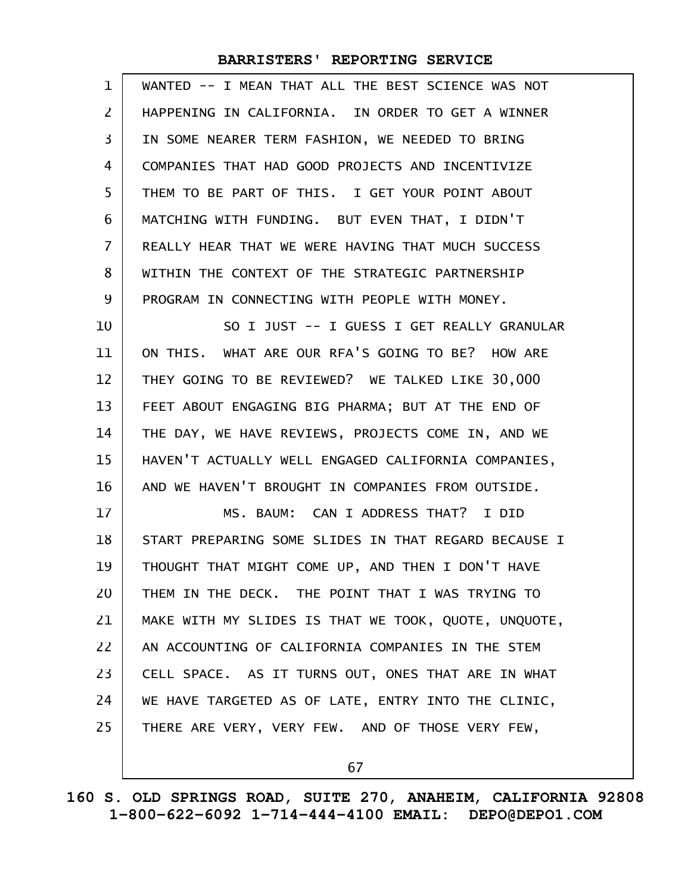| $\mathbf 1$       | WANTED -- I MEAN THAT ALL THE BEST SCIENCE WAS NOT   |
|-------------------|------------------------------------------------------|
| 2                 | HAPPENING IN CALIFORNIA. IN ORDER TO GET A WINNER    |
| 3                 | IN SOME NEARER TERM FASHION, WE NEEDED TO BRING      |
| 4                 | COMPANIES THAT HAD GOOD PROJECTS AND INCENTIVIZE     |
| 5                 | THEM TO BE PART OF THIS. I GET YOUR POINT ABOUT      |
| 6                 | MATCHING WITH FUNDING. BUT EVEN THAT, I DIDN'T       |
| 7                 | REALLY HEAR THAT WE WERE HAVING THAT MUCH SUCCESS    |
| 8                 | WITHIN THE CONTEXT OF THE STRATEGIC PARTNERSHIP      |
| 9                 | PROGRAM IN CONNECTING WITH PEOPLE WITH MONEY.        |
| 10                | SO I JUST -- I GUESS I GET REALLY GRANULAR           |
| 11                | ON THIS. WHAT ARE OUR RFA'S GOING TO BE? HOW ARE     |
| $12 \overline{ }$ | THEY GOING TO BE REVIEWED? WE TALKED LIKE 30,000     |
| 13                | FEET ABOUT ENGAGING BIG PHARMA; BUT AT THE END OF    |
| 14                | THE DAY, WE HAVE REVIEWS, PROJECTS COME IN, AND WE   |
| 15                | HAVEN'T ACTUALLY WELL ENGAGED CALIFORNIA COMPANIES,  |
| 16                | AND WE HAVEN'T BROUGHT IN COMPANIES FROM OUTSIDE.    |
| 17                | MS. BAUM: CAN I ADDRESS THAT? I DID                  |
| 18                | START PREPARING SOME SLIDES IN THAT REGARD BECAUSE I |
| 19                | THOUGHT THAT MIGHT COME UP, AND THEN I DON'T HAVE    |
| 20                | THEM IN THE DECK. THE POINT THAT I WAS TRYING TO     |
| 21                | MAKE WITH MY SLIDES IS THAT WE TOOK, QUOTE, UNQUOTE, |
| 22                | AN ACCOUNTING OF CALIFORNIA COMPANIES IN THE STEM    |
| 23                | CELL SPACE. AS IT TURNS OUT, ONES THAT ARE IN WHAT   |
| 24                | WE HAVE TARGETED AS OF LATE, ENTRY INTO THE CLINIC,  |
| 25                | THERE ARE VERY, VERY FEW. AND OF THOSE VERY FEW,     |
|                   |                                                      |

67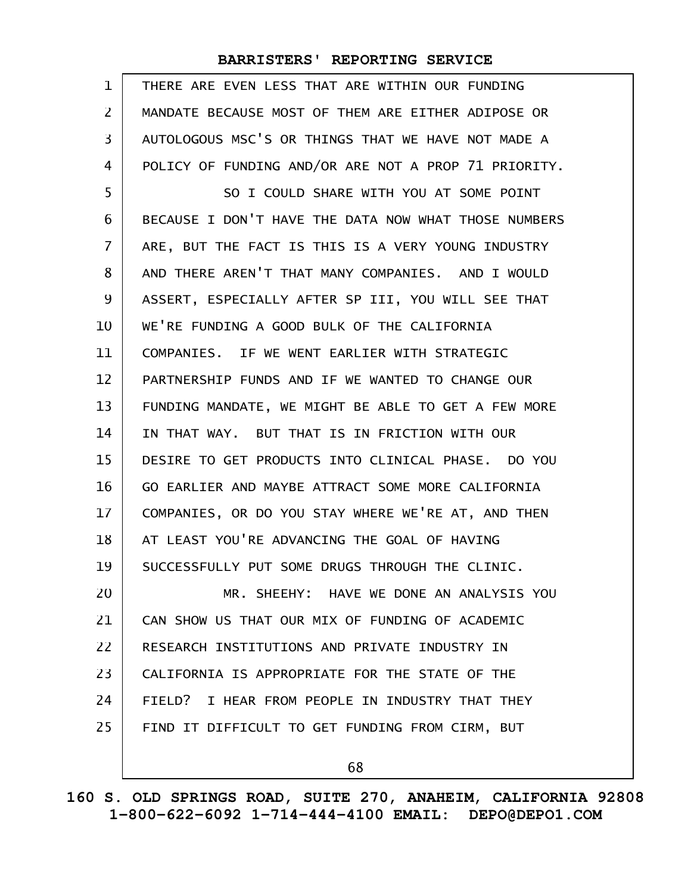| $\mathbf 1$       | THERE ARE EVEN LESS THAT ARE WITHIN OUR FUNDING      |
|-------------------|------------------------------------------------------|
| 2                 | MANDATE BECAUSE MOST OF THEM ARE EITHER ADIPOSE OR   |
| 3                 | AUTOLOGOUS MSC'S OR THINGS THAT WE HAVE NOT MADE A   |
| 4                 | POLICY OF FUNDING AND/OR ARE NOT A PROP 71 PRIORITY. |
| 5                 | SO I COULD SHARE WITH YOU AT SOME POINT              |
| 6                 | BECAUSE I DON'T HAVE THE DATA NOW WHAT THOSE NUMBERS |
| $\overline{7}$    | ARE, BUT THE FACT IS THIS IS A VERY YOUNG INDUSTRY   |
| 8                 | AND THERE AREN'T THAT MANY COMPANIES. AND I WOULD    |
| 9                 | ASSERT, ESPECIALLY AFTER SP III, YOU WILL SEE THAT   |
| 10                | WE'RE FUNDING A GOOD BULK OF THE CALIFORNIA          |
| 11                | COMPANIES. IF WE WENT EARLIER WITH STRATEGIC         |
| $12 \overline{ }$ | PARTNERSHIP FUNDS AND IF WE WANTED TO CHANGE OUR     |
| 13                | FUNDING MANDATE, WE MIGHT BE ABLE TO GET A FEW MORE  |
| 14                | IN THAT WAY. BUT THAT IS IN FRICTION WITH OUR        |
| 15                | DESIRE TO GET PRODUCTS INTO CLINICAL PHASE. DO YOU   |
| 16                | GO EARLIER AND MAYBE ATTRACT SOME MORE CALIFORNIA    |
| 17                | COMPANIES, OR DO YOU STAY WHERE WE'RE AT, AND THEN   |
| 18                | AT LEAST YOU'RE ADVANCING THE GOAL OF HAVING         |
| 19                | SUCCESSFULLY PUT SOME DRUGS THROUGH THE CLINIC.      |
| 20                | MR. SHEEHY: HAVE WE DONE AN ANALYSIS YOU             |
| 21                | CAN SHOW US THAT OUR MIX OF FUNDING OF ACADEMIC      |
| 22                | RESEARCH INSTITUTIONS AND PRIVATE INDUSTRY IN        |
| 23                | CALIFORNIA IS APPROPRIATE FOR THE STATE OF THE       |
| 24                | FIELD? I HEAR FROM PEOPLE IN INDUSTRY THAT THEY      |
| 25                | FIND IT DIFFICULT TO GET FUNDING FROM CIRM, BUT      |
|                   | 68                                                   |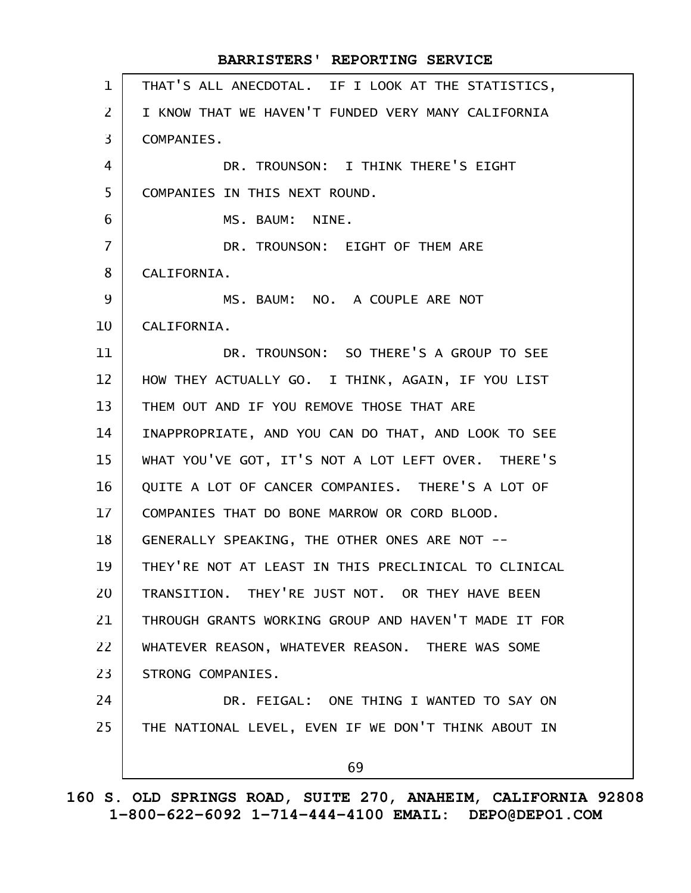THAT'S ALL ANECDOTAL. IF I LOOK AT THE STATISTICS, I KNOW THAT WE HAVEN'T FUNDED VERY MANY CALIFORNIA COMPANIES. DR. TROUNSON: I THINK THERE'S EIGHT COMPANIES IN THIS NEXT ROUND. MS. BAUM: NINE. DR. TROUNSON: EIGHT OF THEM ARE CALIFORNIA. MS. BAUM: NO. A COUPLE ARE NOT CALIFORNIA. DR. TROUNSON: SO THERE'S A GROUP TO SEE HOW THEY ACTUALLY GO. I THINK, AGAIN, IF YOU LIST THEM OUT AND IF YOU REMOVE THOSE THAT ARE INAPPROPRIATE, AND YOU CAN DO THAT, AND LOOK TO SEE WHAT YOU'VE GOT, IT'S NOT A LOT LEFT OVER. THERE'S QUITE A LOT OF CANCER COMPANIES. THERE'S A LOT OF COMPANIES THAT DO BONE MARROW OR CORD BLOOD. GENERALLY SPEAKING, THE OTHER ONES ARE NOT -- THEY'RE NOT AT LEAST IN THIS PRECLINICAL TO CLINICAL TRANSITION. THEY'RE JUST NOT. OR THEY HAVE BEEN THROUGH GRANTS WORKING GROUP AND HAVEN'T MADE IT FOR WHATEVER REASON, WHATEVER REASON. THERE WAS SOME STRONG COMPANIES. DR. FEIGAL: ONE THING I WANTED TO SAY ON THE NATIONAL LEVEL, EVEN IF WE DON'T THINK ABOUT IN 69 **BARRISTERS' REPORTING SERVICE** 1 2 3 4 5 6 7 8 9 10 11 12 13 14 15 16 17 18 19 20 21 22 23 24 25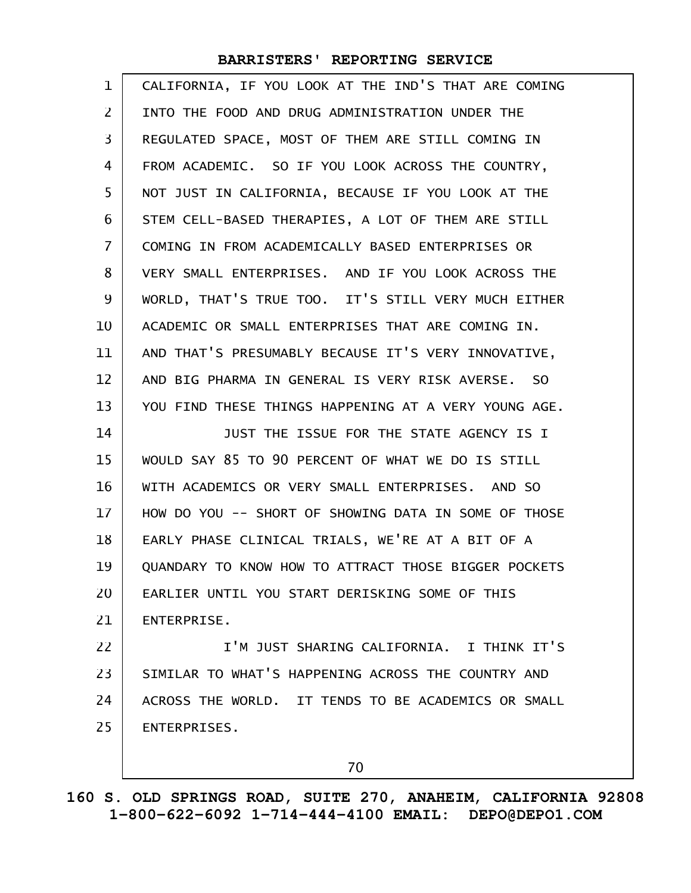| $\mathbf 1$    | CALIFORNIA, IF YOU LOOK AT THE IND'S THAT ARE COMING |
|----------------|------------------------------------------------------|
| $\overline{2}$ | INTO THE FOOD AND DRUG ADMINISTRATION UNDER THE      |
| 3              | REGULATED SPACE, MOST OF THEM ARE STILL COMING IN    |
| 4              | FROM ACADEMIC. SO IF YOU LOOK ACROSS THE COUNTRY,    |
| 5              | NOT JUST IN CALIFORNIA, BECAUSE IF YOU LOOK AT THE   |
| 6              | STEM CELL-BASED THERAPIES, A LOT OF THEM ARE STILL   |
| 7              | COMING IN FROM ACADEMICALLY BASED ENTERPRISES OR     |
| 8              | VERY SMALL ENTERPRISES. AND IF YOU LOOK ACROSS THE   |
| 9              | WORLD, THAT'S TRUE TOO. IT'S STILL VERY MUCH EITHER  |
| 10             | ACADEMIC OR SMALL ENTERPRISES THAT ARE COMING IN.    |
| 11             | AND THAT'S PRESUMABLY BECAUSE IT'S VERY INNOVATIVE,  |
| 12             | AND BIG PHARMA IN GENERAL IS VERY RISK AVERSE. SO    |
| 13             | YOU FIND THESE THINGS HAPPENING AT A VERY YOUNG AGE. |
| 14             | JUST THE ISSUE FOR THE STATE AGENCY IS I             |
| 15             | WOULD SAY 85 TO 90 PERCENT OF WHAT WE DO IS STILL    |
| 16             | WITH ACADEMICS OR VERY SMALL ENTERPRISES. AND SO     |
| 17             | HOW DO YOU -- SHORT OF SHOWING DATA IN SOME OF THOSE |
| 18             | EARLY PHASE CLINICAL TRIALS, WE'RE AT A BIT OF A     |
| 19             | QUANDARY TO KNOW HOW TO ATTRACT THOSE BIGGER POCKETS |
| 20             | EARLIER UNTIL YOU START DERISKING SOME OF THIS       |
| 21             | ENTERPRISE.                                          |
| 22             | I'M JUST SHARING CALIFORNIA. I THINK IT'S            |
| 23             | SIMILAR TO WHAT'S HAPPENING ACROSS THE COUNTRY AND   |
|                |                                                      |
| 24             | ACROSS THE WORLD. IT TENDS TO BE ACADEMICS OR SMALL  |
| 25             | ENTERPRISES.                                         |

**160 S. OLD SPRINGS ROAD, SUITE 270, ANAHEIM, CALIFORNIA 92808 1-800-622-6092 1-714-444-4100 EMAIL: DEPO@DEPO1.COM**

70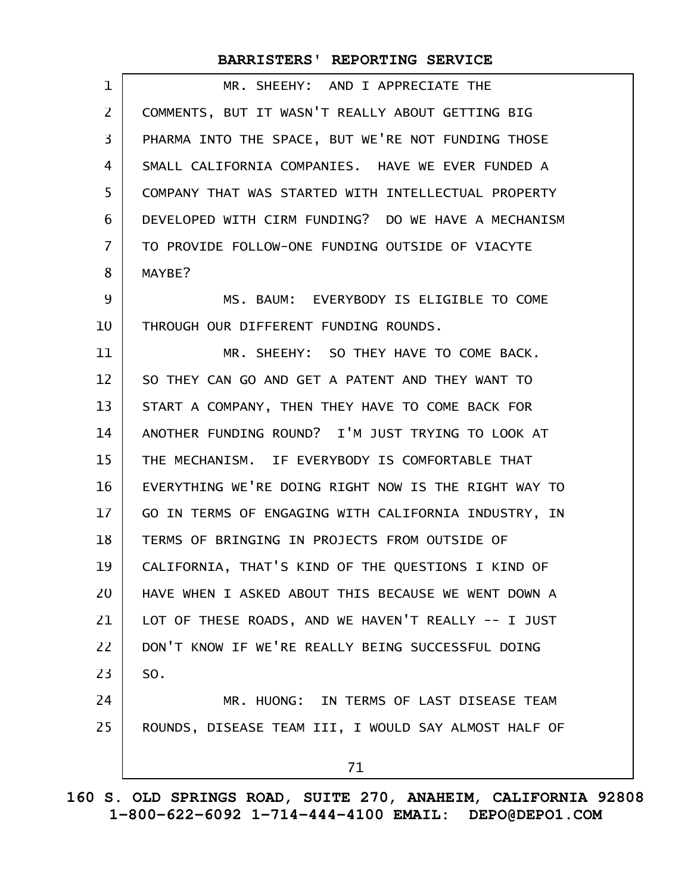| 1              | MR. SHEEHY: AND I APPRECIATE THE                     |
|----------------|------------------------------------------------------|
| $\overline{2}$ | COMMENTS, BUT IT WASN'T REALLY ABOUT GETTING BIG     |
| 3              | PHARMA INTO THE SPACE, BUT WE'RE NOT FUNDING THOSE   |
| 4              | SMALL CALIFORNIA COMPANIES. HAVE WE EVER FUNDED A    |
| 5              | COMPANY THAT WAS STARTED WITH INTELLECTUAL PROPERTY  |
| 6              | DEVELOPED WITH CIRM FUNDING? DO WE HAVE A MECHANISM  |
| 7              | TO PROVIDE FOLLOW-ONE FUNDING OUTSIDE OF VIACYTE     |
| 8              | MAYBE?                                               |
| 9              | MS. BAUM: EVERYBODY IS ELIGIBLE TO COME              |
| 10             | THROUGH OUR DIFFERENT FUNDING ROUNDS.                |
| 11             | MR. SHEEHY: SO THEY HAVE TO COME BACK.               |
| 12             | SO THEY CAN GO AND GET A PATENT AND THEY WANT TO     |
| 13             | START A COMPANY, THEN THEY HAVE TO COME BACK FOR     |
| 14             | ANOTHER FUNDING ROUND? I'M JUST TRYING TO LOOK AT    |
| 15             | THE MECHANISM. IF EVERYBODY IS COMFORTABLE THAT      |
| 16             | EVERYTHING WE'RE DOING RIGHT NOW IS THE RIGHT WAY TO |
| 17             | GO IN TERMS OF ENGAGING WITH CALIFORNIA INDUSTRY, IN |
| 18             | TERMS OF BRINGING IN PROJECTS FROM OUTSIDE OF        |
| 19             | CALIFORNIA, THAT'S KIND OF THE QUESTIONS I KIND OF   |
| 20             | HAVE WHEN I ASKED ABOUT THIS BECAUSE WE WENT DOWN A  |
| 21             | LOT OF THESE ROADS, AND WE HAVEN'T REALLY -- I JUST  |
| 22             | DON'T KNOW IF WE'RE REALLY BEING SUCCESSFUL DOING    |
| 23             | SO.                                                  |
| 24             | MR. HUONG: IN TERMS OF LAST DISEASE TEAM             |
| 25             | ROUNDS, DISEASE TEAM III, I WOULD SAY ALMOST HALF OF |
|                | 71                                                   |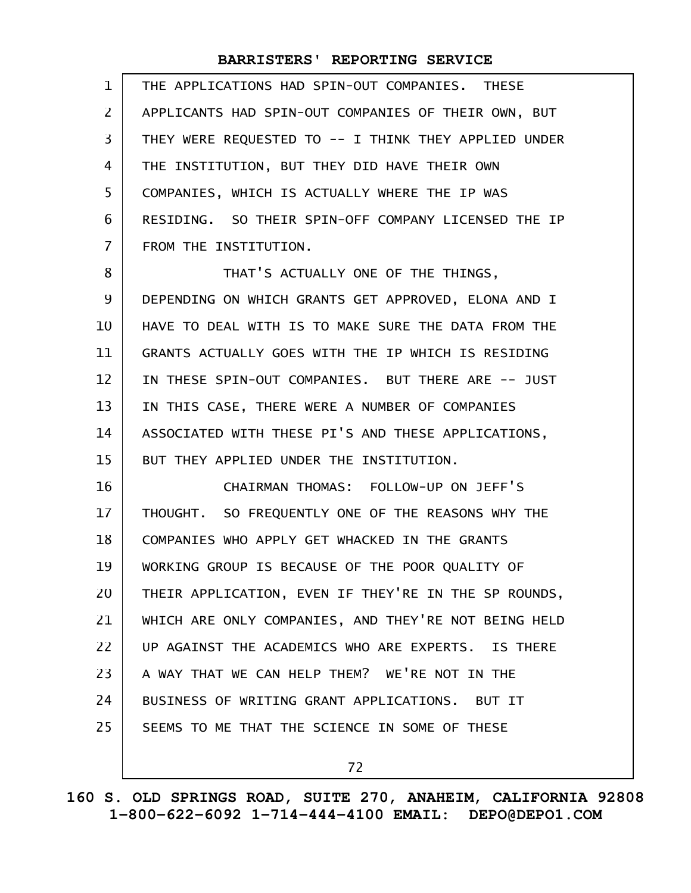| $\mathbf{1}$   | THE APPLICATIONS HAD SPIN-OUT COMPANIES. THESE       |
|----------------|------------------------------------------------------|
| $\overline{2}$ | APPLICANTS HAD SPIN-OUT COMPANIES OF THEIR OWN, BUT  |
| 3              | THEY WERE REQUESTED TO -- I THINK THEY APPLIED UNDER |
| 4              | THE INSTITUTION, BUT THEY DID HAVE THEIR OWN         |
| 5              | COMPANIES, WHICH IS ACTUALLY WHERE THE IP WAS        |
| 6              | RESIDING. SO THEIR SPIN-OFF COMPANY LICENSED THE IP  |
| $\overline{7}$ | FROM THE INSTITUTION.                                |
| 8              | THAT'S ACTUALLY ONE OF THE THINGS,                   |
| 9              | DEPENDING ON WHICH GRANTS GET APPROVED, ELONA AND I  |
| 10             | HAVE TO DEAL WITH IS TO MAKE SURE THE DATA FROM THE  |
| 11             | GRANTS ACTUALLY GOES WITH THE IP WHICH IS RESIDING   |
| 12             | IN THESE SPIN-OUT COMPANIES. BUT THERE ARE -- JUST   |
| 13             | IN THIS CASE, THERE WERE A NUMBER OF COMPANIES       |
| 14             | ASSOCIATED WITH THESE PI'S AND THESE APPLICATIONS,   |
| 15             | BUT THEY APPLIED UNDER THE INSTITUTION.              |
| 16             | CHAIRMAN THOMAS: FOLLOW-UP ON JEFF'S                 |
| 17             | THOUGHT. SO FREQUENTLY ONE OF THE REASONS WHY THE    |
| 18             | COMPANIES WHO APPLY GET WHACKED IN THE GRANTS        |
| 19             | WORKING GROUP IS BECAUSE OF THE POOR QUALITY OF      |
| 20             | THEIR APPLICATION, EVEN IF THEY'RE IN THE SP ROUNDS, |
| 21             | WHICH ARE ONLY COMPANIES, AND THEY'RE NOT BEING HELD |
| 22             | UP AGAINST THE ACADEMICS WHO ARE EXPERTS. IS THERE   |
| 23             | A WAY THAT WE CAN HELP THEM? WE'RE NOT IN THE        |
| 24             | BUSINESS OF WRITING GRANT APPLICATIONS. BUT IT       |
| 25             | SEEMS TO ME THAT THE SCIENCE IN SOME OF THESE        |
|                |                                                      |

72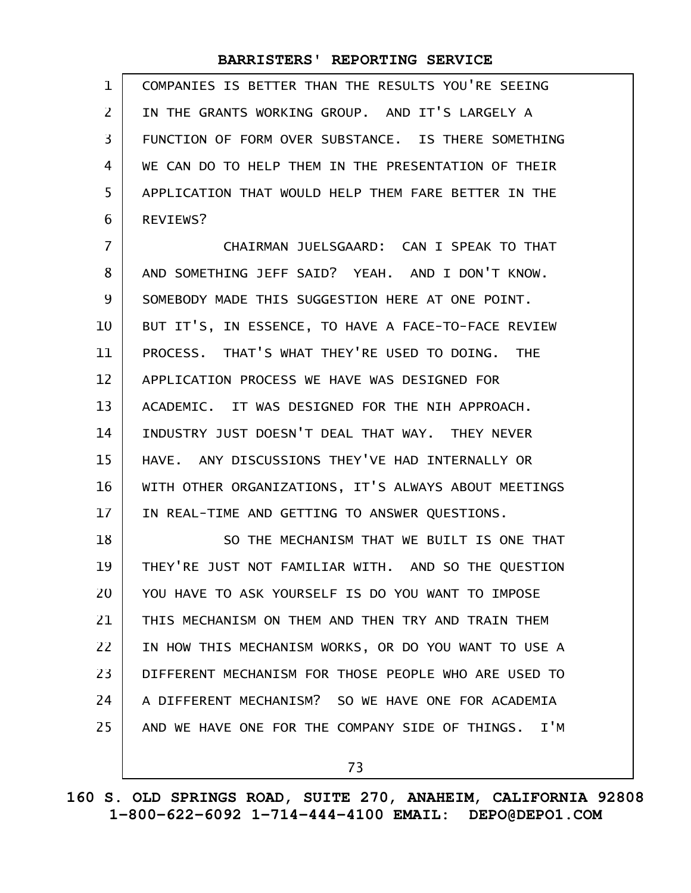COMPANIES IS BETTER THAN THE RESULTS YOU'RE SEEING IN THE GRANTS WORKING GROUP. AND IT'S LARGELY A FUNCTION OF FORM OVER SUBSTANCE. IS THERE SOMETHING WE CAN DO TO HELP THEM IN THE PRESENTATION OF THEIR APPLICATION THAT WOULD HELP THEM FARE BETTER IN THE REVIEWS? 1 2 3 4 5 6

CHAIRMAN JUELSGAARD: CAN I SPEAK TO THAT AND SOMETHING JEFF SAID? YEAH. AND I DON'T KNOW. SOMEBODY MADE THIS SUGGESTION HERE AT ONE POINT. BUT IT'S, IN ESSENCE, TO HAVE A FACE-TO-FACE REVIEW PROCESS. THAT'S WHAT THEY'RE USED TO DOING. THE APPLICATION PROCESS WE HAVE WAS DESIGNED FOR ACADEMIC. IT WAS DESIGNED FOR THE NIH APPROACH. INDUSTRY JUST DOESN'T DEAL THAT WAY. THEY NEVER HAVE. ANY DISCUSSIONS THEY'VE HAD INTERNALLY OR WITH OTHER ORGANIZATIONS, IT'S ALWAYS ABOUT MEETINGS IN REAL-TIME AND GETTING TO ANSWER QUESTIONS. 7 8 9 10 11 12 13 14 15 16 17

SO THE MECHANISM THAT WE BUILT IS ONE THAT THEY'RE JUST NOT FAMILIAR WITH. AND SO THE QUESTION YOU HAVE TO ASK YOURSELF IS DO YOU WANT TO IMPOSE THIS MECHANISM ON THEM AND THEN TRY AND TRAIN THEM IN HOW THIS MECHANISM WORKS, OR DO YOU WANT TO USE A DIFFERENT MECHANISM FOR THOSE PEOPLE WHO ARE USED TO A DIFFERENT MECHANISM? SO WE HAVE ONE FOR ACADEMIA AND WE HAVE ONE FOR THE COMPANY SIDE OF THINGS. I'M 18 19 20 21 22 23 24 25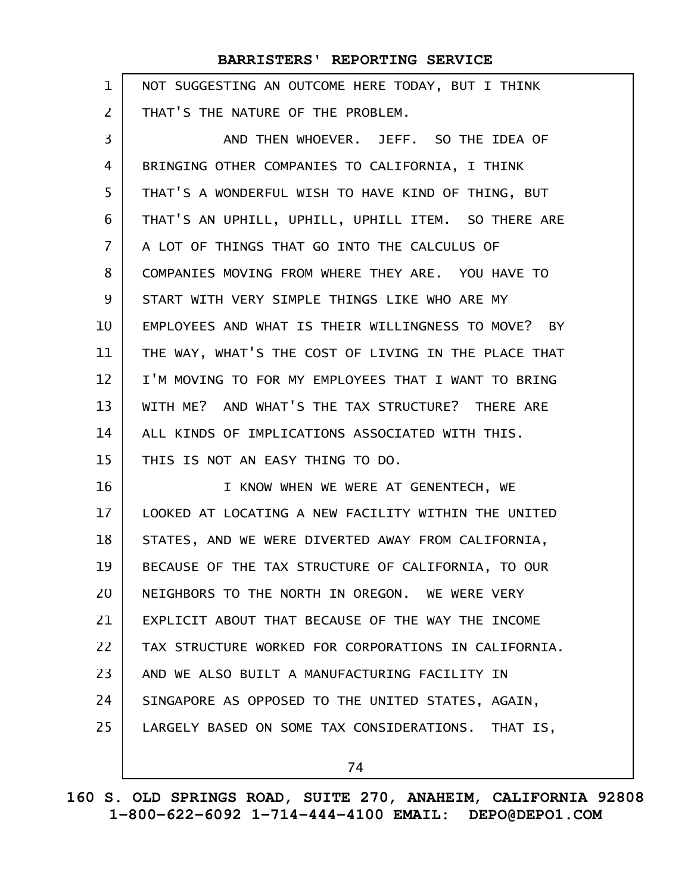| $\mathbf 1$    | NOT SUGGESTING AN OUTCOME HERE TODAY, BUT I THINK    |
|----------------|------------------------------------------------------|
| $\overline{2}$ | THAT'S THE NATURE OF THE PROBLEM.                    |
| 3              | AND THEN WHOEVER. JEFF. SO THE IDEA OF               |
| 4              | BRINGING OTHER COMPANIES TO CALIFORNIA, I THINK      |
| 5              | THAT'S A WONDERFUL WISH TO HAVE KIND OF THING, BUT   |
| 6              | THAT'S AN UPHILL, UPHILL, UPHILL ITEM. SO THERE ARE  |
| $\overline{7}$ | A LOT OF THINGS THAT GO INTO THE CALCULUS OF         |
| 8              | COMPANIES MOVING FROM WHERE THEY ARE. YOU HAVE TO    |
| 9              | START WITH VERY SIMPLE THINGS LIKE WHO ARE MY        |
| 10             | EMPLOYEES AND WHAT IS THEIR WILLINGNESS TO MOVE? BY  |
| 11             | THE WAY, WHAT'S THE COST OF LIVING IN THE PLACE THAT |
| 12             | I'M MOVING TO FOR MY EMPLOYEES THAT I WANT TO BRING  |
| 13             | WITH ME? AND WHAT'S THE TAX STRUCTURE? THERE ARE     |
| 14             | ALL KINDS OF IMPLICATIONS ASSOCIATED WITH THIS.      |
| 15             | THIS IS NOT AN EASY THING TO DO.                     |
| 16             | I KNOW WHEN WE WERE AT GENENTECH, WE                 |
| 17             | LOOKED AT LOCATING A NEW FACILITY WITHIN THE UNITED  |
| 18             | STATES, AND WE WERE DIVERTED AWAY FROM CALIFORNIA,   |
| 19             | BECAUSE OF THE TAX STRUCTURE OF CALIFORNIA, TO OUR   |
| 20             | NEIGHBORS TO THE NORTH IN OREGON. WE WERE VERY       |
| 21             | EXPLICIT ABOUT THAT BECAUSE OF THE WAY THE INCOME    |
| 22             | TAX STRUCTURE WORKED FOR CORPORATIONS IN CALIFORNIA. |
| 23             | AND WE ALSO BUILT A MANUFACTURING FACILITY IN        |
| 24             | SINGAPORE AS OPPOSED TO THE UNITED STATES, AGAIN,    |
| 25             | LARGELY BASED ON SOME TAX CONSIDERATIONS. THAT IS,   |
|                | 74                                                   |

**160 S. OLD SPRINGS ROAD, SUITE 270, ANAHEIM, CALIFORNIA 92808 1-800-622-6092 1-714-444-4100 EMAIL: DEPO@DEPO1.COM**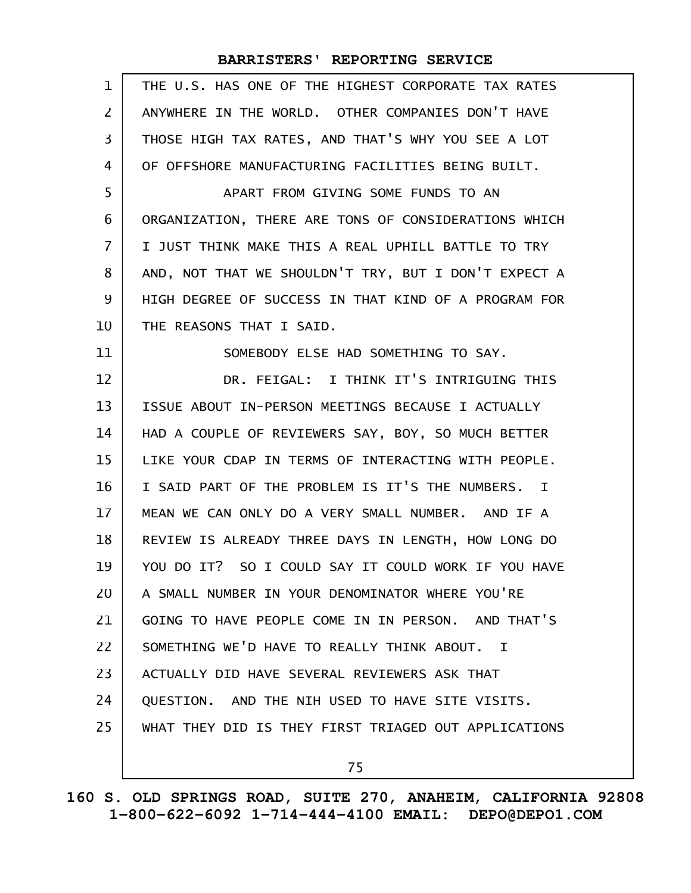| $\mathbf{1}$   | THE U.S. HAS ONE OF THE HIGHEST CORPORATE TAX RATES  |
|----------------|------------------------------------------------------|
| $\overline{2}$ | ANYWHERE IN THE WORLD. OTHER COMPANIES DON'T HAVE    |
| 3              | THOSE HIGH TAX RATES, AND THAT'S WHY YOU SEE A LOT   |
| 4              | OF OFFSHORE MANUFACTURING FACILITIES BEING BUILT.    |
| 5              | APART FROM GIVING SOME FUNDS TO AN                   |
| 6              | ORGANIZATION, THERE ARE TONS OF CONSIDERATIONS WHICH |
| $\overline{7}$ | I JUST THINK MAKE THIS A REAL UPHILL BATTLE TO TRY   |
| 8              | AND, NOT THAT WE SHOULDN'T TRY, BUT I DON'T EXPECT A |
| 9              | HIGH DEGREE OF SUCCESS IN THAT KIND OF A PROGRAM FOR |
| 10             | THE REASONS THAT I SAID.                             |
| 11             | SOMEBODY ELSE HAD SOMETHING TO SAY.                  |
| 12             | DR. FEIGAL: I THINK IT'S INTRIGUING THIS             |
| 13             | ISSUE ABOUT IN-PERSON MEETINGS BECAUSE I ACTUALLY    |
| 14             | HAD A COUPLE OF REVIEWERS SAY, BOY, SO MUCH BETTER   |
| 15             | LIKE YOUR CDAP IN TERMS OF INTERACTING WITH PEOPLE.  |
| 16             | I SAID PART OF THE PROBLEM IS IT'S THE NUMBERS. I    |
| 17             | MEAN WE CAN ONLY DO A VERY SMALL NUMBER. AND IF A    |
| 18             | REVIEW IS ALREADY THREE DAYS IN LENGTH, HOW LONG DO  |
| 19             | YOU DO IT? SO I COULD SAY IT COULD WORK IF YOU HAVE  |
| 20             | A SMALL NUMBER IN YOUR DENOMINATOR WHERE YOU'RE      |
| 21             | GOING TO HAVE PEOPLE COME IN IN PERSON. AND THAT'S   |
| 22             | SOMETHING WE'D HAVE TO REALLY THINK ABOUT. I         |
| 23             | ACTUALLY DID HAVE SEVERAL REVIEWERS ASK THAT         |
| 24             | QUESTION. AND THE NIH USED TO HAVE SITE VISITS.      |
| 25             | WHAT THEY DID IS THEY FIRST TRIAGED OUT APPLICATIONS |
|                | 75                                                   |
|                |                                                      |

**160 S. OLD SPRINGS ROAD, SUITE 270, ANAHEIM, CALIFORNIA 92808 1-800-622-6092 1-714-444-4100 EMAIL: DEPO@DEPO1.COM**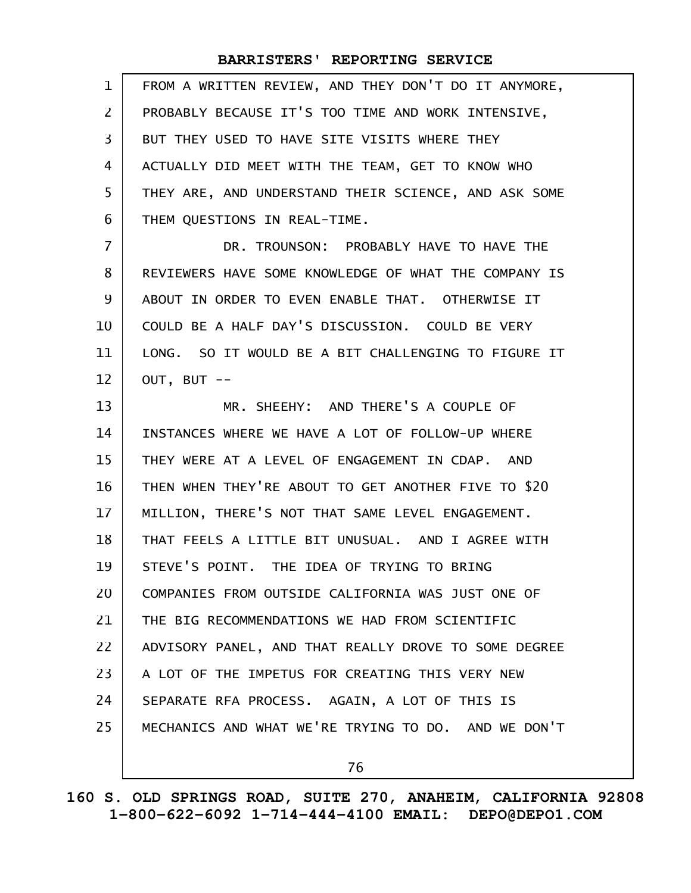| $\mathbf{1}$   | FROM A WRITTEN REVIEW, AND THEY DON'T DO IT ANYMORE, |
|----------------|------------------------------------------------------|
| $\overline{2}$ | PROBABLY BECAUSE IT'S TOO TIME AND WORK INTENSIVE,   |
| 3              | BUT THEY USED TO HAVE SITE VISITS WHERE THEY         |
| 4              | ACTUALLY DID MEET WITH THE TEAM, GET TO KNOW WHO     |
| 5              | THEY ARE, AND UNDERSTAND THEIR SCIENCE, AND ASK SOME |
| 6              | THEM QUESTIONS IN REAL-TIME.                         |
| $\overline{7}$ | DR. TROUNSON: PROBABLY HAVE TO HAVE THE              |
| 8              | REVIEWERS HAVE SOME KNOWLEDGE OF WHAT THE COMPANY IS |
| 9              | ABOUT IN ORDER TO EVEN ENABLE THAT. OTHERWISE IT     |
| 10             | COULD BE A HALF DAY'S DISCUSSION. COULD BE VERY      |
| 11             | LONG. SO IT WOULD BE A BIT CHALLENGING TO FIGURE IT  |
| 12             | OUT, BUT --                                          |
| 13             | MR. SHEEHY: AND THERE'S A COUPLE OF                  |
| 14             | INSTANCES WHERE WE HAVE A LOT OF FOLLOW-UP WHERE     |
| 15             | THEY WERE AT A LEVEL OF ENGAGEMENT IN CDAP. AND      |
| 16             | THEN WHEN THEY'RE ABOUT TO GET ANOTHER FIVE TO \$20  |
| 17             | MILLION, THERE'S NOT THAT SAME LEVEL ENGAGEMENT.     |
| 18             | THAT FEELS A LITTLE BIT UNUSUAL. AND I AGREE WITH    |
| 19             | STEVE'S POINT. THE IDEA OF TRYING TO BRING           |
| 20             | COMPANIES FROM OUTSIDE CALIFORNIA WAS JUST ONE OF    |
| 21             | THE BIG RECOMMENDATIONS WE HAD FROM SCIENTIFIC       |
| 22             | ADVISORY PANEL, AND THAT REALLY DROVE TO SOME DEGREE |
| 23             | A LOT OF THE IMPETUS FOR CREATING THIS VERY NEW      |
| 24             | SEPARATE RFA PROCESS. AGAIN, A LOT OF THIS IS        |
| 25             | MECHANICS AND WHAT WE'RE TRYING TO DO. AND WE DON'T  |
|                | 76                                                   |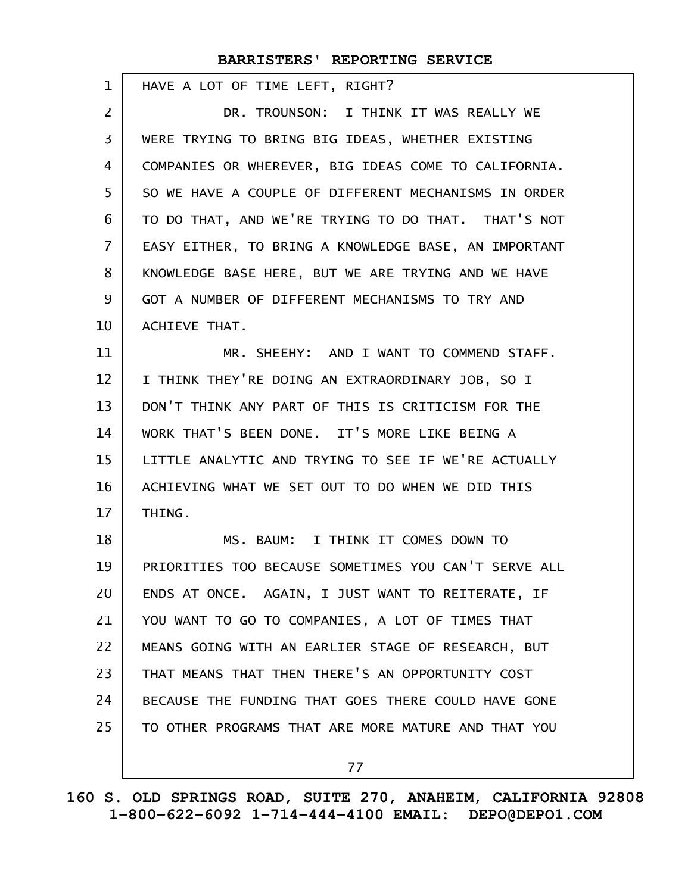| 1              | HAVE A LOT OF TIME LEFT, RIGHT?                      |
|----------------|------------------------------------------------------|
| $\overline{2}$ | DR. TROUNSON: I THINK IT WAS REALLY WE               |
| 3              | WERE TRYING TO BRING BIG IDEAS, WHETHER EXISTING     |
| 4              | COMPANIES OR WHEREVER, BIG IDEAS COME TO CALIFORNIA. |
| 5              | SO WE HAVE A COUPLE OF DIFFERENT MECHANISMS IN ORDER |
| 6              | TO DO THAT, AND WE'RE TRYING TO DO THAT. THAT'S NOT  |
| $\overline{7}$ | EASY EITHER, TO BRING A KNOWLEDGE BASE, AN IMPORTANT |
| 8              | KNOWLEDGE BASE HERE, BUT WE ARE TRYING AND WE HAVE   |
| 9              | GOT A NUMBER OF DIFFERENT MECHANISMS TO TRY AND      |
| 10             | ACHIEVE THAT.                                        |
| 11             | MR. SHEEHY: AND I WANT TO COMMEND STAFF.             |
| 12             | I THINK THEY'RE DOING AN EXTRAORDINARY JOB, SO I     |
| 13             | DON'T THINK ANY PART OF THIS IS CRITICISM FOR THE    |
| 14             | WORK THAT'S BEEN DONE. IT'S MORE LIKE BEING A        |
| 15             | LITTLE ANALYTIC AND TRYING TO SEE IF WE'RE ACTUALLY  |
| 16             | ACHIEVING WHAT WE SET OUT TO DO WHEN WE DID THIS     |
| 17             | THING.                                               |
| 18             | MS. BAUM: I THINK IT COMES DOWN TO                   |
| 19             | PRIORITIES TOO BECAUSE SOMETIMES YOU CAN'T SERVE ALL |
| 20             | ENDS AT ONCE. AGAIN, I JUST WANT TO REITERATE, IF    |
| 21             | YOU WANT TO GO TO COMPANIES, A LOT OF TIMES THAT     |
| 22             | MEANS GOING WITH AN EARLIER STAGE OF RESEARCH, BUT   |
| 23             | THAT MEANS THAT THEN THERE'S AN OPPORTUNITY COST     |
| 24             | BECAUSE THE FUNDING THAT GOES THERE COULD HAVE GONE  |
| 25             | TO OTHER PROGRAMS THAT ARE MORE MATURE AND THAT YOU  |
|                | 77                                                   |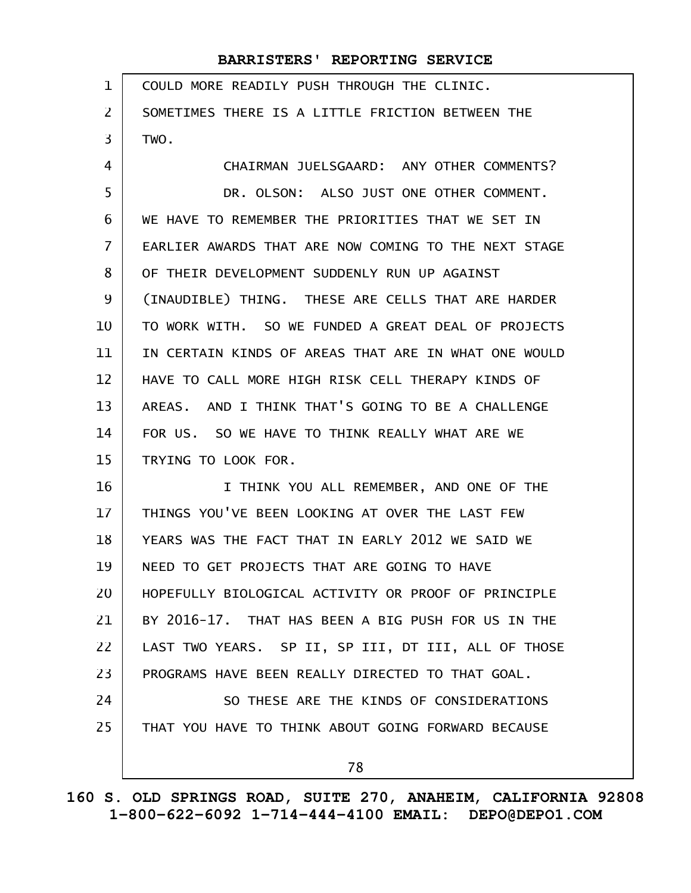| 1                 | COULD MORE READILY PUSH THROUGH THE CLINIC.          |
|-------------------|------------------------------------------------------|
| $\overline{2}$    | SOMETIMES THERE IS A LITTLE FRICTION BETWEEN THE     |
| 3                 | TWO.                                                 |
| 4                 | CHAIRMAN JUELSGAARD: ANY OTHER COMMENTS?             |
| 5                 | DR. OLSON: ALSO JUST ONE OTHER COMMENT.              |
| 6                 | WE HAVE TO REMEMBER THE PRIORITIES THAT WE SET IN    |
| $\overline{7}$    | EARLIER AWARDS THAT ARE NOW COMING TO THE NEXT STAGE |
| 8                 | OF THEIR DEVELOPMENT SUDDENLY RUN UP AGAINST         |
| 9                 | (INAUDIBLE) THING. THESE ARE CELLS THAT ARE HARDER   |
| 10                | TO WORK WITH. SO WE FUNDED A GREAT DEAL OF PROJECTS  |
| 11                | IN CERTAIN KINDS OF AREAS THAT ARE IN WHAT ONE WOULD |
| $12 \overline{ }$ | HAVE TO CALL MORE HIGH RISK CELL THERAPY KINDS OF    |
| 13                | AREAS. AND I THINK THAT'S GOING TO BE A CHALLENGE    |
| 14                | FOR US. SO WE HAVE TO THINK REALLY WHAT ARE WE       |
| 15                | TRYING TO LOOK FOR.                                  |
| 16                | I THINK YOU ALL REMEMBER, AND ONE OF THE             |
| 17                | THINGS YOU'VE BEEN LOOKING AT OVER THE LAST FEW      |
| 18                | YEARS WAS THE FACT THAT IN EARLY 2012 WE SAID WE     |
| 19                | NEED TO GET PROJECTS THAT ARE GOING TO HAVE          |
| 20                | HOPEFULLY BIOLOGICAL ACTIVITY OR PROOF OF PRINCIPLE  |
| 21                | BY 2016-17. THAT HAS BEEN A BIG PUSH FOR US IN THE   |
| 22                | LAST TWO YEARS. SP II, SP III, DT III, ALL OF THOSE  |
| 23                | PROGRAMS HAVE BEEN REALLY DIRECTED TO THAT GOAL.     |
| 24                | SO THESE ARE THE KINDS OF CONSIDERATIONS             |
| 25                | THAT YOU HAVE TO THINK ABOUT GOING FORWARD BECAUSE   |
|                   | 78                                                   |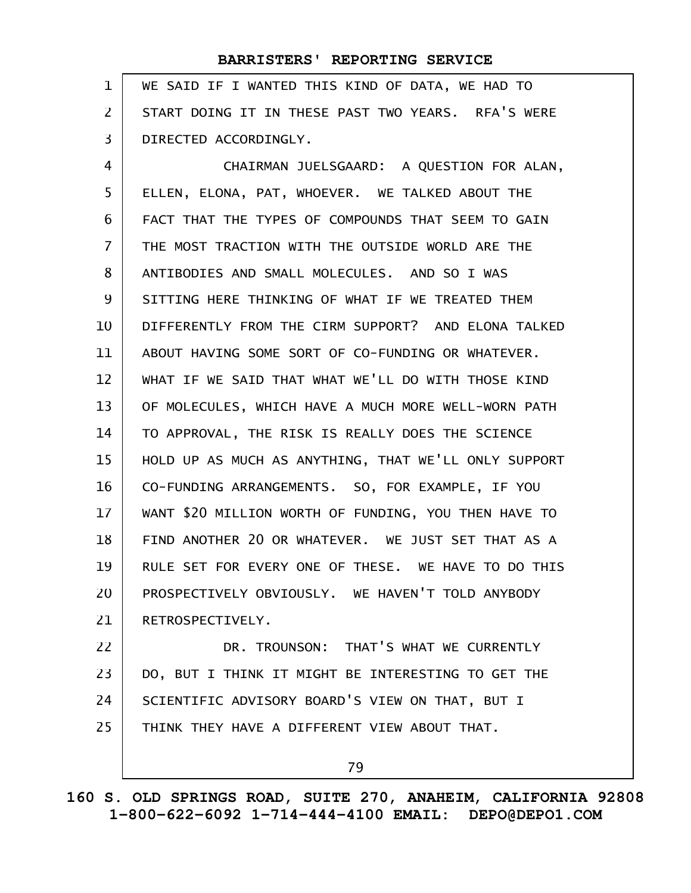| $\mathbf 1$    | WE SAID IF I WANTED THIS KIND OF DATA, WE HAD TO     |
|----------------|------------------------------------------------------|
| $\overline{2}$ | START DOING IT IN THESE PAST TWO YEARS. RFA'S WERE   |
| 3              | DIRECTED ACCORDINGLY.                                |
| 4              | CHAIRMAN JUELSGAARD: A QUESTION FOR ALAN,            |
| 5              | ELLEN, ELONA, PAT, WHOEVER. WE TALKED ABOUT THE      |
| 6              | FACT THAT THE TYPES OF COMPOUNDS THAT SEEM TO GAIN   |
| $\overline{7}$ | THE MOST TRACTION WITH THE OUTSIDE WORLD ARE THE     |
| 8              | ANTIBODIES AND SMALL MOLECULES. AND SO I WAS         |
| 9              | SITTING HERE THINKING OF WHAT IF WE TREATED THEM     |
| 10             | DIFFERENTLY FROM THE CIRM SUPPORT? AND ELONA TALKED  |
| 11             | ABOUT HAVING SOME SORT OF CO-FUNDING OR WHATEVER.    |
| 12             | WHAT IF WE SAID THAT WHAT WE'LL DO WITH THOSE KIND   |
| 13             | OF MOLECULES, WHICH HAVE A MUCH MORE WELL-WORN PATH  |
| 14             | TO APPROVAL, THE RISK IS REALLY DOES THE SCIENCE     |
| 15             | HOLD UP AS MUCH AS ANYTHING, THAT WE'LL ONLY SUPPORT |
| 16             | CO-FUNDING ARRANGEMENTS. SO, FOR EXAMPLE, IF YOU     |
| 17             | WANT \$20 MILLION WORTH OF FUNDING, YOU THEN HAVE TO |
| 18             | FIND ANOTHER 20 OR WHATEVER. WE JUST SET THAT AS A   |
| 19             | RULE SET FOR EVERY ONE OF THESE. WE HAVE TO DO THIS  |
| 20             | PROSPECTIVELY OBVIOUSLY. WE HAVEN'T TOLD ANYBODY     |
| 21             | RETROSPECTIVELY.                                     |
| 22             | DR. TROUNSON: THAT'S WHAT WE CURRENTLY               |
| 23             | DO, BUT I THINK IT MIGHT BE INTERESTING TO GET THE   |
| 24             | SCIENTIFIC ADVISORY BOARD'S VIEW ON THAT, BUT I      |
| 25             | THINK THEY HAVE A DIFFERENT VIEW ABOUT THAT.         |
|                | 79                                                   |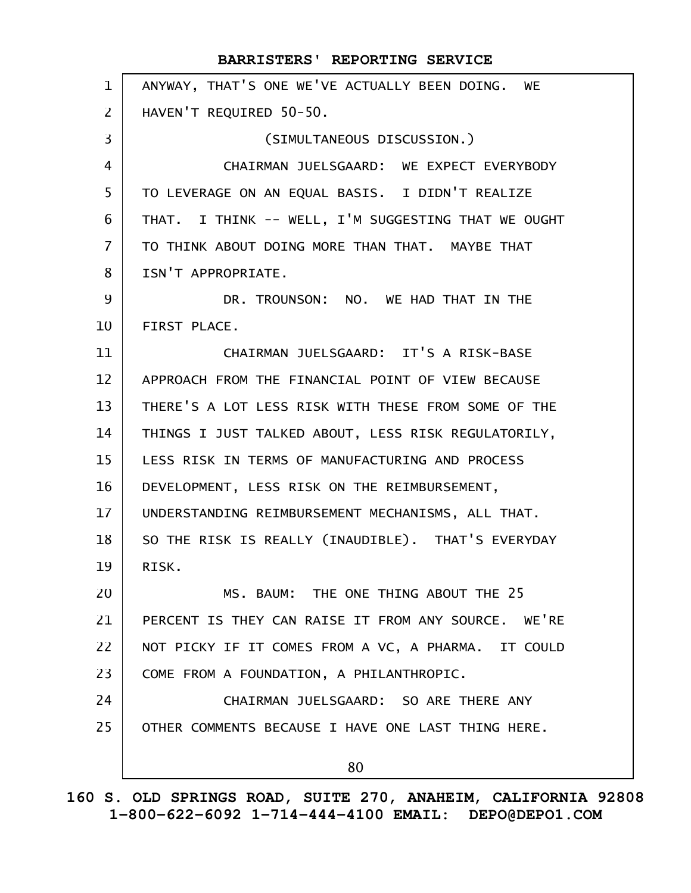ANYWAY, THAT'S ONE WE'VE ACTUALLY BEEN DOING. WE HAVEN'T REQUIRED 50-50. (SIMULTANEOUS DISCUSSION.) CHAIRMAN JUELSGAARD: WE EXPECT EVERYBODY TO LEVERAGE ON AN EQUAL BASIS. I DIDN'T REALIZE THAT. I THINK -- WELL, I'M SUGGESTING THAT WE OUGHT TO THINK ABOUT DOING MORE THAN THAT. MAYBE THAT ISN'T APPROPRIATE. DR. TROUNSON: NO. WE HAD THAT IN THE FIRST PLACE. CHAIRMAN JUELSGAARD: IT'S A RISK-BASE APPROACH FROM THE FINANCIAL POINT OF VIEW BECAUSE THERE'S A LOT LESS RISK WITH THESE FROM SOME OF THE THINGS I JUST TALKED ABOUT, LESS RISK REGULATORILY, LESS RISK IN TERMS OF MANUFACTURING AND PROCESS DEVELOPMENT, LESS RISK ON THE REIMBURSEMENT, UNDERSTANDING REIMBURSEMENT MECHANISMS, ALL THAT. SO THE RISK IS REALLY (INAUDIBLE). THAT'S EVERYDAY RISK. MS. BAUM: THE ONE THING ABOUT THE 25 PERCENT IS THEY CAN RAISE IT FROM ANY SOURCE. WE'RE NOT PICKY IF IT COMES FROM A VC, A PHARMA. IT COULD COME FROM A FOUNDATION, A PHILANTHROPIC. CHAIRMAN JUELSGAARD: SO ARE THERE ANY OTHER COMMENTS BECAUSE I HAVE ONE LAST THING HERE. 80 **BARRISTERS' REPORTING SERVICE** 1 2 3 4 5 6 7 8 9 10 11 12 13 14 15 16 17 18 19 20 21 22 23 24 25

**160 S. OLD SPRINGS ROAD, SUITE 270, ANAHEIM, CALIFORNIA 92808 1-800-622-6092 1-714-444-4100 EMAIL: DEPO@DEPO1.COM**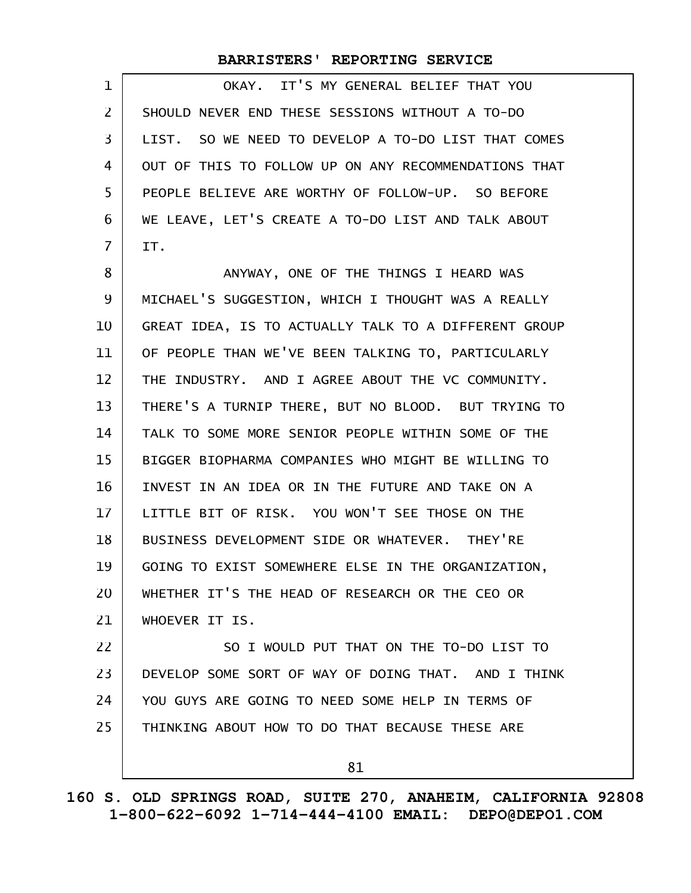| $\mathbf 1$    | IT'S MY GENERAL BELIEF THAT YOU<br>OKAY.             |
|----------------|------------------------------------------------------|
| 2              | SHOULD NEVER END THESE SESSIONS WITHOUT A TO-DO      |
| 3              | LIST. SO WE NEED TO DEVELOP A TO-DO LIST THAT COMES  |
| 4              | OUT OF THIS TO FOLLOW UP ON ANY RECOMMENDATIONS THAT |
| 5              | PEOPLE BELIEVE ARE WORTHY OF FOLLOW-UP. SO BEFORE    |
| 6              | WE LEAVE, LET'S CREATE A TO-DO LIST AND TALK ABOUT   |
| $\overline{7}$ | IT.                                                  |
| 8              | ANYWAY, ONE OF THE THINGS I HEARD WAS                |
| 9              | MICHAEL'S SUGGESTION, WHICH I THOUGHT WAS A REALLY   |
| 10             | GREAT IDEA, IS TO ACTUALLY TALK TO A DIFFERENT GROUP |
| 11             | OF PEOPLE THAN WE'VE BEEN TALKING TO, PARTICULARLY   |
| 12             | THE INDUSTRY. AND I AGREE ABOUT THE VC COMMUNITY.    |
| 13             | THERE'S A TURNIP THERE, BUT NO BLOOD. BUT TRYING TO  |
| 14             | TALK TO SOME MORE SENIOR PEOPLE WITHIN SOME OF THE   |
| 15             | BIGGER BIOPHARMA COMPANIES WHO MIGHT BE WILLING TO   |
| 16             | INVEST IN AN IDEA OR IN THE FUTURE AND TAKE ON A     |
| 17             | LITTLE BIT OF RISK. YOU WON'T SEE THOSE ON THE       |
| 18             | BUSINESS DEVELOPMENT SIDE OR WHATEVER. THEY'RE       |
| 19             | GOING TO EXIST SOMEWHERE ELSE IN THE ORGANIZATION,   |
| 20             | WHETHER IT'S THE HEAD OF RESEARCH OR THE CEO OR      |
| 21             | WHOEVER IT IS.                                       |
| 22             | SO I WOULD PUT THAT ON THE TO-DO LIST TO             |
| 23             | DEVELOP SOME SORT OF WAY OF DOING THAT. AND I THINK  |
| 24             | YOU GUYS ARE GOING TO NEED SOME HELP IN TERMS OF     |
| 25             | THINKING ABOUT HOW TO DO THAT BECAUSE THESE ARE      |
|                | 81                                                   |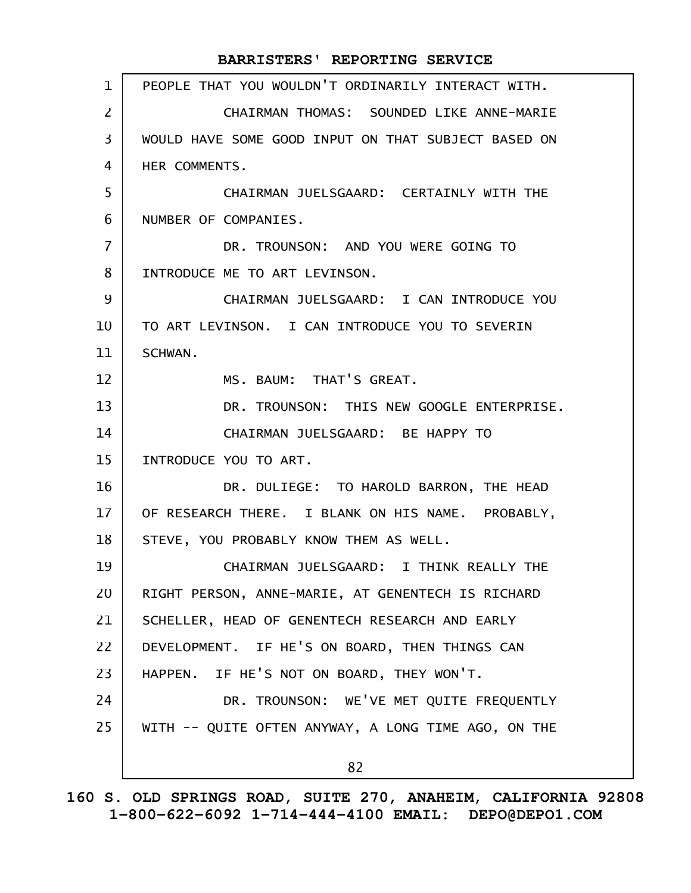| $\mathbf{1}$   | PEOPLE THAT YOU WOULDN'T ORDINARILY INTERACT WITH.  |
|----------------|-----------------------------------------------------|
| $\overline{2}$ | CHAIRMAN THOMAS: SOUNDED LIKE ANNE-MARIE            |
| 3              | WOULD HAVE SOME GOOD INPUT ON THAT SUBJECT BASED ON |
| 4              | HER COMMENTS.                                       |
| 5              | CHAIRMAN JUELSGAARD: CERTAINLY WITH THE             |
| 6              | NUMBER OF COMPANIES.                                |
| $\overline{7}$ | DR. TROUNSON: AND YOU WERE GOING TO                 |
| 8              | INTRODUCE ME TO ART LEVINSON.                       |
| 9              | CHAIRMAN JUELSGAARD: I CAN INTRODUCE YOU            |
| 10             | TO ART LEVINSON. I CAN INTRODUCE YOU TO SEVERIN     |
| 11             | SCHWAN.                                             |
| 12             | MS. BAUM: THAT'S GREAT.                             |
| 13             | DR. TROUNSON: THIS NEW GOOGLE ENTERPRISE.           |
| 14             | CHAIRMAN JUELSGAARD: BE HAPPY TO                    |
| 15             | INTRODUCE YOU TO ART.                               |
| 16             | DR. DULIEGE: TO HAROLD BARRON, THE HEAD             |
| 17             | OF RESEARCH THERE. I BLANK ON HIS NAME. PROBABLY,   |
| 18             | STEVE, YOU PROBABLY KNOW THEM AS WELL.              |
| 19             | CHAIRMAN JUELSGAARD: I THINK REALLY THE             |
| 20             | RIGHT PERSON, ANNE-MARIE, AT GENENTECH IS RICHARD   |
| 21             | SCHELLER, HEAD OF GENENTECH RESEARCH AND EARLY      |
| 22             | DEVELOPMENT. IF HE'S ON BOARD, THEN THINGS CAN      |
| 23             | HAPPEN. IF HE'S NOT ON BOARD, THEY WON'T.           |
| 24             | DR. TROUNSON: WE'VE MET QUITE FREQUENTLY            |
| 25             | WITH -- QUITE OFTEN ANYWAY, A LONG TIME AGO, ON THE |
|                | 82                                                  |
|                |                                                     |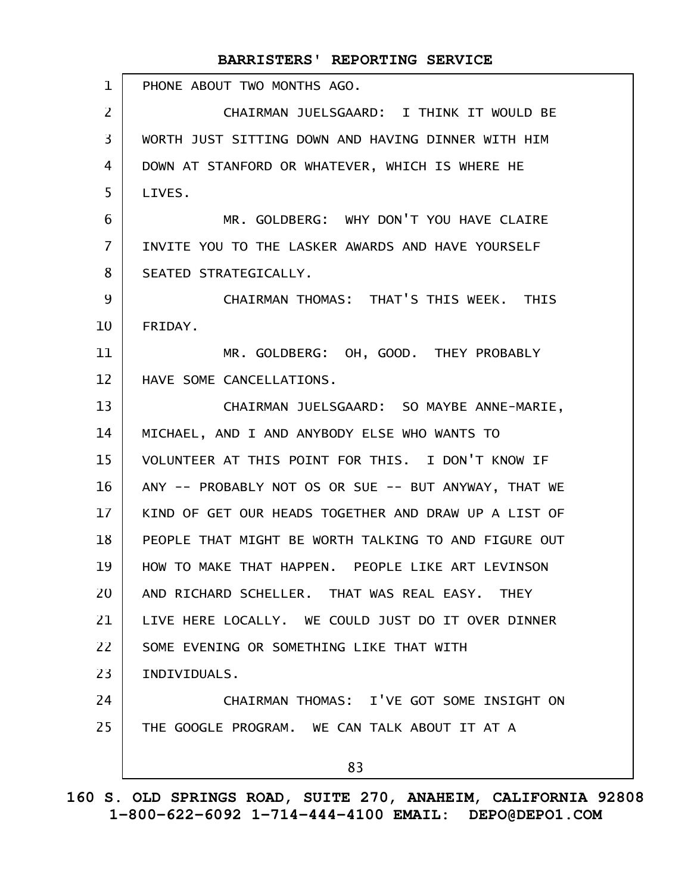PHONE ABOUT TWO MONTHS AGO. CHAIRMAN JUELSGAARD: I THINK IT WOULD BE WORTH JUST SITTING DOWN AND HAVING DINNER WITH HIM DOWN AT STANFORD OR WHATEVER, WHICH IS WHERE HE LIVES. MR. GOLDBERG: WHY DON'T YOU HAVE CLAIRE INVITE YOU TO THE LASKER AWARDS AND HAVE YOURSELF SEATED STRATEGICALLY. CHAIRMAN THOMAS: THAT'S THIS WEEK. THIS FRIDAY. MR. GOLDBERG: OH, GOOD. THEY PROBABLY HAVE SOME CANCELLATIONS. CHAIRMAN JUELSGAARD: SO MAYBE ANNE-MARIE, MICHAEL, AND I AND ANYBODY ELSE WHO WANTS TO VOLUNTEER AT THIS POINT FOR THIS. I DON'T KNOW IF ANY -- PROBABLY NOT OS OR SUE -- BUT ANYWAY, THAT WE KIND OF GET OUR HEADS TOGETHER AND DRAW UP A LIST OF PEOPLE THAT MIGHT BE WORTH TALKING TO AND FIGURE OUT HOW TO MAKE THAT HAPPEN. PEOPLE LIKE ART LEVINSON AND RICHARD SCHELLER. THAT WAS REAL EASY. THEY LIVE HERE LOCALLY. WE COULD JUST DO IT OVER DINNER SOME EVENING OR SOMETHING LIKE THAT WITH INDIVIDUALS. CHAIRMAN THOMAS: I'VE GOT SOME INSIGHT ON THE GOOGLE PROGRAM. WE CAN TALK ABOUT IT AT A 83 1 2 3 4 5 6 7 8 9 10 11 12 13 14 15 16 17 18 19 20 21 22 23 24 25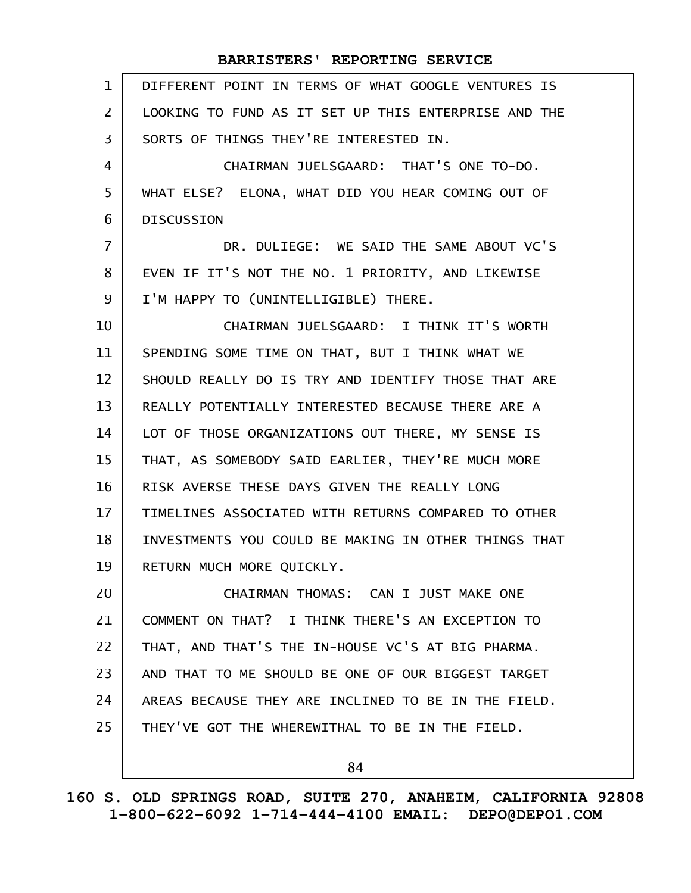| $\mathbf{1}$   | DIFFERENT POINT IN TERMS OF WHAT GOOGLE VENTURES IS  |
|----------------|------------------------------------------------------|
| 2              | LOOKING TO FUND AS IT SET UP THIS ENTERPRISE AND THE |
| 3              | SORTS OF THINGS THEY'RE INTERESTED IN.               |
| 4              | CHAIRMAN JUELSGAARD: THAT'S ONE TO-DO.               |
| 5              | WHAT ELSE? ELONA, WHAT DID YOU HEAR COMING OUT OF    |
| 6              | <b>DISCUSSION</b>                                    |
| $\overline{7}$ | DR. DULIEGE: WE SAID THE SAME ABOUT VC'S             |
| 8              | EVEN IF IT'S NOT THE NO. 1 PRIORITY, AND LIKEWISE    |
| 9              | I'M HAPPY TO (UNINTELLIGIBLE) THERE.                 |
| 10             | CHAIRMAN JUELSGAARD: I THINK IT'S WORTH              |
| 11             | SPENDING SOME TIME ON THAT, BUT I THINK WHAT WE      |
| 12             | SHOULD REALLY DO IS TRY AND IDENTIFY THOSE THAT ARE  |
| 13             | REALLY POTENTIALLY INTERESTED BECAUSE THERE ARE A    |
| 14             | LOT OF THOSE ORGANIZATIONS OUT THERE, MY SENSE IS    |
| 15             | THAT, AS SOMEBODY SAID EARLIER, THEY'RE MUCH MORE    |
| 16             | RISK AVERSE THESE DAYS GIVEN THE REALLY LONG         |
| 17             | TIMELINES ASSOCIATED WITH RETURNS COMPARED TO OTHER  |
| 18             | INVESTMENTS YOU COULD BE MAKING IN OTHER THINGS THAT |
| 19             | RETURN MUCH MORE QUICKLY.                            |
| 20             | CHAIRMAN THOMAS: CAN I JUST MAKE ONE                 |
| 21             | COMMENT ON THAT? I THINK THERE'S AN EXCEPTION TO     |
| 22             | THAT, AND THAT'S THE IN-HOUSE VC'S AT BIG PHARMA.    |
| 23             | AND THAT TO ME SHOULD BE ONE OF OUR BIGGEST TARGET   |
| 24             | AREAS BECAUSE THEY ARE INCLINED TO BE IN THE FIELD.  |
| 25             | THEY'VE GOT THE WHEREWITHAL TO BE IN THE FIELD.      |
|                | 84                                                   |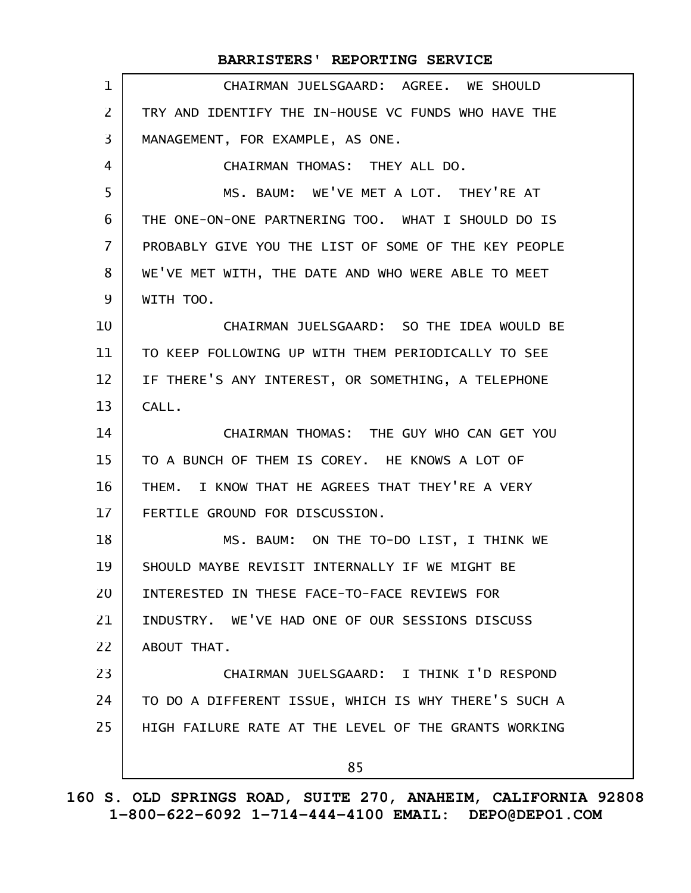|                 | BARRISTERS' REPORTING SERVICE                        |
|-----------------|------------------------------------------------------|
| $\mathbf 1$     | CHAIRMAN JUELSGAARD: AGREE. WE SHOULD                |
| $\overline{2}$  | TRY AND IDENTIFY THE IN-HOUSE VC FUNDS WHO HAVE THE  |
| $\overline{3}$  | MANAGEMENT, FOR EXAMPLE, AS ONE.                     |
| 4               | CHAIRMAN THOMAS: THEY ALL DO.                        |
| 5               | MS. BAUM: WE'VE MET A LOT. THEY'RE AT                |
| 6               | THE ONE-ON-ONE PARTNERING TOO. WHAT I SHOULD DO IS   |
| $\overline{7}$  | PROBABLY GIVE YOU THE LIST OF SOME OF THE KEY PEOPLE |
| 8               | WE'VE MET WITH, THE DATE AND WHO WERE ABLE TO MEET   |
| 9               | WITH TOO.                                            |
| 10              | CHAIRMAN JUELSGAARD: SO THE IDEA WOULD BE            |
| 11              | TO KEEP FOLLOWING UP WITH THEM PERIODICALLY TO SEE   |
| 12              | IF THERE'S ANY INTEREST, OR SOMETHING, A TELEPHONE   |
| 13              | CALL.                                                |
| 14              | CHAIRMAN THOMAS: THE GUY WHO CAN GET YOU             |
| 15              | TO A BUNCH OF THEM IS COREY. HE KNOWS A LOT OF       |
| 16              | THEM. I KNOW THAT HE AGREES THAT THEY'RE A VERY      |
| 17 <sup>2</sup> | FERTILE GROUND FOR DISCUSSION.                       |
| 18              | MS. BAUM: ON THE TO-DO LIST, I THINK WE              |
| 19              | SHOULD MAYBE REVISIT INTERNALLY IF WE MIGHT BE       |
| 20              | INTERESTED IN THESE FACE-TO-FACE REVIEWS FOR         |
| 21              | INDUSTRY. WE'VE HAD ONE OF OUR SESSIONS DISCUSS      |
| 22              | ABOUT THAT.                                          |
| 23              | CHAIRMAN JUELSGAARD: I THINK I'D RESPOND             |
| 24              | TO DO A DIFFERENT ISSUE, WHICH IS WHY THERE'S SUCH A |
| 25              | HIGH FAILURE RATE AT THE LEVEL OF THE GRANTS WORKING |
|                 | 85                                                   |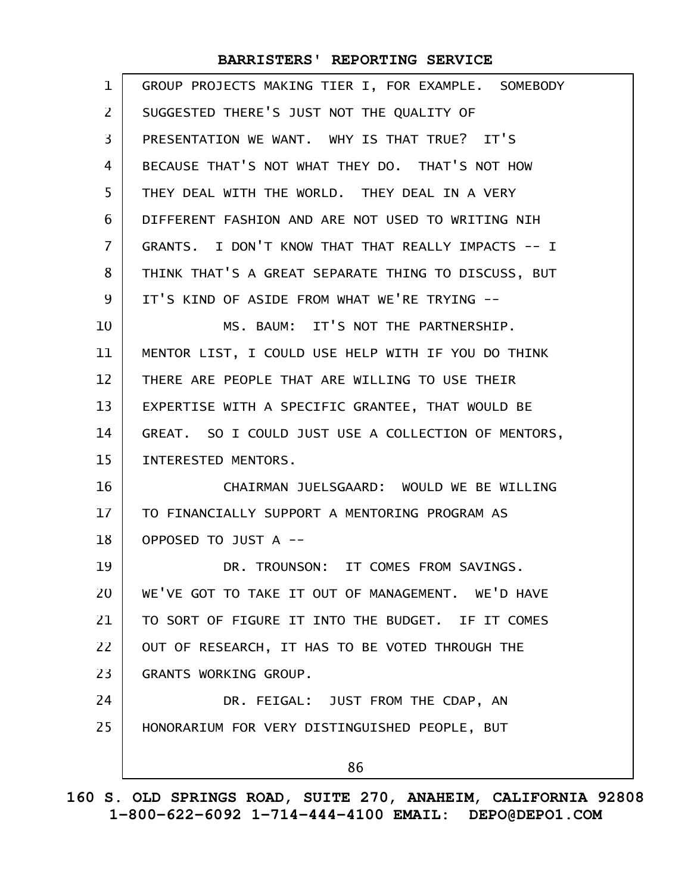| $\mathbf{1}$   | GROUP PROJECTS MAKING TIER I, FOR EXAMPLE. SOMEBODY |
|----------------|-----------------------------------------------------|
| $\overline{2}$ | SUGGESTED THERE'S JUST NOT THE QUALITY OF           |
| 3              | PRESENTATION WE WANT. WHY IS THAT TRUE? IT'S        |
| 4              | BECAUSE THAT'S NOT WHAT THEY DO. THAT'S NOT HOW     |
| 5              | THEY DEAL WITH THE WORLD. THEY DEAL IN A VERY       |
| 6              | DIFFERENT FASHION AND ARE NOT USED TO WRITING NIH   |
| $\overline{7}$ | GRANTS. I DON'T KNOW THAT THAT REALLY IMPACTS -- I  |
| 8              | THINK THAT'S A GREAT SEPARATE THING TO DISCUSS, BUT |
| 9              | IT'S KIND OF ASIDE FROM WHAT WE'RE TRYING --        |
| 10             | MS. BAUM: IT'S NOT THE PARTNERSHIP.                 |
| 11             | MENTOR LIST, I COULD USE HELP WITH IF YOU DO THINK  |
| 12             | THERE ARE PEOPLE THAT ARE WILLING TO USE THEIR      |
| 13             | EXPERTISE WITH A SPECIFIC GRANTEE, THAT WOULD BE    |
| 14             | GREAT. SO I COULD JUST USE A COLLECTION OF MENTORS, |
| 15             | INTERESTED MENTORS.                                 |
| 16             | CHAIRMAN JUELSGAARD: WOULD WE BE WILLING            |
| 17             | TO FINANCIALLY SUPPORT A MENTORING PROGRAM AS       |
| 18             | OPPOSED TO JUST A --                                |
| 19             | DR. TROUNSON: IT COMES FROM SAVINGS.                |
| 20             | WE'VE GOT TO TAKE IT OUT OF MANAGEMENT. WE'D HAVE   |
| 21             | TO SORT OF FIGURE IT INTO THE BUDGET. IF IT COMES   |
| 22             | OUT OF RESEARCH, IT HAS TO BE VOTED THROUGH THE     |
| 23             | GRANTS WORKING GROUP.                               |
| 24             | DR. FEIGAL: JUST FROM THE CDAP, AN                  |
| 25             | HONORARIUM FOR VERY DISTINGUISHED PEOPLE, BUT       |
|                | 86                                                  |
|                |                                                     |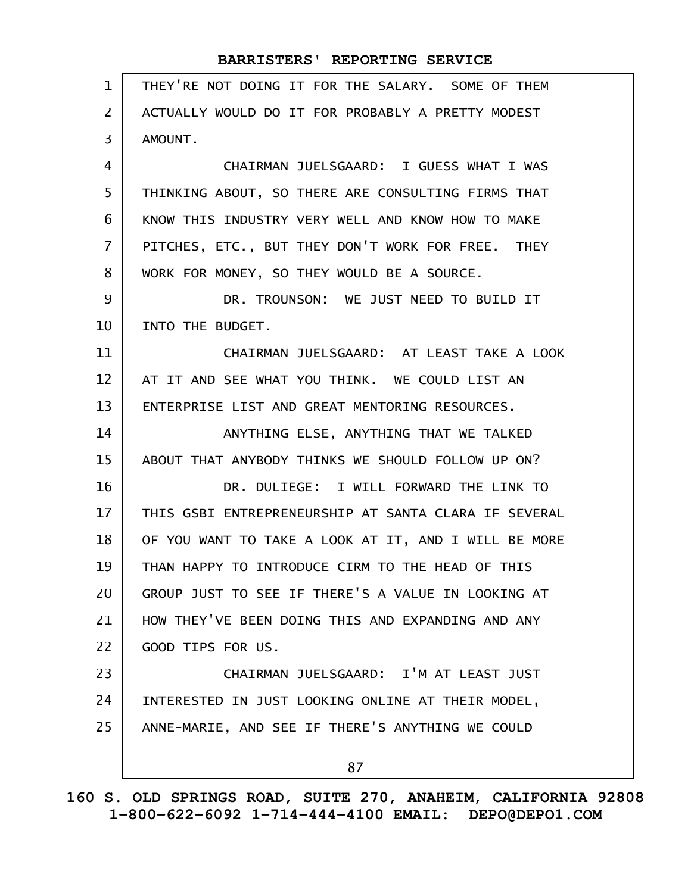| $\mathbf{1}$   | THEY'RE NOT DOING IT FOR THE SALARY. SOME OF THEM    |
|----------------|------------------------------------------------------|
| $\overline{2}$ | ACTUALLY WOULD DO IT FOR PROBABLY A PRETTY MODEST    |
| $\overline{3}$ | AMOUNT.                                              |
| 4              | CHAIRMAN JUELSGAARD: I GUESS WHAT I WAS              |
| 5              | THINKING ABOUT, SO THERE ARE CONSULTING FIRMS THAT   |
| 6              | KNOW THIS INDUSTRY VERY WELL AND KNOW HOW TO MAKE    |
| $\overline{7}$ | PITCHES, ETC., BUT THEY DON'T WORK FOR FREE. THEY    |
| 8              | WORK FOR MONEY, SO THEY WOULD BE A SOURCE.           |
| 9              | DR. TROUNSON: WE JUST NEED TO BUILD IT               |
| 10             | INTO THE BUDGET.                                     |
| 11             | CHAIRMAN JUELSGAARD: AT LEAST TAKE A LOOK            |
| 12             | AT IT AND SEE WHAT YOU THINK. WE COULD LIST AN       |
| 13             | ENTERPRISE LIST AND GREAT MENTORING RESOURCES.       |
| 14             | ANYTHING ELSE, ANYTHING THAT WE TALKED               |
| 15             | ABOUT THAT ANYBODY THINKS WE SHOULD FOLLOW UP ON?    |
| 16             | DR. DULIEGE: I WILL FORWARD THE LINK TO              |
| 17             | THIS GSBI ENTREPRENEURSHIP AT SANTA CLARA IF SEVERAL |
| 18             | OF YOU WANT TO TAKE A LOOK AT IT, AND I WILL BE MORE |
| 19             | THAN HAPPY TO INTRODUCE CIRM TO THE HEAD OF THIS     |
| 20             | GROUP JUST TO SEE IF THERE'S A VALUE IN LOOKING AT   |
| 21             | HOW THEY'VE BEEN DOING THIS AND EXPANDING AND ANY    |
| 22             | GOOD TIPS FOR US.                                    |
| 23             | CHAIRMAN JUELSGAARD: I'M AT LEAST JUST               |
| 24             | INTERESTED IN JUST LOOKING ONLINE AT THEIR MODEL,    |
| 25             | ANNE-MARIE, AND SEE IF THERE'S ANYTHING WE COULD     |
|                | 87                                                   |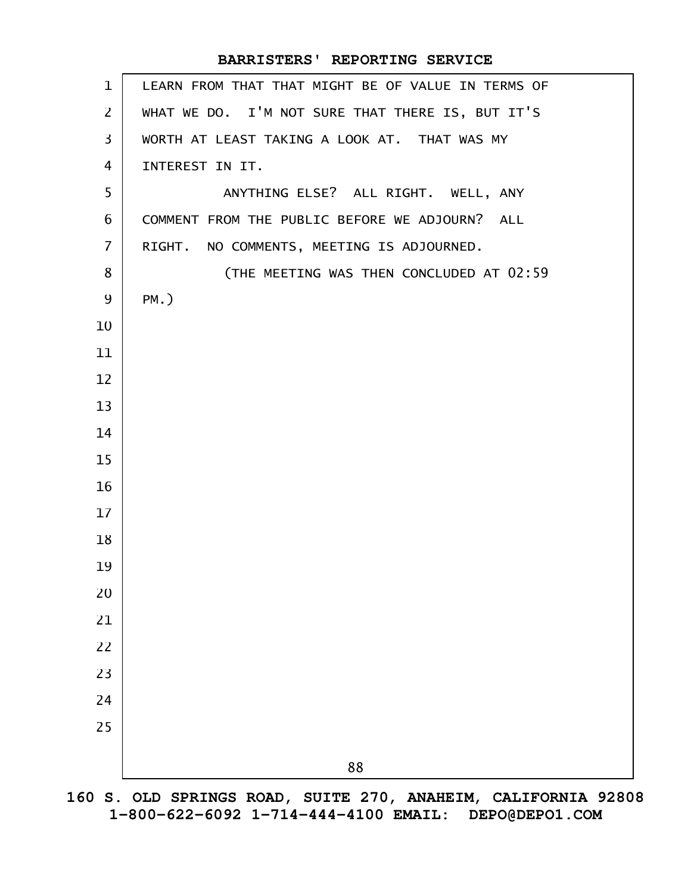| $\mathbf{1}$   | LEARN FROM THAT THAT MIGHT BE OF VALUE IN TERMS OF |
|----------------|----------------------------------------------------|
| $\overline{2}$ | WHAT WE DO. I'M NOT SURE THAT THERE IS, BUT IT'S   |
| $\overline{3}$ | WORTH AT LEAST TAKING A LOOK AT. THAT WAS MY       |
| 4              | INTEREST IN IT.                                    |
| 5              | ANYTHING ELSE? ALL RIGHT. WELL, ANY                |
| 6              | COMMENT FROM THE PUBLIC BEFORE WE ADJOURN? ALL     |
| $\overline{7}$ | RIGHT. NO COMMENTS, MEETING IS ADJOURNED.          |
| 8              | (THE MEETING WAS THEN CONCLUDED AT 02:59           |
| 9              | $PM.$ )                                            |
| 10             |                                                    |
| 11             |                                                    |
| 12             |                                                    |
| 13             |                                                    |
| 14             |                                                    |
| 15             |                                                    |
| 16             |                                                    |
| 17             |                                                    |
| 18             |                                                    |
| 19             |                                                    |
| 20             |                                                    |
| 21             |                                                    |
| 22             |                                                    |
| 23             |                                                    |
| 24             |                                                    |
| 25             |                                                    |
|                | 88                                                 |
|                |                                                    |